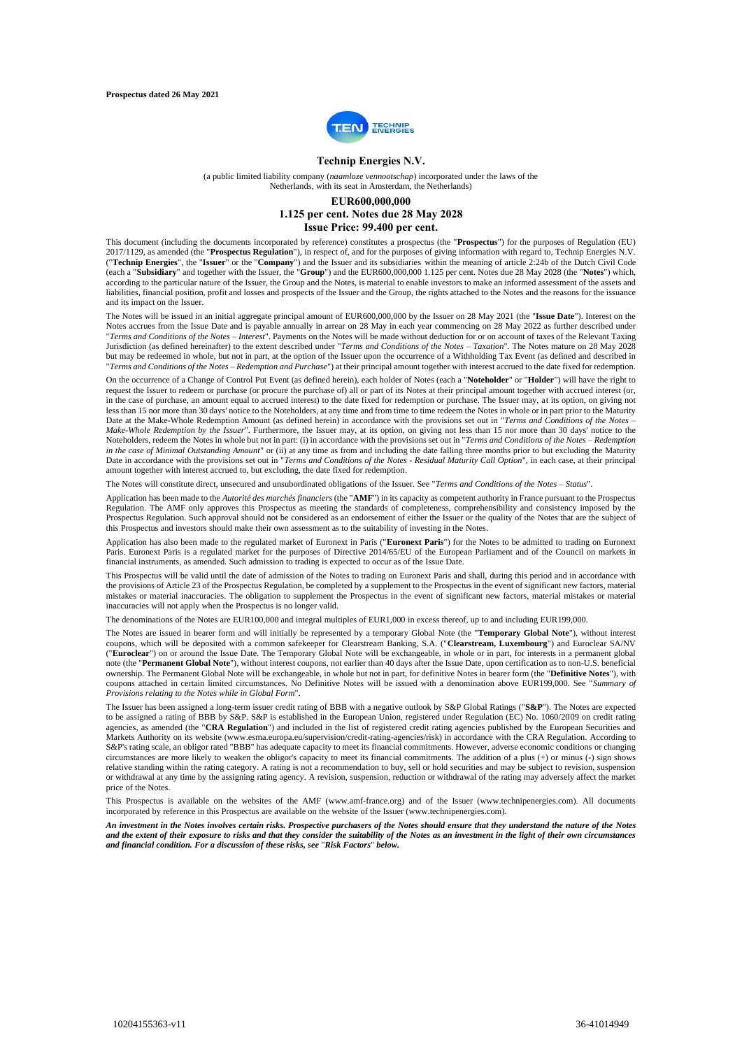

#### **Technip Energies N.V.**

(a public limited liability company (*naamloze vennootschap*) incorporated under the laws of the Netherlands, with its seat in Amsterdam, the Netherlands)

#### **EUR600,000,000 1.125 per cent. Notes due 28 May 2028 Issue Price: 99.400 per cent.**

This document (including the documents incorporated by reference) constitutes a prospectus (the "**Prospectus**") for the purposes of Regulation (EU) 2017/1129, as amended (the "**Prospectus Regulation**"), in respect of, and for the purposes of giving information with regard to, Technip Energies N.V. ("**Technip Energies**", the "**Issuer**" or the "**Company**") and the Issuer and its subsidiaries within the meaning of article 2:24b of the Dutch Civil Code (each a "**Subsidiary**" and together with the Issuer, the "**Group**") and the EUR600,000,000 1.125 per cent. Notes due 28 May 2028 (the "**Notes**") which, according to the particular nature of the Issuer, the Group and the Notes, is material to enable investors to make an informed assessment of the assets and liabilities, financial position, profit and losses and prospects of the Issuer and the Group, the rights attached to the Notes and the reasons for the issuance and its impact on the Issuer.

The Notes will be issued in an initial aggregate principal amount of EUR600,000,000 by the Issuer on 28 May 2021 (the "**Issue Date**"). Interest on the Notes accrues from the Issue Date and is payable annually in arrear on 28 May in each year commencing on 28 May 2022 as further described under "*Terms and Conditions of the Notes – Interest*". Payments on the Notes will be made without deduction for or on account of taxes of the Relevant Taxing Jurisdiction (as defined hereinafter) to the extent described under "*Terms and Conditions of the Notes – Taxation*". The Notes mature on 28 May 2028 but may be redeemed in whole, but not in part, at the option of the Issuer upon the occurrence of a Withholding Tax Event (as defined and described in "*Terms and Conditions of the Notes – Redemption and Purchase*") at their principal amount together with interest accrued to the date fixed for redemption.

On the occurrence of a Change of Control Put Event (as defined herein), each holder of Notes (each a "**Noteholder**" or "**Holder**") will have the right to request the Issuer to redeem or purchase (or procure the purchase of) all or part of its Notes at their principal amount together with accrued interest (or, in the case of purchase, an amount equal to accrued interest) to the date fixed for redemption or purchase. The Issuer may, at its option, on giving not less than 15 nor more than 30 days' notice to the Noteholders, at any time and from time to time redeem the Notes in whole or in part prior to the Maturity Date at the Make-Whole Redemption Amount (as defined herein) in accordance with the provisions set out in "*Terms and Conditions of the Notes – Make-Whole Redemption by the Issuer*". Furthermore, the Issuer may, at its option, on giving not less than 15 nor more than 30 days' notice to the Noteholders, redeem the Notes in whole but not in part: (i) in accordance with the provisions set out in "*Terms and Conditions of the Notes – Redemption in the case of Minimal Outstanding Amount*" or (ii) at any time as from and including the date falling three months prior to but excluding the Maturity Date in accordance with the provisions set out in "*Terms and Conditions of the Notes - Residual Maturity Call Option*", in each case, at their principal amount together with interest accrued to, but excluding, the date fixed for redemption.

The Notes will constitute direct, unsecured and unsubordinated obligations of the Issuer. See "*Terms and Conditions of the Notes – Status*".

Application has been made to the *Autorité des marchés financiers* (the "**AMF**") in its capacity as competent authority in France pursuant to the Prospectus Regulation. The AMF only approves this Prospectus as meeting the standards of completeness, comprehensibility and consistency imposed by the Prospectus Regulation. Such approval should not be considered as an endorsement of either the Issuer or the quality of the Notes that are the subject of this Prospectus and investors should make their own assessment as to the suitability of investing in the Notes.

Application has also been made to the regulated market of Euronext in Paris ("**Euronext Paris**") for the Notes to be admitted to trading on Euronext Paris. Euronext Paris is a regulated market for the purposes of Directive 2014/65/EU of the European Parliament and of the Council on markets in financial instruments, as amended. Such admission to trading is expected to occur as of the Issue Date.

This Prospectus will be valid until the date of admission of the Notes to trading on Euronext Paris and shall, during this period and in accordance with the provisions of Article 23 of the Prospectus Regulation, be completed by a supplement to the Prospectus in the event of significant new factors, material mistakes or material inaccuracies. The obligation to supplement the Prospectus in the event of significant new factors, material mistakes or material inaccuracies will not apply when the Prospectus is no longer valid.

The denominations of the Notes are EUR100,000 and integral multiples of EUR1,000 in excess thereof, up to and including EUR199,000.

The Notes are issued in bearer form and will initially be represented by a temporary Global Note (the "**Temporary Global Note**"), without interest coupons, which will be deposited with a common safekeeper for Clearstream Banking, S.A. ("**Clearstream, Luxembourg**") and Euroclear SA/NV ("**Euroclear**") on or around the Issue Date. The Temporary Global Note will be exchangeable, in whole or in part, for interests in a permanent global note (the "**Permanent Global Note**"), without interest coupons, not earlier than 40 days after the Issue Date, upon certification as to non-U.S. beneficial ownership. The Permanent Global Note will be exchangeable, in whole but not in part, for definitive Notes in bearer form (the "**Definitive Notes**"), with coupons attached in certain limited circumstances. No Definitive Notes will be issued with a denomination above EUR199,000. See "*Summary of Provisions relating to the Notes while in Global Form*".

The Issuer has been assigned a long-term issuer credit rating of BBB with a negative outlook by S&P Global Ratings ("**S&P**"). The Notes are expected to be assigned a rating of BBB by S&P. S&P is established in the European Union, registered under Regulation (EC) No. 1060/2009 on credit rating agencies, as amended (the "**CRA Regulation**") and included in the list of registered credit rating agencies published by the European Securities and Markets Authority on its website (www.esma.europa.eu/supervision/credit-rating-agencies/risk) in accordance with the CRA Regulation. According to S&P's rating scale, an obligor rated "BBB" has adequate capacity to meet its financial commitments. However, adverse economic conditions or changing circumstances are more likely to weaken the obligor's capacity to meet its financial commitments. The addition of a plus (+) or minus (-) sign shows relative standing within the rating category. A rating is not a recommendation to buy, sell or hold securities and may be subject to revision, suspension or withdrawal at any time by the assigning rating agency. A revision, suspension, reduction or withdrawal of the rating may adversely affect the market price of the Notes.

This Prospectus is available on the websites of the AMF (www.amf-france.org) and of the Issuer (www.technipenergies.com). All documents incorporated by reference in this Prospectus are available on the website of the Issuer (www.technipenergies.com).

*An investment in the Notes involves certain risks. Prospective purchasers of the Notes should ensure that they understand the nature of the Notes and the extent of their exposure to risks and that they consider the suitability of the Notes as an investment in the light of their own circumstances and financial condition. For a discussion of these risks, see* "*Risk Factors*" *below.*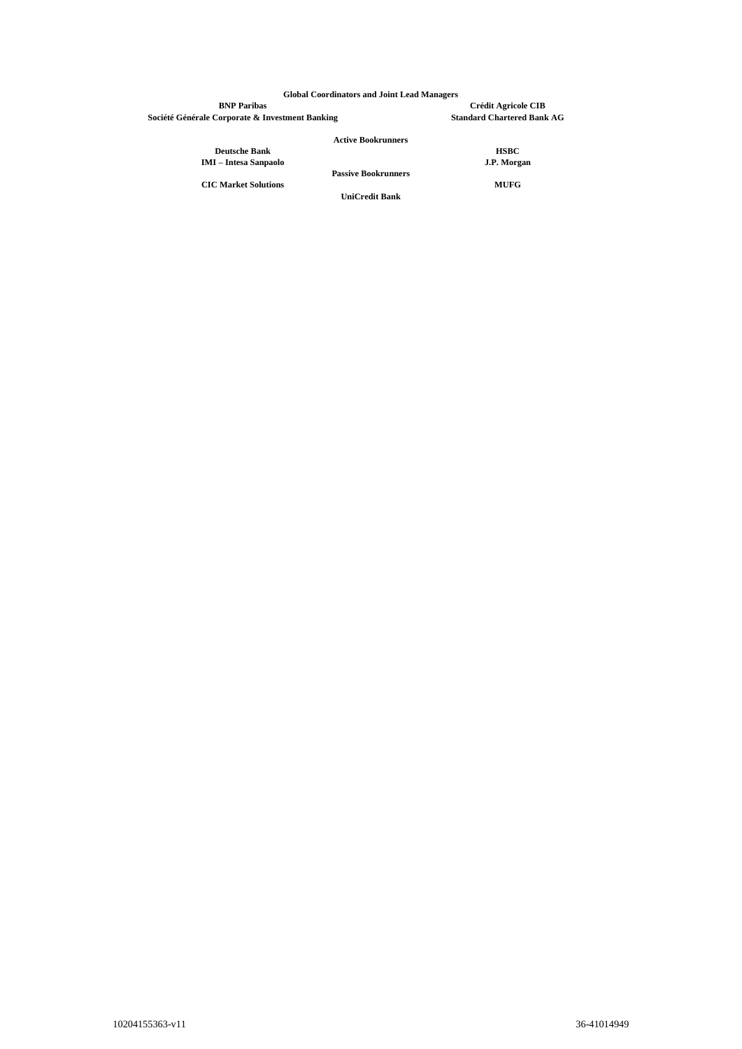**Global Coordinators and Joint Lead Managers**

**BNP Paribas Société Générale Corporate & Investment Banking**

**Crédit Agricole CIB Standard Chartered Bank AG**

**Deutsche Bank HSBC IMI – Intesa Sanpaolo J.P. Morgan**

**Active Bookrunners Passive Bookrunners**

**CIC Market Solutions MUFG**

**UniCredit Bank**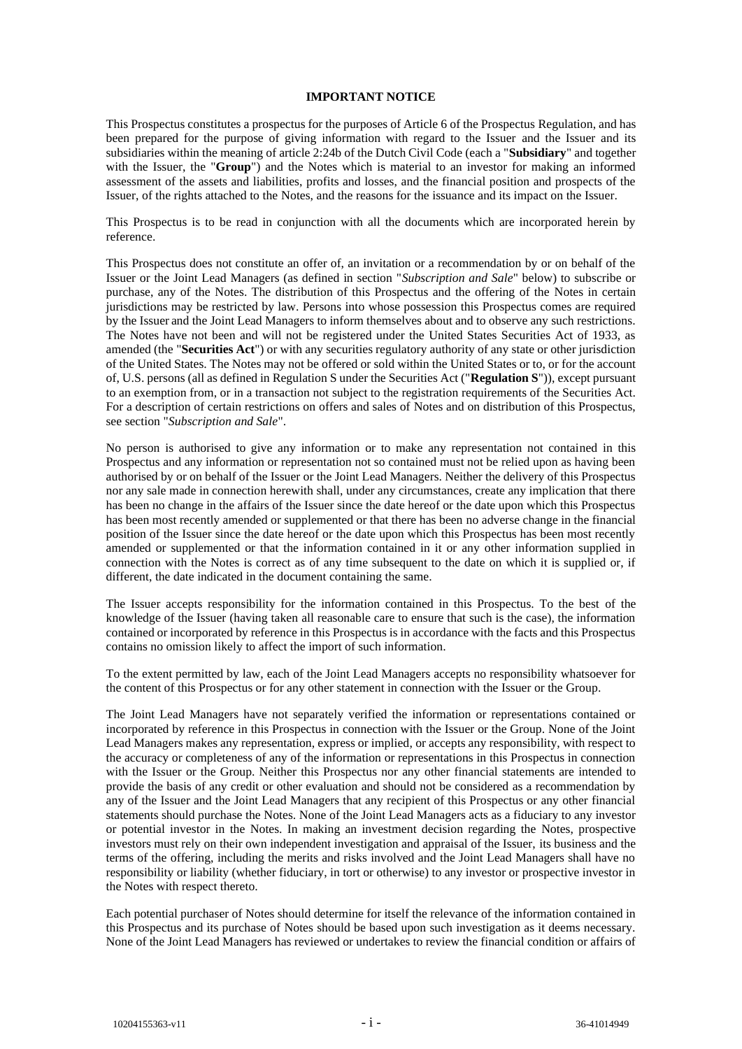#### **IMPORTANT NOTICE**

This Prospectus constitutes a prospectus for the purposes of Article 6 of the Prospectus Regulation, and has been prepared for the purpose of giving information with regard to the Issuer and the Issuer and its subsidiaries within the meaning of article 2:24b of the Dutch Civil Code (each a "**Subsidiary**" and together with the Issuer, the "**Group**") and the Notes which is material to an investor for making an informed assessment of the assets and liabilities, profits and losses, and the financial position and prospects of the Issuer, of the rights attached to the Notes, and the reasons for the issuance and its impact on the Issuer.

This Prospectus is to be read in conjunction with all the documents which are incorporated herein by reference.

This Prospectus does not constitute an offer of, an invitation or a recommendation by or on behalf of the Issuer or the Joint Lead Managers (as defined in section "*Subscription and Sale*" below) to subscribe or purchase, any of the Notes. The distribution of this Prospectus and the offering of the Notes in certain jurisdictions may be restricted by law. Persons into whose possession this Prospectus comes are required by the Issuer and the Joint Lead Managers to inform themselves about and to observe any such restrictions. The Notes have not been and will not be registered under the United States Securities Act of 1933, as amended (the "**Securities Act**") or with any securities regulatory authority of any state or other jurisdiction of the United States. The Notes may not be offered or sold within the United States or to, or for the account of, U.S. persons (all as defined in Regulation S under the Securities Act ("**Regulation S**")), except pursuant to an exemption from, or in a transaction not subject to the registration requirements of the Securities Act. For a description of certain restrictions on offers and sales of Notes and on distribution of this Prospectus, see section "*Subscription and Sale*".

No person is authorised to give any information or to make any representation not contained in this Prospectus and any information or representation not so contained must not be relied upon as having been authorised by or on behalf of the Issuer or the Joint Lead Managers. Neither the delivery of this Prospectus nor any sale made in connection herewith shall, under any circumstances, create any implication that there has been no change in the affairs of the Issuer since the date hereof or the date upon which this Prospectus has been most recently amended or supplemented or that there has been no adverse change in the financial position of the Issuer since the date hereof or the date upon which this Prospectus has been most recently amended or supplemented or that the information contained in it or any other information supplied in connection with the Notes is correct as of any time subsequent to the date on which it is supplied or, if different, the date indicated in the document containing the same.

The Issuer accepts responsibility for the information contained in this Prospectus. To the best of the knowledge of the Issuer (having taken all reasonable care to ensure that such is the case), the information contained or incorporated by reference in this Prospectus is in accordance with the facts and this Prospectus contains no omission likely to affect the import of such information.

To the extent permitted by law, each of the Joint Lead Managers accepts no responsibility whatsoever for the content of this Prospectus or for any other statement in connection with the Issuer or the Group.

The Joint Lead Managers have not separately verified the information or representations contained or incorporated by reference in this Prospectus in connection with the Issuer or the Group. None of the Joint Lead Managers makes any representation, express or implied, or accepts any responsibility, with respect to the accuracy or completeness of any of the information or representations in this Prospectus in connection with the Issuer or the Group. Neither this Prospectus nor any other financial statements are intended to provide the basis of any credit or other evaluation and should not be considered as a recommendation by any of the Issuer and the Joint Lead Managers that any recipient of this Prospectus or any other financial statements should purchase the Notes. None of the Joint Lead Managers acts as a fiduciary to any investor or potential investor in the Notes. In making an investment decision regarding the Notes, prospective investors must rely on their own independent investigation and appraisal of the Issuer, its business and the terms of the offering, including the merits and risks involved and the Joint Lead Managers shall have no responsibility or liability (whether fiduciary, in tort or otherwise) to any investor or prospective investor in the Notes with respect thereto.

Each potential purchaser of Notes should determine for itself the relevance of the information contained in this Prospectus and its purchase of Notes should be based upon such investigation as it deems necessary. None of the Joint Lead Managers has reviewed or undertakes to review the financial condition or affairs of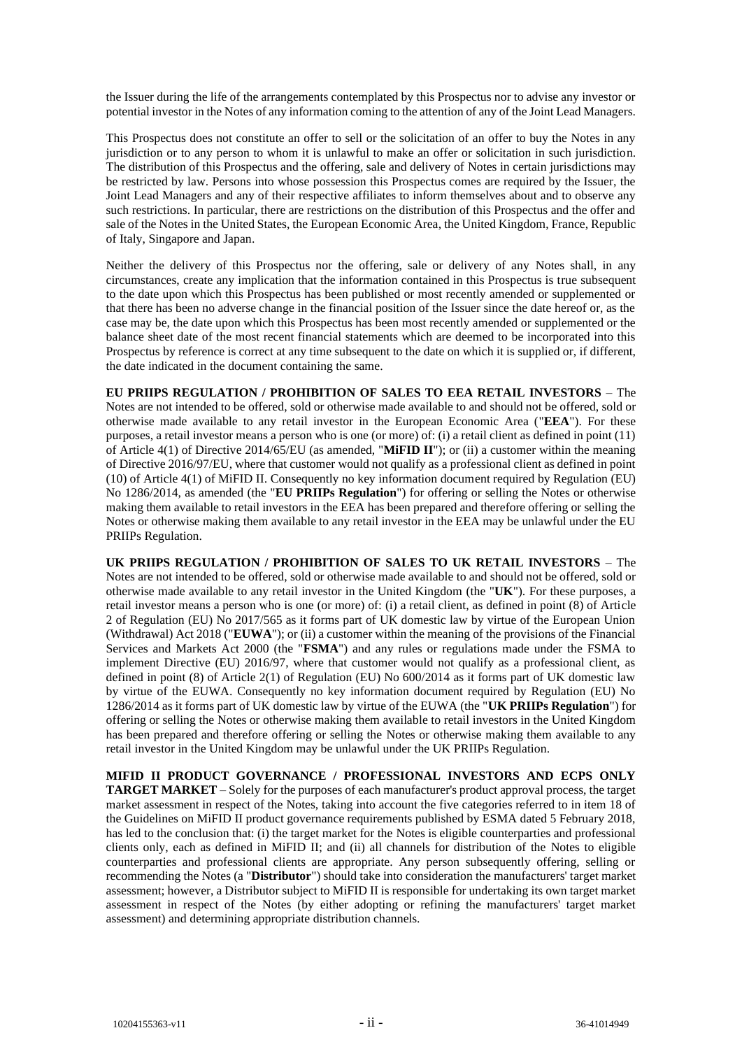the Issuer during the life of the arrangements contemplated by this Prospectus nor to advise any investor or potential investor in the Notes of any information coming to the attention of any of the Joint Lead Managers.

This Prospectus does not constitute an offer to sell or the solicitation of an offer to buy the Notes in any jurisdiction or to any person to whom it is unlawful to make an offer or solicitation in such jurisdiction. The distribution of this Prospectus and the offering, sale and delivery of Notes in certain jurisdictions may be restricted by law. Persons into whose possession this Prospectus comes are required by the Issuer, the Joint Lead Managers and any of their respective affiliates to inform themselves about and to observe any such restrictions. In particular, there are restrictions on the distribution of this Prospectus and the offer and sale of the Notes in the United States, the European Economic Area, the United Kingdom, France, Republic of Italy, Singapore and Japan.

Neither the delivery of this Prospectus nor the offering, sale or delivery of any Notes shall, in any circumstances, create any implication that the information contained in this Prospectus is true subsequent to the date upon which this Prospectus has been published or most recently amended or supplemented or that there has been no adverse change in the financial position of the Issuer since the date hereof or, as the case may be, the date upon which this Prospectus has been most recently amended or supplemented or the balance sheet date of the most recent financial statements which are deemed to be incorporated into this Prospectus by reference is correct at any time subsequent to the date on which it is supplied or, if different, the date indicated in the document containing the same.

**EU PRIIPS REGULATION / PROHIBITION OF SALES TO EEA RETAIL INVESTORS** – The Notes are not intended to be offered, sold or otherwise made available to and should not be offered, sold or otherwise made available to any retail investor in the European Economic Area ("**EEA**"). For these purposes, a retail investor means a person who is one (or more) of: (i) a retail client as defined in point (11) of Article 4(1) of Directive 2014/65/EU (as amended, "**MiFID II**"); or (ii) a customer within the meaning of Directive 2016/97/EU, where that customer would not qualify as a professional client as defined in point (10) of Article 4(1) of MiFID II. Consequently no key information document required by Regulation (EU) No 1286/2014, as amended (the "**EU PRIIPs Regulation**") for offering or selling the Notes or otherwise making them available to retail investors in the EEA has been prepared and therefore offering or selling the Notes or otherwise making them available to any retail investor in the EEA may be unlawful under the EU PRIIPs Regulation.

**UK PRIIPS REGULATION / PROHIBITION OF SALES TO UK RETAIL INVESTORS** – The Notes are not intended to be offered, sold or otherwise made available to and should not be offered, sold or otherwise made available to any retail investor in the United Kingdom (the "**UK**"). For these purposes, a retail investor means a person who is one (or more) of: (i) a retail client, as defined in point (8) of Article 2 of Regulation (EU) No 2017/565 as it forms part of UK domestic law by virtue of the European Union (Withdrawal) Act 2018 ("**EUWA**"); or (ii) a customer within the meaning of the provisions of the Financial Services and Markets Act 2000 (the "**FSMA**") and any rules or regulations made under the FSMA to implement Directive (EU) 2016/97, where that customer would not qualify as a professional client, as defined in point (8) of Article 2(1) of Regulation (EU) No 600/2014 as it forms part of UK domestic law by virtue of the EUWA. Consequently no key information document required by Regulation (EU) No 1286/2014 as it forms part of UK domestic law by virtue of the EUWA (the "**UK PRIIPs Regulation**") for offering or selling the Notes or otherwise making them available to retail investors in the United Kingdom has been prepared and therefore offering or selling the Notes or otherwise making them available to any retail investor in the United Kingdom may be unlawful under the UK PRIIPs Regulation.

**MIFID II PRODUCT GOVERNANCE / PROFESSIONAL INVESTORS AND ECPS ONLY TARGET MARKET** – Solely for the purposes of each manufacturer's product approval process, the target market assessment in respect of the Notes, taking into account the five categories referred to in item 18 of the Guidelines on MiFID II product governance requirements published by ESMA dated 5 February 2018, has led to the conclusion that: (i) the target market for the Notes is eligible counterparties and professional clients only, each as defined in MiFID II; and (ii) all channels for distribution of the Notes to eligible counterparties and professional clients are appropriate. Any person subsequently offering, selling or recommending the Notes (a "**Distributor**") should take into consideration the manufacturers' target market assessment; however, a Distributor subject to MiFID II is responsible for undertaking its own target market assessment in respect of the Notes (by either adopting or refining the manufacturers' target market assessment) and determining appropriate distribution channels.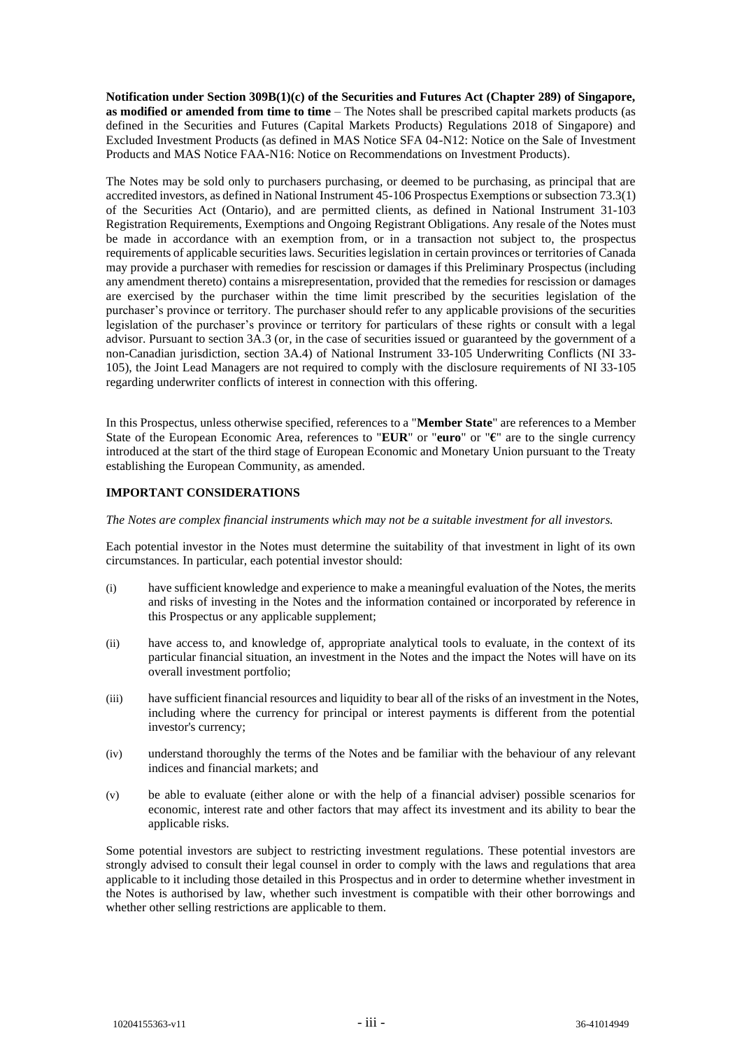**Notification under Section 309B(1)(c) of the Securities and Futures Act (Chapter 289) of Singapore, as modified or amended from time to time** – The Notes shall be prescribed capital markets products (as defined in the Securities and Futures (Capital Markets Products) Regulations 2018 of Singapore) and Excluded Investment Products (as defined in MAS Notice SFA 04-N12: Notice on the Sale of Investment Products and MAS Notice FAA-N16: Notice on Recommendations on Investment Products).

The Notes may be sold only to purchasers purchasing, or deemed to be purchasing, as principal that are accredited investors, as defined in National Instrument 45-106 Prospectus Exemptions or subsection 73.3(1) of the Securities Act (Ontario), and are permitted clients, as defined in National Instrument 31-103 Registration Requirements, Exemptions and Ongoing Registrant Obligations. Any resale of the Notes must be made in accordance with an exemption from, or in a transaction not subject to, the prospectus requirements of applicable securities laws. Securities legislation in certain provinces or territories of Canada may provide a purchaser with remedies for rescission or damages if this Preliminary Prospectus (including any amendment thereto) contains a misrepresentation, provided that the remedies for rescission or damages are exercised by the purchaser within the time limit prescribed by the securities legislation of the purchaser's province or territory. The purchaser should refer to any applicable provisions of the securities legislation of the purchaser's province or territory for particulars of these rights or consult with a legal advisor. Pursuant to section 3A.3 (or, in the case of securities issued or guaranteed by the government of a non-Canadian jurisdiction, section 3A.4) of National Instrument 33-105 Underwriting Conflicts (NI 33- 105), the Joint Lead Managers are not required to comply with the disclosure requirements of NI 33-105 regarding underwriter conflicts of interest in connection with this offering.

In this Prospectus, unless otherwise specified, references to a "**Member State**" are references to a Member State of the European Economic Area, references to "**EUR**" or "**euro**" or "**€**" are to the single currency introduced at the start of the third stage of European Economic and Monetary Union pursuant to the Treaty establishing the European Community, as amended.

# **IMPORTANT CONSIDERATIONS**

#### *The Notes are complex financial instruments which may not be a suitable investment for all investors.*

Each potential investor in the Notes must determine the suitability of that investment in light of its own circumstances. In particular, each potential investor should:

- (i) have sufficient knowledge and experience to make a meaningful evaluation of the Notes, the merits and risks of investing in the Notes and the information contained or incorporated by reference in this Prospectus or any applicable supplement;
- (ii) have access to, and knowledge of, appropriate analytical tools to evaluate, in the context of its particular financial situation, an investment in the Notes and the impact the Notes will have on its overall investment portfolio;
- (iii) have sufficient financial resources and liquidity to bear all of the risks of an investment in the Notes, including where the currency for principal or interest payments is different from the potential investor's currency;
- (iv) understand thoroughly the terms of the Notes and be familiar with the behaviour of any relevant indices and financial markets; and
- (v) be able to evaluate (either alone or with the help of a financial adviser) possible scenarios for economic, interest rate and other factors that may affect its investment and its ability to bear the applicable risks.

Some potential investors are subject to restricting investment regulations. These potential investors are strongly advised to consult their legal counsel in order to comply with the laws and regulations that area applicable to it including those detailed in this Prospectus and in order to determine whether investment in the Notes is authorised by law, whether such investment is compatible with their other borrowings and whether other selling restrictions are applicable to them.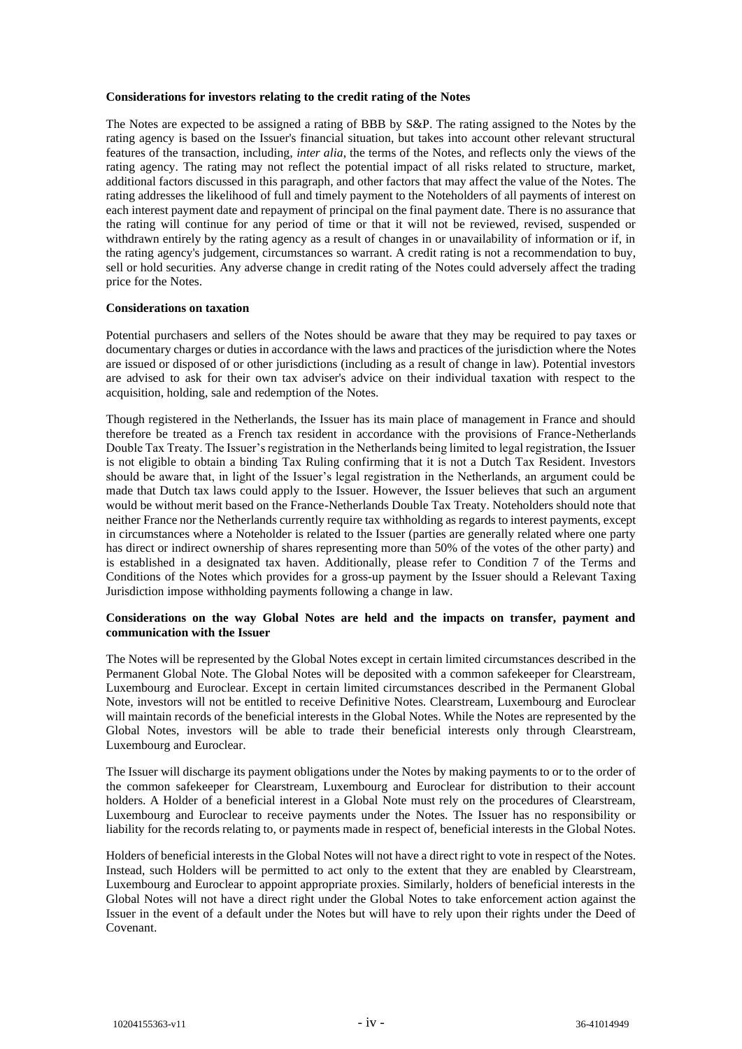#### **Considerations for investors relating to the credit rating of the Notes**

The Notes are expected to be assigned a rating of BBB by S&P. The rating assigned to the Notes by the rating agency is based on the Issuer's financial situation, but takes into account other relevant structural features of the transaction, including, *inter alia*, the terms of the Notes, and reflects only the views of the rating agency. The rating may not reflect the potential impact of all risks related to structure, market, additional factors discussed in this paragraph, and other factors that may affect the value of the Notes. The rating addresses the likelihood of full and timely payment to the Noteholders of all payments of interest on each interest payment date and repayment of principal on the final payment date. There is no assurance that the rating will continue for any period of time or that it will not be reviewed, revised, suspended or withdrawn entirely by the rating agency as a result of changes in or unavailability of information or if, in the rating agency's judgement, circumstances so warrant. A credit rating is not a recommendation to buy, sell or hold securities. Any adverse change in credit rating of the Notes could adversely affect the trading price for the Notes.

#### **Considerations on taxation**

Potential purchasers and sellers of the Notes should be aware that they may be required to pay taxes or documentary charges or duties in accordance with the laws and practices of the jurisdiction where the Notes are issued or disposed of or other jurisdictions (including as a result of change in law). Potential investors are advised to ask for their own tax adviser's advice on their individual taxation with respect to the acquisition, holding, sale and redemption of the Notes.

Though registered in the Netherlands, the Issuer has its main place of management in France and should therefore be treated as a French tax resident in accordance with the provisions of France-Netherlands Double Tax Treaty. The Issuer's registration in the Netherlands being limited to legal registration, the Issuer is not eligible to obtain a binding Tax Ruling confirming that it is not a Dutch Tax Resident. Investors should be aware that, in light of the Issuer's legal registration in the Netherlands, an argument could be made that Dutch tax laws could apply to the Issuer. However, the Issuer believes that such an argument would be without merit based on the France-Netherlands Double Tax Treaty. Noteholders should note that neither France nor the Netherlands currently require tax withholding as regards to interest payments, except in circumstances where a Noteholder is related to the Issuer (parties are generally related where one party has direct or indirect ownership of shares representing more than 50% of the votes of the other party) and is established in a designated tax haven. Additionally, please refer to Condition [7](#page-25-0) of the Terms and Conditions of the Notes which provides for a gross-up payment by the Issuer should a Relevant Taxing Jurisdiction impose withholding payments following a change in law.

#### **Considerations on the way Global Notes are held and the impacts on transfer, payment and communication with the Issuer**

The Notes will be represented by the Global Notes except in certain limited circumstances described in the Permanent Global Note. The Global Notes will be deposited with a common safekeeper for Clearstream, Luxembourg and Euroclear. Except in certain limited circumstances described in the Permanent Global Note, investors will not be entitled to receive Definitive Notes. Clearstream, Luxembourg and Euroclear will maintain records of the beneficial interests in the Global Notes. While the Notes are represented by the Global Notes, investors will be able to trade their beneficial interests only through Clearstream, Luxembourg and Euroclear.

The Issuer will discharge its payment obligations under the Notes by making payments to or to the order of the common safekeeper for Clearstream, Luxembourg and Euroclear for distribution to their account holders. A Holder of a beneficial interest in a Global Note must rely on the procedures of Clearstream, Luxembourg and Euroclear to receive payments under the Notes. The Issuer has no responsibility or liability for the records relating to, or payments made in respect of, beneficial interests in the Global Notes.

Holders of beneficial interests in the Global Notes will not have a direct right to vote in respect of the Notes. Instead, such Holders will be permitted to act only to the extent that they are enabled by Clearstream, Luxembourg and Euroclear to appoint appropriate proxies. Similarly, holders of beneficial interests in the Global Notes will not have a direct right under the Global Notes to take enforcement action against the Issuer in the event of a default under the Notes but will have to rely upon their rights under the Deed of Covenant.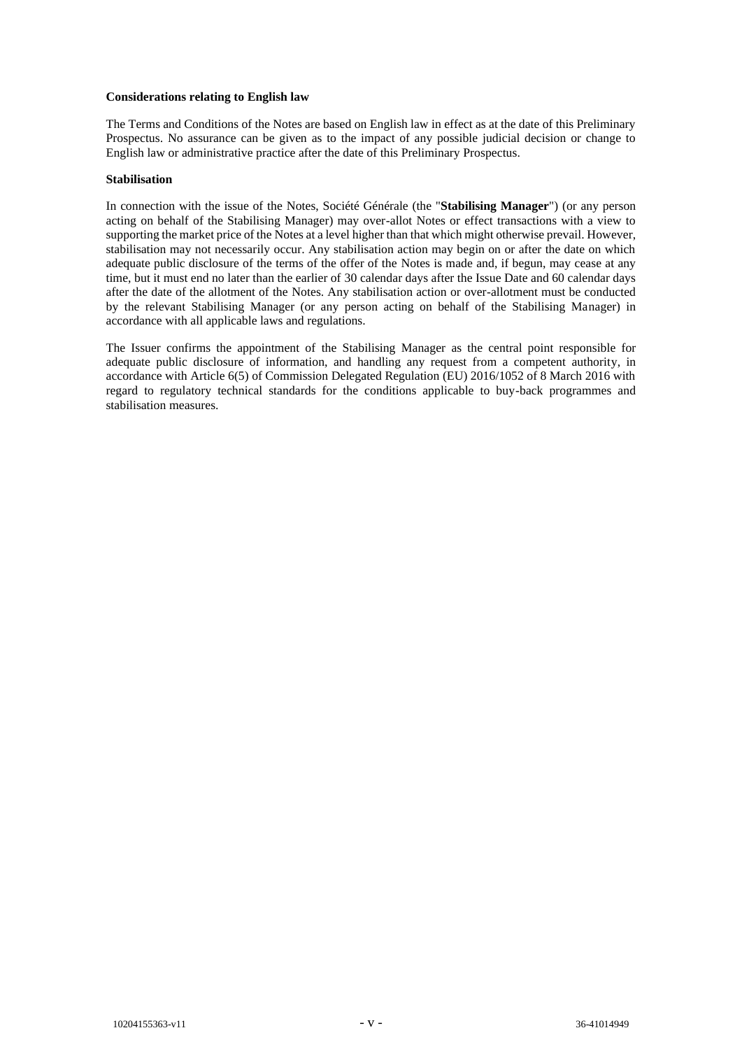#### **Considerations relating to English law**

The Terms and Conditions of the Notes are based on English law in effect as at the date of this Preliminary Prospectus. No assurance can be given as to the impact of any possible judicial decision or change to English law or administrative practice after the date of this Preliminary Prospectus.

#### **Stabilisation**

In connection with the issue of the Notes, Société Générale (the "**Stabilising Manager**") (or any person acting on behalf of the Stabilising Manager) may over-allot Notes or effect transactions with a view to supporting the market price of the Notes at a level higher than that which might otherwise prevail. However, stabilisation may not necessarily occur. Any stabilisation action may begin on or after the date on which adequate public disclosure of the terms of the offer of the Notes is made and, if begun, may cease at any time, but it must end no later than the earlier of 30 calendar days after the Issue Date and 60 calendar days after the date of the allotment of the Notes. Any stabilisation action or over-allotment must be conducted by the relevant Stabilising Manager (or any person acting on behalf of the Stabilising Manager) in accordance with all applicable laws and regulations.

The Issuer confirms the appointment of the Stabilising Manager as the central point responsible for adequate public disclosure of information, and handling any request from a competent authority, in accordance with Article 6(5) of Commission Delegated Regulation (EU) 2016/1052 of 8 March 2016 with regard to regulatory technical standards for the conditions applicable to buy-back programmes and stabilisation measures.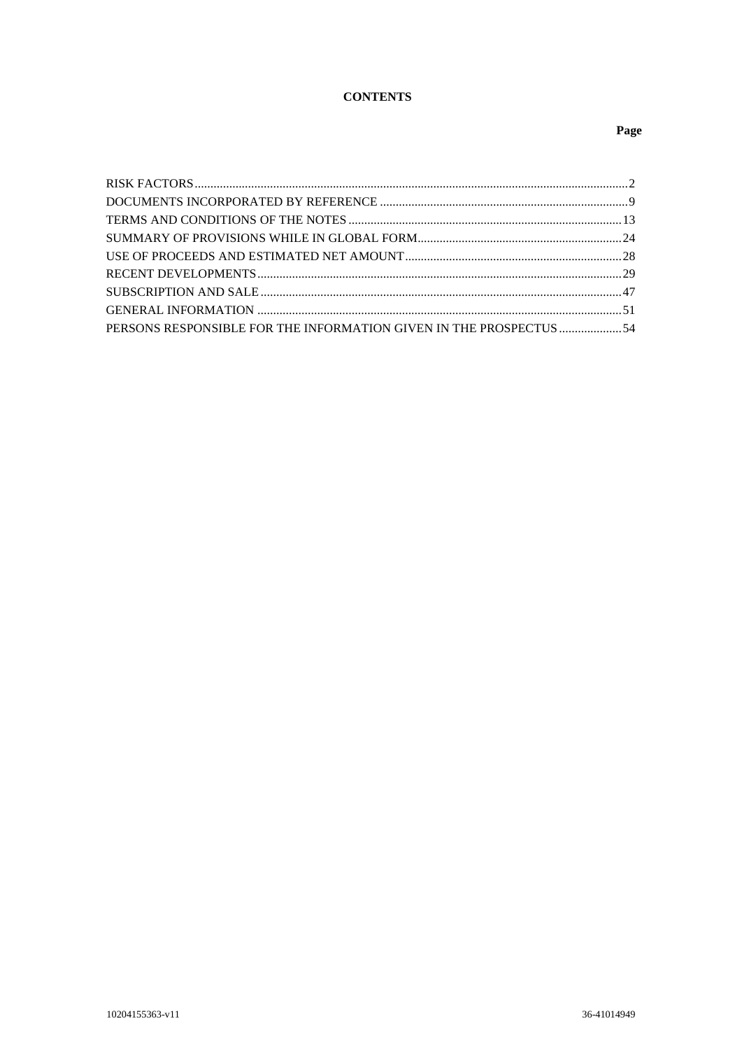# **CONTENTS**

# Page

| PERSONS RESPONSIBLE FOR THE INFORMATION GIVEN IN THE PROSPECTUS  54 |  |
|---------------------------------------------------------------------|--|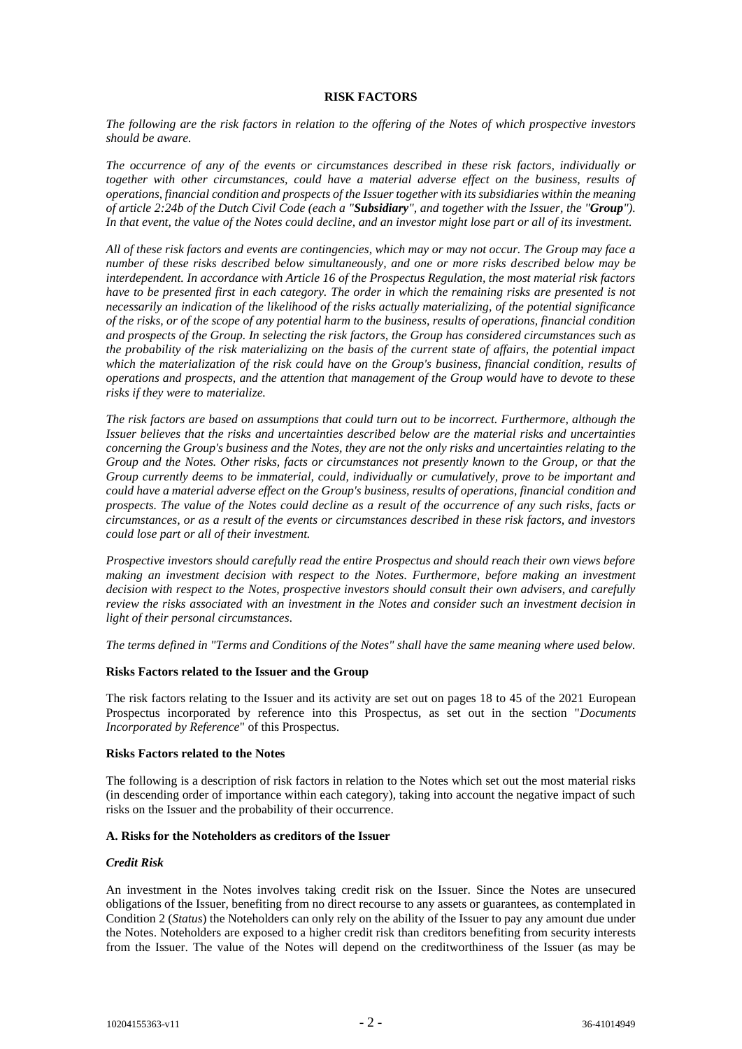# **RISK FACTORS**

<span id="page-8-0"></span>*The following are the risk factors in relation to the offering of the Notes of which prospective investors should be aware.*

*The occurrence of any of the events or circumstances described in these risk factors, individually or together with other circumstances, could have a material adverse effect on the business, results of operations, financial condition and prospects of the Issuer together with its subsidiaries within the meaning of article 2:24b of the Dutch Civil Code (each a "Subsidiary", and together with the Issuer, the "Group"). In that event, the value of the Notes could decline, and an investor might lose part or all of its investment.*

*All of these risk factors and events are contingencies, which may or may not occur. The Group may face a number of these risks described below simultaneously, and one or more risks described below may be interdependent. In accordance with Article 16 of the Prospectus Regulation, the most material risk factors have to be presented first in each category. The order in which the remaining risks are presented is not necessarily an indication of the likelihood of the risks actually materializing, of the potential significance of the risks, or of the scope of any potential harm to the business, results of operations, financial condition and prospects of the Group. In selecting the risk factors, the Group has considered circumstances such as the probability of the risk materializing on the basis of the current state of affairs, the potential impact which the materialization of the risk could have on the Group's business, financial condition, results of operations and prospects, and the attention that management of the Group would have to devote to these risks if they were to materialize.*

*The risk factors are based on assumptions that could turn out to be incorrect. Furthermore, although the Issuer believes that the risks and uncertainties described below are the material risks and uncertainties concerning the Group's business and the Notes, they are not the only risks and uncertainties relating to the Group and the Notes. Other risks, facts or circumstances not presently known to the Group, or that the Group currently deems to be immaterial, could, individually or cumulatively, prove to be important and could have a material adverse effect on the Group's business, results of operations, financial condition and prospects. The value of the Notes could decline as a result of the occurrence of any such risks, facts or circumstances, or as a result of the events or circumstances described in these risk factors, and investors could lose part or all of their investment.*

*Prospective investors should carefully read the entire Prospectus and should reach their own views before making an investment decision with respect to the Notes. Furthermore, before making an investment decision with respect to the Notes, prospective investors should consult their own advisers, and carefully review the risks associated with an investment in the Notes and consider such an investment decision in light of their personal circumstances.*

*The terms defined in "Terms and Conditions of the Notes" shall have the same meaning where used below.*

#### **Risks Factors related to the Issuer and the Group**

The risk factors relating to the Issuer and its activity are set out on pages 18 to 45 of the 2021 European Prospectus incorporated by reference into this Prospectus, as set out in the section "*Documents Incorporated by Reference*" of this Prospectus.

#### **Risks Factors related to the Notes**

The following is a description of risk factors in relation to the Notes which set out the most material risks (in descending order of importance within each category), taking into account the negative impact of such risks on the Issuer and the probability of their occurrence.

#### **A. Risks for the Noteholders as creditors of the Issuer**

#### *Credit Risk*

An investment in the Notes involves taking credit risk on the Issuer. Since the Notes are unsecured obligations of the Issuer, benefiting from no direct recourse to any assets or guarantees, as contemplated in Conditio[n 2](#page-19-1) (*Status*) the Noteholders can only rely on the ability of the Issuer to pay any amount due under the Notes. Noteholders are exposed to a higher credit risk than creditors benefiting from security interests from the Issuer. The value of the Notes will depend on the creditworthiness of the Issuer (as may be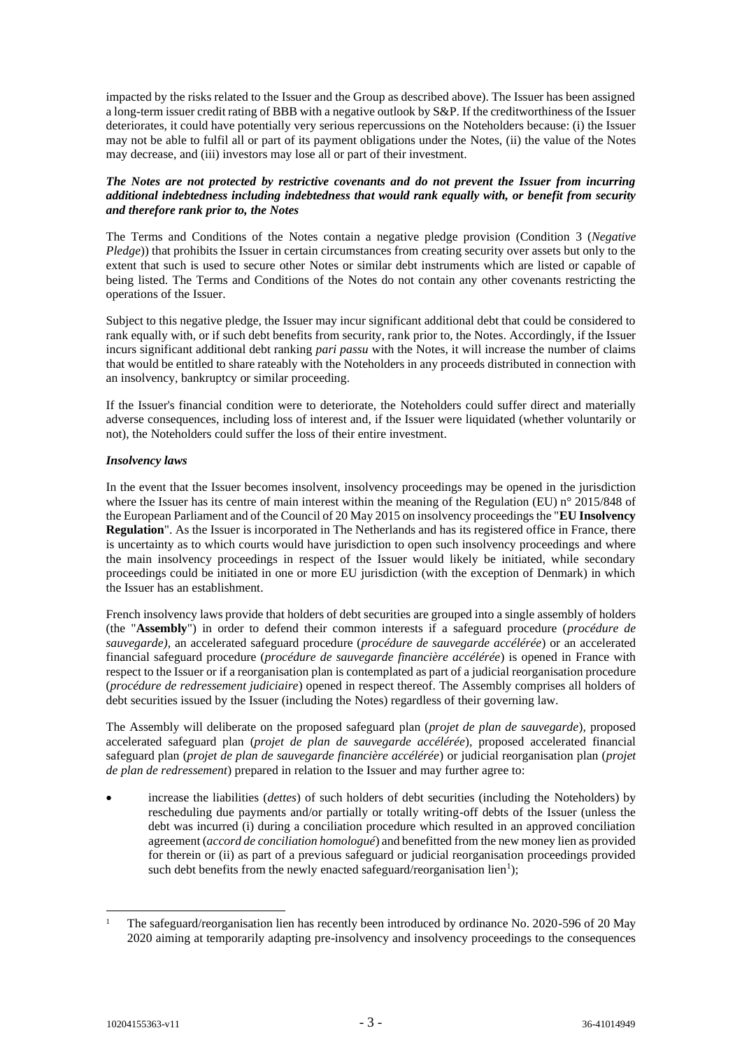impacted by the risks related to the Issuer and the Group as described above). The Issuer has been assigned a long-term issuer credit rating of BBB with a negative outlook by S&P. If the creditworthiness of the Issuer deteriorates, it could have potentially very serious repercussions on the Noteholders because: (i) the Issuer may not be able to fulfil all or part of its payment obligations under the Notes, (ii) the value of the Notes may decrease, and (iii) investors may lose all or part of their investment.

#### *The Notes are not protected by restrictive covenants and do not prevent the Issuer from incurring additional indebtedness including indebtedness that would rank equally with, or benefit from security and therefore rank prior to, the Notes*

The Terms and Conditions of the Notes contain a negative pledge provision (Condition [3](#page-19-2) (*Negative Pledge*)) that prohibits the Issuer in certain circumstances from creating security over assets but only to the extent that such is used to secure other Notes or similar debt instruments which are listed or capable of being listed. The Terms and Conditions of the Notes do not contain any other covenants restricting the operations of the Issuer.

Subject to this negative pledge, the Issuer may incur significant additional debt that could be considered to rank equally with, or if such debt benefits from security, rank prior to, the Notes. Accordingly, if the Issuer incurs significant additional debt ranking *pari passu* with the Notes, it will increase the number of claims that would be entitled to share rateably with the Noteholders in any proceeds distributed in connection with an insolvency, bankruptcy or similar proceeding.

If the Issuer's financial condition were to deteriorate, the Noteholders could suffer direct and materially adverse consequences, including loss of interest and, if the Issuer were liquidated (whether voluntarily or not), the Noteholders could suffer the loss of their entire investment.

# *Insolvency laws*

In the event that the Issuer becomes insolvent, insolvency proceedings may be opened in the jurisdiction where the Issuer has its centre of main interest within the meaning of the Regulation (EU) n° 2015/848 of the European Parliament and of the Council of 20 May 2015 on insolvency proceedings the "**EU Insolvency Regulation**". As the Issuer is incorporated in The Netherlands and has its registered office in France, there is uncertainty as to which courts would have jurisdiction to open such insolvency proceedings and where the main insolvency proceedings in respect of the Issuer would likely be initiated, while secondary proceedings could be initiated in one or more EU jurisdiction (with the exception of Denmark) in which the Issuer has an establishment.

French insolvency laws provide that holders of debt securities are grouped into a single assembly of holders (the "**Assembly**") in order to defend their common interests if a safeguard procedure (*procédure de sauvegarde),* an accelerated safeguard procedure (*procédure de sauvegarde accélérée*) or an accelerated financial safeguard procedure (*procédure de sauvegarde financière accélérée*) is opened in France with respect to the Issuer or if a reorganisation plan is contemplated as part of a judicial reorganisation procedure (*procédure de redressement judiciaire*) opened in respect thereof. The Assembly comprises all holders of debt securities issued by the Issuer (including the Notes) regardless of their governing law.

The Assembly will deliberate on the proposed safeguard plan (*projet de plan de sauvegarde*)*,* proposed accelerated safeguard plan (*projet de plan de sauvegarde accélérée*)*,* proposed accelerated financial safeguard plan (*projet de plan de sauvegarde financière accélérée*) or judicial reorganisation plan (*projet de plan de redressement*) prepared in relation to the Issuer and may further agree to:

• increase the liabilities (*dettes*) of such holders of debt securities (including the Noteholders) by rescheduling due payments and/or partially or totally writing-off debts of the Issuer (unless the debt was incurred (i) during a conciliation procedure which resulted in an approved conciliation agreement (*accord de conciliation homologué*) and benefitted from the new money lien as provided for therein or (ii) as part of a previous safeguard or judicial reorganisation proceedings provided such debt benefits from the newly enacted safeguard/reorganisation  $\text{lien}^1$ );

<sup>1</sup> The safeguard/reorganisation lien has recently been introduced by ordinance No. 2020-596 of 20 May 2020 aiming at temporarily adapting pre-insolvency and insolvency proceedings to the consequences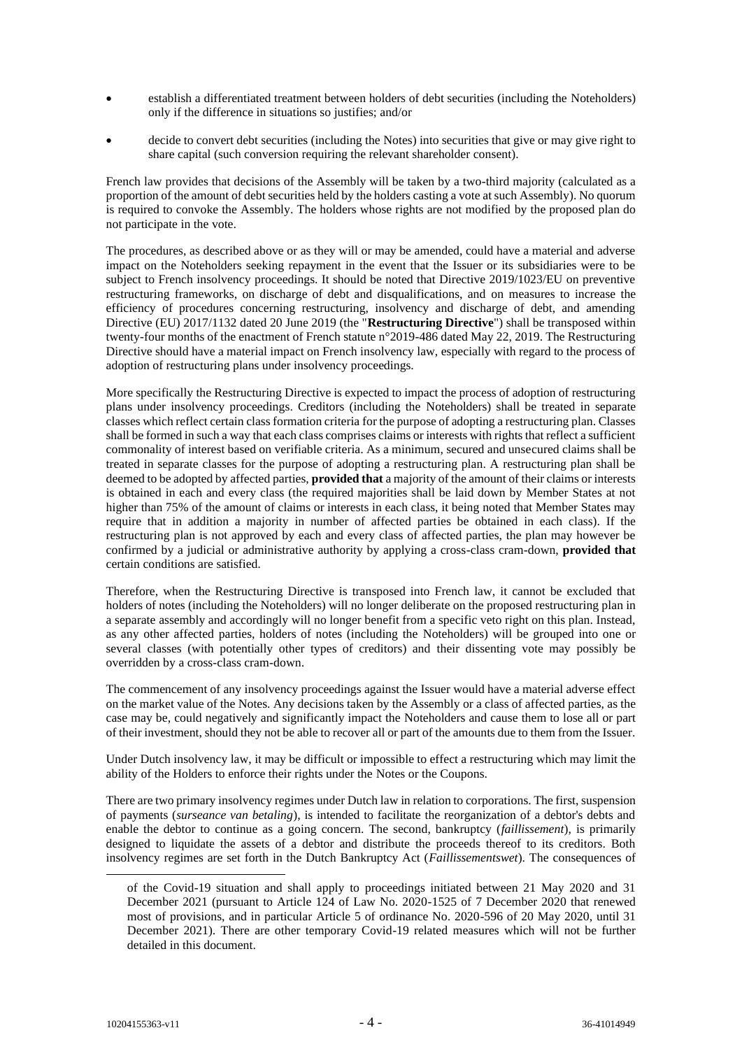- establish a differentiated treatment between holders of debt securities (including the Noteholders) only if the difference in situations so justifies; and/or
- decide to convert debt securities (including the Notes) into securities that give or may give right to share capital (such conversion requiring the relevant shareholder consent).

French law provides that decisions of the Assembly will be taken by a two-third majority (calculated as a proportion of the amount of debt securities held by the holders casting a vote at such Assembly). No quorum is required to convoke the Assembly. The holders whose rights are not modified by the proposed plan do not participate in the vote.

The procedures, as described above or as they will or may be amended, could have a material and adverse impact on the Noteholders seeking repayment in the event that the Issuer or its subsidiaries were to be subject to French insolvency proceedings. It should be noted that Directive 2019/1023/EU on preventive restructuring frameworks, on discharge of debt and disqualifications, and on measures to increase the efficiency of procedures concerning restructuring, insolvency and discharge of debt, and amending Directive (EU) 2017/1132 dated 20 June 2019 (the "**Restructuring Directive**") shall be transposed within twenty-four months of the enactment of French statute n°2019-486 dated May 22, 2019. The Restructuring Directive should have a material impact on French insolvency law, especially with regard to the process of adoption of restructuring plans under insolvency proceedings.

More specifically the Restructuring Directive is expected to impact the process of adoption of restructuring plans under insolvency proceedings. Creditors (including the Noteholders) shall be treated in separate classes which reflect certain class formation criteria for the purpose of adopting a restructuring plan. Classes shall be formed in such a way that each class comprises claims or interests with rights that reflect a sufficient commonality of interest based on verifiable criteria. As a minimum, secured and unsecured claims shall be treated in separate classes for the purpose of adopting a restructuring plan. A restructuring plan shall be deemed to be adopted by affected parties, **provided that** a majority of the amount of their claims or interests is obtained in each and every class (the required majorities shall be laid down by Member States at not higher than 75% of the amount of claims or interests in each class, it being noted that Member States may require that in addition a majority in number of affected parties be obtained in each class). If the restructuring plan is not approved by each and every class of affected parties, the plan may however be confirmed by a judicial or administrative authority by applying a cross-class cram-down, **provided that** certain conditions are satisfied*.*

Therefore, when the Restructuring Directive is transposed into French law, it cannot be excluded that holders of notes (including the Noteholders) will no longer deliberate on the proposed restructuring plan in a separate assembly and accordingly will no longer benefit from a specific veto right on this plan. Instead, as any other affected parties, holders of notes (including the Noteholders) will be grouped into one or several classes (with potentially other types of creditors) and their dissenting vote may possibly be overridden by a cross-class cram-down.

The commencement of any insolvency proceedings against the Issuer would have a material adverse effect on the market value of the Notes. Any decisions taken by the Assembly or a class of affected parties, as the case may be, could negatively and significantly impact the Noteholders and cause them to lose all or part of their investment, should they not be able to recover all or part of the amounts due to them from the Issuer.

Under Dutch insolvency law, it may be difficult or impossible to effect a restructuring which may limit the ability of the Holders to enforce their rights under the Notes or the Coupons.

There are two primary insolvency regimes under Dutch law in relation to corporations. The first, suspension of payments (*surseance van betaling*), is intended to facilitate the reorganization of a debtor's debts and enable the debtor to continue as a going concern. The second, bankruptcy (*faillissement*), is primarily designed to liquidate the assets of a debtor and distribute the proceeds thereof to its creditors. Both insolvency regimes are set forth in the Dutch Bankruptcy Act (*Faillissementswet*). The consequences of

of the Covid-19 situation and shall apply to proceedings initiated between 21 May 2020 and 31 December 2021 (pursuant to Article 124 of Law No. 2020-1525 of 7 December 2020 that renewed most of provisions, and in particular Article 5 of ordinance No. 2020-596 of 20 May 2020, until 31 December 2021). There are other temporary Covid-19 related measures which will not be further detailed in this document.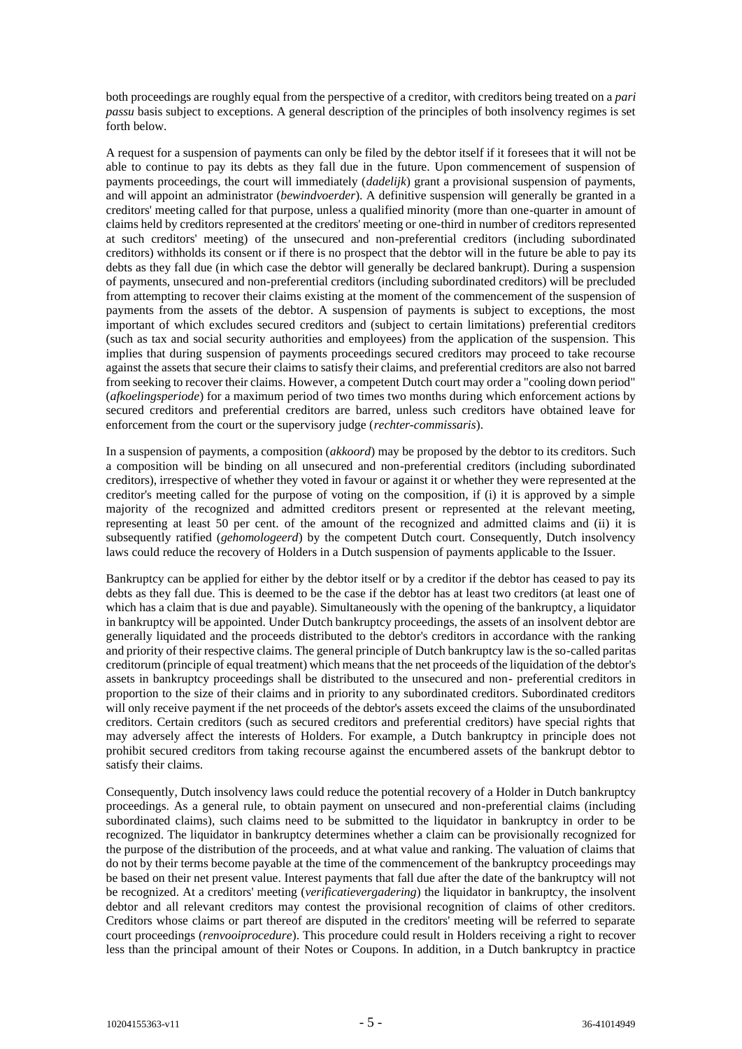both proceedings are roughly equal from the perspective of a creditor, with creditors being treated on a *pari passu* basis subject to exceptions. A general description of the principles of both insolvency regimes is set forth below.

A request for a suspension of payments can only be filed by the debtor itself if it foresees that it will not be able to continue to pay its debts as they fall due in the future. Upon commencement of suspension of payments proceedings, the court will immediately (*dadelijk*) grant a provisional suspension of payments, and will appoint an administrator (*bewindvoerder*). A definitive suspension will generally be granted in a creditors' meeting called for that purpose, unless a qualified minority (more than one-quarter in amount of claims held by creditors represented at the creditors' meeting or one-third in number of creditors represented at such creditors' meeting) of the unsecured and non-preferential creditors (including subordinated creditors) withholds its consent or if there is no prospect that the debtor will in the future be able to pay its debts as they fall due (in which case the debtor will generally be declared bankrupt). During a suspension of payments, unsecured and non-preferential creditors (including subordinated creditors) will be precluded from attempting to recover their claims existing at the moment of the commencement of the suspension of payments from the assets of the debtor. A suspension of payments is subject to exceptions, the most important of which excludes secured creditors and (subject to certain limitations) preferential creditors (such as tax and social security authorities and employees) from the application of the suspension. This implies that during suspension of payments proceedings secured creditors may proceed to take recourse against the assets that secure their claims to satisfy their claims, and preferential creditors are also not barred from seeking to recover their claims. However, a competent Dutch court may order a "cooling down period" (*afkoelingsperiode*) for a maximum period of two times two months during which enforcement actions by secured creditors and preferential creditors are barred, unless such creditors have obtained leave for enforcement from the court or the supervisory judge (*rechter-commissaris*).

In a suspension of payments, a composition (*akkoord*) may be proposed by the debtor to its creditors. Such a composition will be binding on all unsecured and non-preferential creditors (including subordinated creditors), irrespective of whether they voted in favour or against it or whether they were represented at the creditor's meeting called for the purpose of voting on the composition, if (i) it is approved by a simple majority of the recognized and admitted creditors present or represented at the relevant meeting, representing at least 50 per cent. of the amount of the recognized and admitted claims and (ii) it is subsequently ratified (*gehomologeerd*) by the competent Dutch court. Consequently, Dutch insolvency laws could reduce the recovery of Holders in a Dutch suspension of payments applicable to the Issuer.

Bankruptcy can be applied for either by the debtor itself or by a creditor if the debtor has ceased to pay its debts as they fall due. This is deemed to be the case if the debtor has at least two creditors (at least one of which has a claim that is due and payable). Simultaneously with the opening of the bankruptcy, a liquidator in bankruptcy will be appointed. Under Dutch bankruptcy proceedings, the assets of an insolvent debtor are generally liquidated and the proceeds distributed to the debtor's creditors in accordance with the ranking and priority of their respective claims. The general principle of Dutch bankruptcy law is the so-called paritas creditorum (principle of equal treatment) which means that the net proceeds of the liquidation of the debtor's assets in bankruptcy proceedings shall be distributed to the unsecured and non- preferential creditors in proportion to the size of their claims and in priority to any subordinated creditors. Subordinated creditors will only receive payment if the net proceeds of the debtor's assets exceed the claims of the unsubordinated creditors. Certain creditors (such as secured creditors and preferential creditors) have special rights that may adversely affect the interests of Holders. For example, a Dutch bankruptcy in principle does not prohibit secured creditors from taking recourse against the encumbered assets of the bankrupt debtor to satisfy their claims.

Consequently, Dutch insolvency laws could reduce the potential recovery of a Holder in Dutch bankruptcy proceedings. As a general rule, to obtain payment on unsecured and non-preferential claims (including subordinated claims), such claims need to be submitted to the liquidator in bankruptcy in order to be recognized. The liquidator in bankruptcy determines whether a claim can be provisionally recognized for the purpose of the distribution of the proceeds, and at what value and ranking. The valuation of claims that do not by their terms become payable at the time of the commencement of the bankruptcy proceedings may be based on their net present value. Interest payments that fall due after the date of the bankruptcy will not be recognized. At a creditors' meeting (*verificatievergadering*) the liquidator in bankruptcy, the insolvent debtor and all relevant creditors may contest the provisional recognition of claims of other creditors. Creditors whose claims or part thereof are disputed in the creditors' meeting will be referred to separate court proceedings (*renvooiprocedure*). This procedure could result in Holders receiving a right to recover less than the principal amount of their Notes or Coupons. In addition, in a Dutch bankruptcy in practice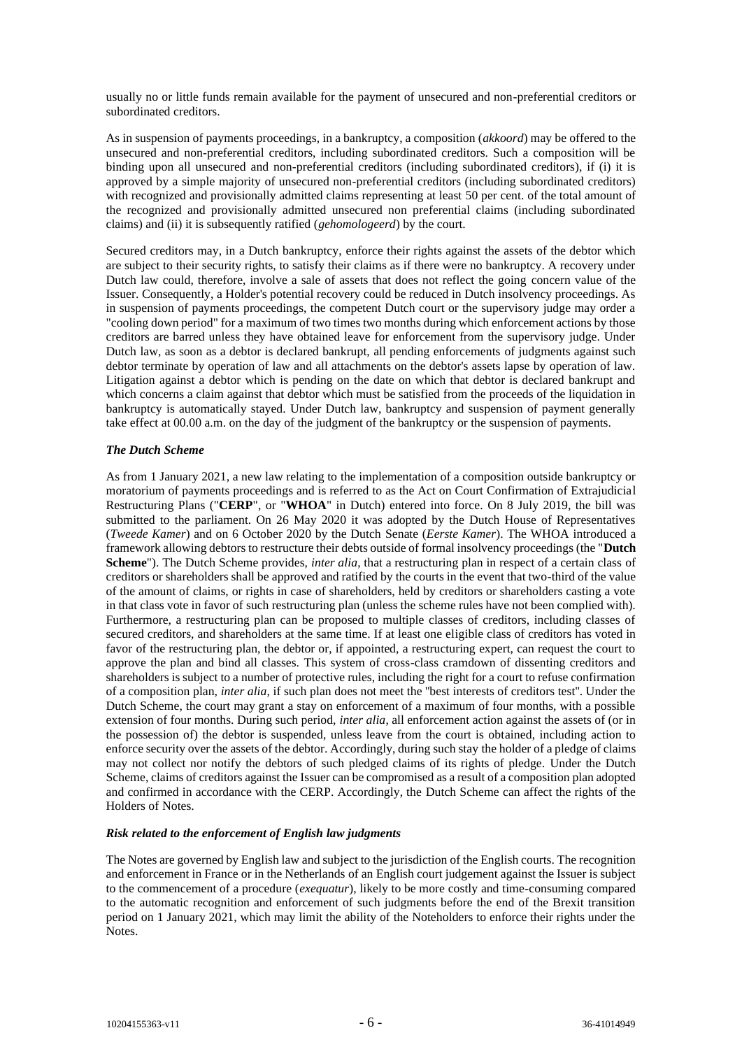usually no or little funds remain available for the payment of unsecured and non-preferential creditors or subordinated creditors.

As in suspension of payments proceedings, in a bankruptcy, a composition (*akkoord*) may be offered to the unsecured and non-preferential creditors, including subordinated creditors. Such a composition will be binding upon all unsecured and non-preferential creditors (including subordinated creditors), if (i) it is approved by a simple majority of unsecured non-preferential creditors (including subordinated creditors) with recognized and provisionally admitted claims representing at least 50 per cent. of the total amount of the recognized and provisionally admitted unsecured non preferential claims (including subordinated claims) and (ii) it is subsequently ratified (*gehomologeerd*) by the court.

Secured creditors may, in a Dutch bankruptcy, enforce their rights against the assets of the debtor which are subject to their security rights, to satisfy their claims as if there were no bankruptcy. A recovery under Dutch law could, therefore, involve a sale of assets that does not reflect the going concern value of the Issuer. Consequently, a Holder's potential recovery could be reduced in Dutch insolvency proceedings. As in suspension of payments proceedings, the competent Dutch court or the supervisory judge may order a "cooling down period" for a maximum of two times two months during which enforcement actions by those creditors are barred unless they have obtained leave for enforcement from the supervisory judge. Under Dutch law, as soon as a debtor is declared bankrupt, all pending enforcements of judgments against such debtor terminate by operation of law and all attachments on the debtor's assets lapse by operation of law. Litigation against a debtor which is pending on the date on which that debtor is declared bankrupt and which concerns a claim against that debtor which must be satisfied from the proceeds of the liquidation in bankruptcy is automatically stayed. Under Dutch law, bankruptcy and suspension of payment generally take effect at 00.00 a.m. on the day of the judgment of the bankruptcy or the suspension of payments.

# *The Dutch Scheme*

As from 1 January 2021, a new law relating to the implementation of a composition outside bankruptcy or moratorium of payments proceedings and is referred to as the Act on Court Confirmation of Extrajudicial Restructuring Plans ("**CERP**", or "**WHOA**" in Dutch) entered into force. On 8 July 2019, the bill was submitted to the parliament. On 26 May 2020 it was adopted by the Dutch House of Representatives (*Tweede Kamer*) and on 6 October 2020 by the Dutch Senate (*Eerste Kamer*). The WHOA introduced a framework allowing debtors to restructure their debts outside of formal insolvency proceedings (the "**Dutch Scheme**"). The Dutch Scheme provides, *inter alia*, that a restructuring plan in respect of a certain class of creditors or shareholders shall be approved and ratified by the courts in the event that two-third of the value of the amount of claims, or rights in case of shareholders, held by creditors or shareholders casting a vote in that class vote in favor of such restructuring plan (unless the scheme rules have not been complied with). Furthermore, a restructuring plan can be proposed to multiple classes of creditors, including classes of secured creditors, and shareholders at the same time. If at least one eligible class of creditors has voted in favor of the restructuring plan, the debtor or, if appointed, a restructuring expert, can request the court to approve the plan and bind all classes. This system of cross-class cramdown of dissenting creditors and shareholders is subject to a number of protective rules, including the right for a court to refuse confirmation of a composition plan, *inter alia*, if such plan does not meet the ''best interests of creditors test''. Under the Dutch Scheme, the court may grant a stay on enforcement of a maximum of four months, with a possible extension of four months. During such period, *inter alia*, all enforcement action against the assets of (or in the possession of) the debtor is suspended, unless leave from the court is obtained, including action to enforce security over the assets of the debtor. Accordingly, during such stay the holder of a pledge of claims may not collect nor notify the debtors of such pledged claims of its rights of pledge. Under the Dutch Scheme, claims of creditors against the Issuer can be compromised as a result of a composition plan adopted and confirmed in accordance with the CERP. Accordingly, the Dutch Scheme can affect the rights of the Holders of Notes.

# *Risk related to the enforcement of English law judgments*

The Notes are governed by English law and subject to the jurisdiction of the English courts. The recognition and enforcement in France or in the Netherlands of an English court judgement against the Issuer is subject to the commencement of a procedure (*exequatur*), likely to be more costly and time-consuming compared to the automatic recognition and enforcement of such judgments before the end of the Brexit transition period on 1 January 2021, which may limit the ability of the Noteholders to enforce their rights under the Notes.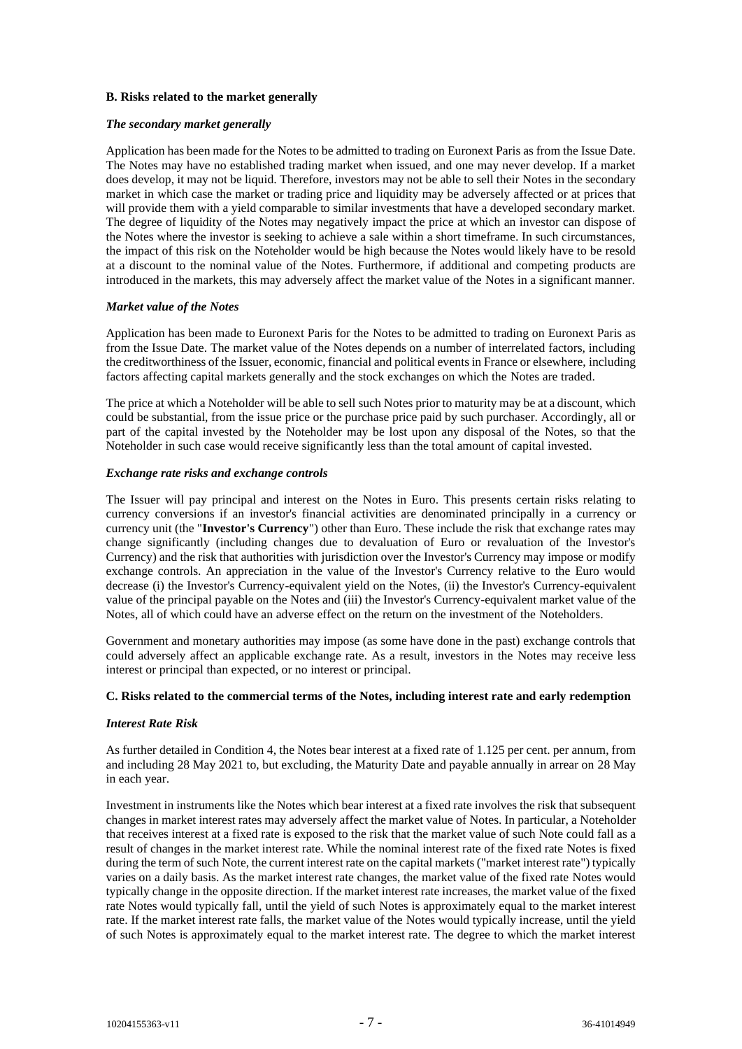# **B. Risks related to the market generally**

#### *The secondary market generally*

Application has been made for the Notes to be admitted to trading on Euronext Paris as from the Issue Date. The Notes may have no established trading market when issued, and one may never develop. If a market does develop, it may not be liquid. Therefore, investors may not be able to sell their Notes in the secondary market in which case the market or trading price and liquidity may be adversely affected or at prices that will provide them with a yield comparable to similar investments that have a developed secondary market. The degree of liquidity of the Notes may negatively impact the price at which an investor can dispose of the Notes where the investor is seeking to achieve a sale within a short timeframe. In such circumstances, the impact of this risk on the Noteholder would be high because the Notes would likely have to be resold at a discount to the nominal value of the Notes. Furthermore, if additional and competing products are introduced in the markets, this may adversely affect the market value of the Notes in a significant manner.

#### *Market value of the Notes*

Application has been made to Euronext Paris for the Notes to be admitted to trading on Euronext Paris as from the Issue Date. The market value of the Notes depends on a number of interrelated factors, including the creditworthiness of the Issuer, economic, financial and political events in France or elsewhere, including factors affecting capital markets generally and the stock exchanges on which the Notes are traded.

The price at which a Noteholder will be able to sell such Notes prior to maturity may be at a discount, which could be substantial, from the issue price or the purchase price paid by such purchaser. Accordingly, all or part of the capital invested by the Noteholder may be lost upon any disposal of the Notes, so that the Noteholder in such case would receive significantly less than the total amount of capital invested.

#### *Exchange rate risks and exchange controls*

The Issuer will pay principal and interest on the Notes in Euro. This presents certain risks relating to currency conversions if an investor's financial activities are denominated principally in a currency or currency unit (the "**Investor's Currency**") other than Euro. These include the risk that exchange rates may change significantly (including changes due to devaluation of Euro or revaluation of the Investor's Currency) and the risk that authorities with jurisdiction over the Investor's Currency may impose or modify exchange controls. An appreciation in the value of the Investor's Currency relative to the Euro would decrease (i) the Investor's Currency-equivalent yield on the Notes, (ii) the Investor's Currency-equivalent value of the principal payable on the Notes and (iii) the Investor's Currency-equivalent market value of the Notes, all of which could have an adverse effect on the return on the investment of the Noteholders.

Government and monetary authorities may impose (as some have done in the past) exchange controls that could adversely affect an applicable exchange rate. As a result, investors in the Notes may receive less interest or principal than expected, or no interest or principal.

# **C. Risks related to the commercial terms of the Notes, including interest rate and early redemption**

# *Interest Rate Risk*

As further detailed in Condition [4,](#page-20-0) the Notes bear interest at a fixed rate of 1.125 per cent. per annum, from and including 28 May 2021 to, but excluding, the Maturity Date and payable annually in arrear on 28 May in each year.

Investment in instruments like the Notes which bear interest at a fixed rate involves the risk that subsequent changes in market interest rates may adversely affect the market value of Notes. In particular, a Noteholder that receives interest at a fixed rate is exposed to the risk that the market value of such Note could fall as a result of changes in the market interest rate. While the nominal interest rate of the fixed rate Notes is fixed during the term of such Note, the current interest rate on the capital markets ("market interest rate") typically varies on a daily basis. As the market interest rate changes, the market value of the fixed rate Notes would typically change in the opposite direction. If the market interest rate increases, the market value of the fixed rate Notes would typically fall, until the yield of such Notes is approximately equal to the market interest rate. If the market interest rate falls, the market value of the Notes would typically increase, until the yield of such Notes is approximately equal to the market interest rate. The degree to which the market interest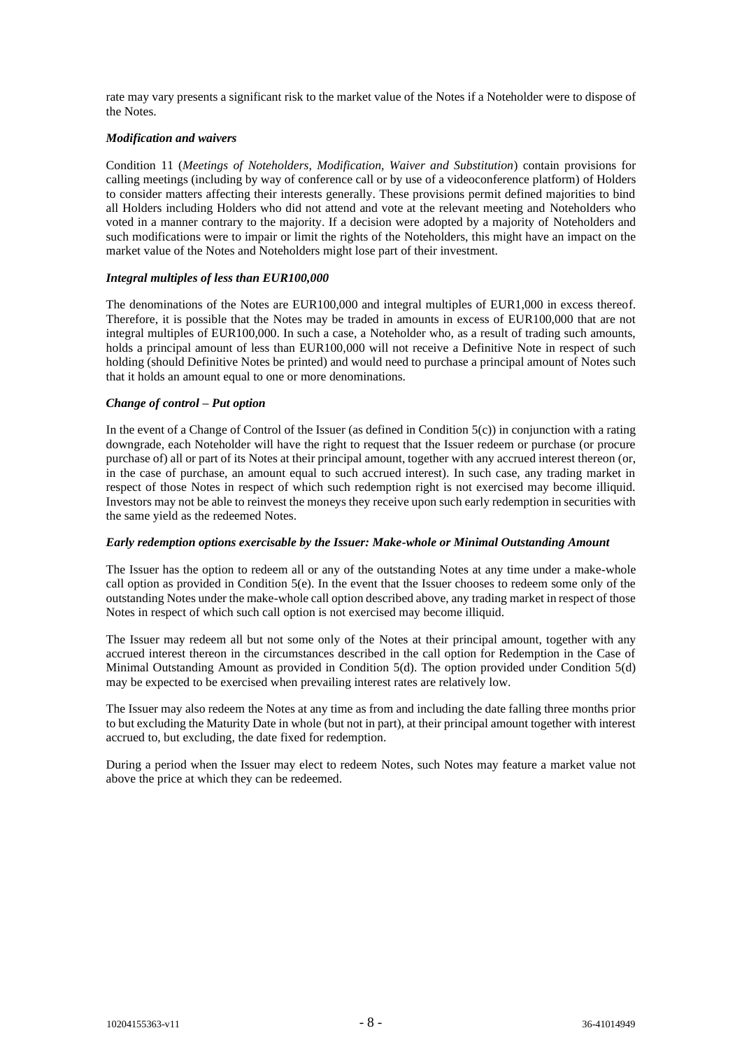rate may vary presents a significant risk to the market value of the Notes if a Noteholder were to dispose of the Notes.

#### *Modification and waivers*

Condition [11](#page-27-0) (*[Meetings of Noteholders, Modification, Waiver and Substitution](#page-27-0)*) contain provisions for calling meetings (including by way of conference call or by use of a videoconference platform) of Holders to consider matters affecting their interests generally. These provisions permit defined majorities to bind all Holders including Holders who did not attend and vote at the relevant meeting and Noteholders who voted in a manner contrary to the majority. If a decision were adopted by a majority of Noteholders and such modifications were to impair or limit the rights of the Noteholders, this might have an impact on the market value of the Notes and Noteholders might lose part of their investment.

#### *Integral multiples of less than EUR100,000*

The denominations of the Notes are EUR100,000 and integral multiples of EUR1,000 in excess thereof. Therefore, it is possible that the Notes may be traded in amounts in excess of EUR100,000 that are not integral multiples of EUR100,000. In such a case, a Noteholder who, as a result of trading such amounts, holds a principal amount of less than EUR100,000 will not receive a Definitive Note in respect of such holding (should Definitive Notes be printed) and would need to purchase a principal amount of Notes such that it holds an amount equal to one or more denominations.

#### *Change of control – Put option*

In the event of a Change of Control of the Issuer (as defined in Conditio[n 5\(c\)\)](#page-21-0) in conjunction with a rating downgrade, each Noteholder will have the right to request that the Issuer redeem or purchase (or procure purchase of) all or part of its Notes at their principal amount, together with any accrued interest thereon (or, in the case of purchase, an amount equal to such accrued interest). In such case, any trading market in respect of those Notes in respect of which such redemption right is not exercised may become illiquid. Investors may not be able to reinvest the moneys they receive upon such early redemption in securities with the same yield as the redeemed Notes.

#### *Early redemption options exercisable by the Issuer: Make-whole or Minimal Outstanding Amount*

The Issuer has the option to redeem all or any of the outstanding Notes at any time under a make-whole call option as provided in Condition [5\(e\).](#page-22-0) In the event that the Issuer chooses to redeem some only of the outstanding Notes under the make-whole call option described above, any trading market in respect of those Notes in respect of which such call option is not exercised may become illiquid.

The Issuer may redeem all but not some only of the Notes at their principal amount, together with any accrued interest thereon in the circumstances described in the call option for Redemption in the Case of Minimal Outstanding Amount as provided in Condition [5\(d\).](#page-22-1) The option provided under Condition [5\(d\)](#page-22-1) may be expected to be exercised when prevailing interest rates are relatively low.

The Issuer may also redeem the Notes at any time as from and including the date falling three months prior to but excluding the Maturity Date in whole (but not in part), at their principal amount together with interest accrued to, but excluding, the date fixed for redemption.

During a period when the Issuer may elect to redeem Notes, such Notes may feature a market value not above the price at which they can be redeemed.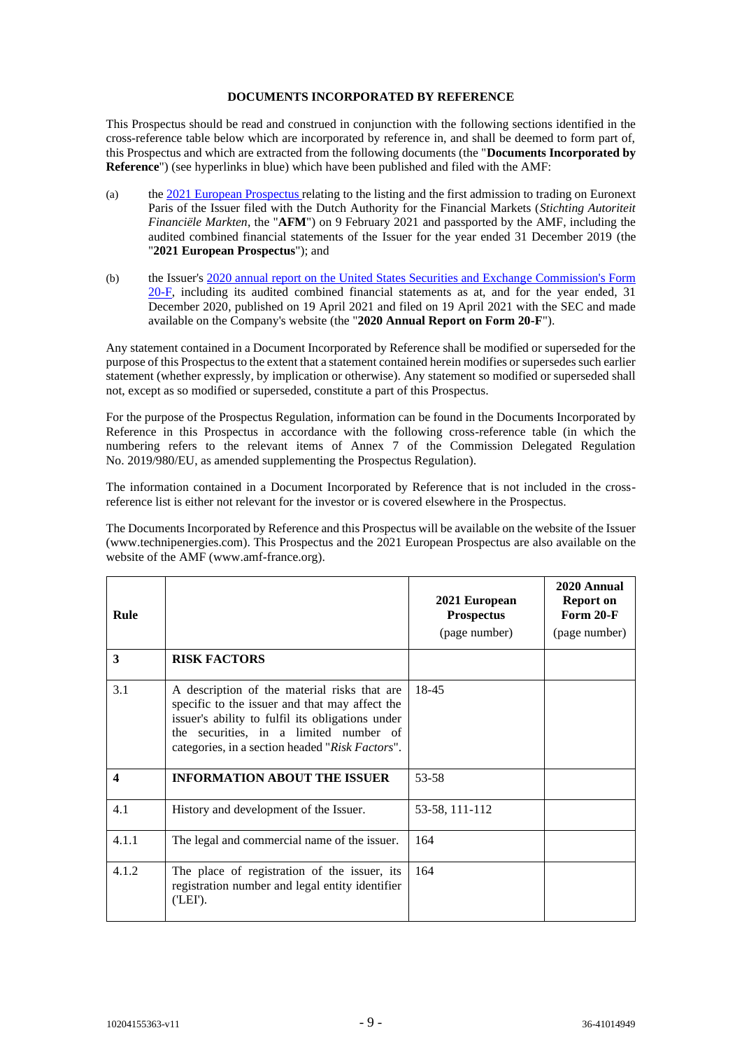# **DOCUMENTS INCORPORATED BY REFERENCE**

<span id="page-15-0"></span>This Prospectus should be read and construed in conjunction with the following sections identified in the cross-reference table below which are incorporated by reference in, and shall be deemed to form part of, this Prospectus and which are extracted from the following documents (the "**Documents Incorporated by Reference**") (see hyperlinks in blue) which have been published and filed with the AMF:

- (a) th[e 2021 European Prospectus](https://investors.technipfmc.com/static-files/e30c2ec6-54a2-4f54-81ea-d926da2d1f41) relating to the listing and the first admission to trading on Euronext Paris of the Issuer filed with the Dutch Authority for the Financial Markets (*Stichting Autoriteit Financiële Markten*, the "**AFM**") on 9 February 2021 and passported by the AMF, including the audited combined financial statements of the Issuer for the year ended 31 December 2019 (the "**2021 European Prospectus**"); and
- (b) the Issuer's [2020 annual report on the United States Securities and Exchange Commission's Form](https://investors.technipenergies.com/static-files/9085f342-e392-4e38-be81-03af5440c0a3)  [20-F,](https://investors.technipenergies.com/static-files/9085f342-e392-4e38-be81-03af5440c0a3) including its audited combined financial statements as at, and for the year ended, 31 December 2020, published on 19 April 2021 and filed on 19 April 2021 with the SEC and made available on the Company's website (the "**2020 Annual Report on Form 20-F**").

Any statement contained in a Document Incorporated by Reference shall be modified or superseded for the purpose of this Prospectus to the extent that a statement contained herein modifies or supersedes such earlier statement (whether expressly, by implication or otherwise). Any statement so modified or superseded shall not, except as so modified or superseded, constitute a part of this Prospectus.

For the purpose of the Prospectus Regulation, information can be found in the Documents Incorporated by Reference in this Prospectus in accordance with the following cross-reference table (in which the numbering refers to the relevant items of Annex 7 of the Commission Delegated Regulation No. 2019/980/EU, as amended supplementing the Prospectus Regulation).

The information contained in a Document Incorporated by Reference that is not included in the crossreference list is either not relevant for the investor or is covered elsewhere in the Prospectus.

The Documents Incorporated by Reference and this Prospectus will be available on the website of the Issuer (www.technipenergies.com). This Prospectus and the 2021 European Prospectus are also available on the website of the AMF (www.amf-france.org).

| Rule  |                                                                                                                                                                                                                                                 | 2021 European<br><b>Prospectus</b><br>(page number) | 2020 Annual<br><b>Report on</b><br>Form $20-F$<br>(page number) |
|-------|-------------------------------------------------------------------------------------------------------------------------------------------------------------------------------------------------------------------------------------------------|-----------------------------------------------------|-----------------------------------------------------------------|
| 3     | <b>RISK FACTORS</b>                                                                                                                                                                                                                             |                                                     |                                                                 |
| 3.1   | A description of the material risks that are<br>specific to the issuer and that may affect the<br>issuer's ability to fulfil its obligations under<br>the securities, in a limited number of<br>categories, in a section headed "Risk Factors". | 18-45                                               |                                                                 |
| 4     | <b>INFORMATION ABOUT THE ISSUER</b>                                                                                                                                                                                                             | 53-58                                               |                                                                 |
| 4.1   | History and development of the Issuer.                                                                                                                                                                                                          | 53-58, 111-112                                      |                                                                 |
| 4.1.1 | The legal and commercial name of the issuer.                                                                                                                                                                                                    | 164                                                 |                                                                 |
| 4.1.2 | The place of registration of the issuer, its<br>registration number and legal entity identifier<br>('LEI').                                                                                                                                     | 164                                                 |                                                                 |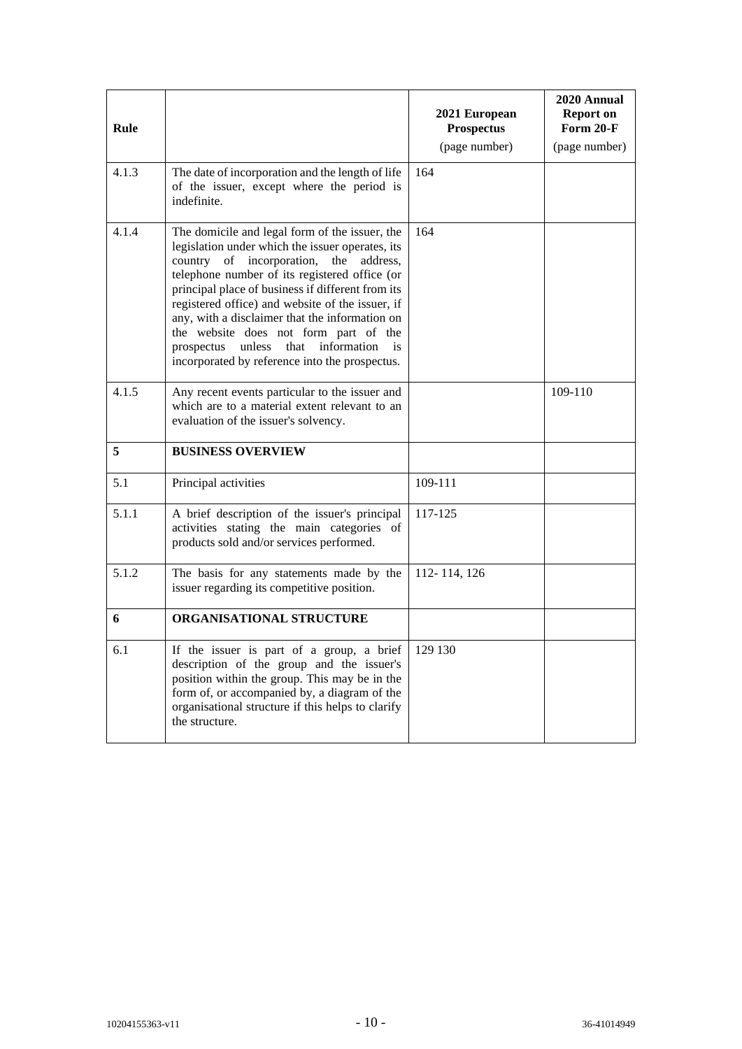| Rule  |                                                                                                                                                                                                                                                                                                                                                                                                                                                                                                                 | 2021 European<br><b>Prospectus</b><br>(page number) | 2020 Annual<br><b>Report on</b><br>Form 20-F<br>(page number) |
|-------|-----------------------------------------------------------------------------------------------------------------------------------------------------------------------------------------------------------------------------------------------------------------------------------------------------------------------------------------------------------------------------------------------------------------------------------------------------------------------------------------------------------------|-----------------------------------------------------|---------------------------------------------------------------|
| 4.1.3 | The date of incorporation and the length of life<br>of the issuer, except where the period is<br>indefinite.                                                                                                                                                                                                                                                                                                                                                                                                    | 164                                                 |                                                               |
| 4.1.4 | The domicile and legal form of the issuer, the<br>legislation under which the issuer operates, its<br>country of incorporation,<br>the<br>address,<br>telephone number of its registered office (or<br>principal place of business if different from its<br>registered office) and website of the issuer, if<br>any, with a disclaimer that the information on<br>the website does not form part of the<br>prospectus unless<br>that information<br><i>is</i><br>incorporated by reference into the prospectus. | 164                                                 |                                                               |
| 4.1.5 | Any recent events particular to the issuer and<br>which are to a material extent relevant to an<br>evaluation of the issuer's solvency.                                                                                                                                                                                                                                                                                                                                                                         |                                                     | 109-110                                                       |
| 5     | <b>BUSINESS OVERVIEW</b>                                                                                                                                                                                                                                                                                                                                                                                                                                                                                        |                                                     |                                                               |
| 5.1   | Principal activities                                                                                                                                                                                                                                                                                                                                                                                                                                                                                            | 109-111                                             |                                                               |
| 5.1.1 | A brief description of the issuer's principal<br>activities stating the main categories of<br>products sold and/or services performed.                                                                                                                                                                                                                                                                                                                                                                          | 117-125                                             |                                                               |
| 5.1.2 | The basis for any statements made by the<br>issuer regarding its competitive position.                                                                                                                                                                                                                                                                                                                                                                                                                          | 112-114, 126                                        |                                                               |
| 6     | <b>ORGANISATIONAL STRUCTURE</b>                                                                                                                                                                                                                                                                                                                                                                                                                                                                                 |                                                     |                                                               |
| 6.1   | If the issuer is part of a group, a brief<br>description of the group and the issuer's<br>position within the group. This may be in the<br>form of, or accompanied by, a diagram of the<br>organisational structure if this helps to clarify<br>the structure.                                                                                                                                                                                                                                                  | 129 130                                             |                                                               |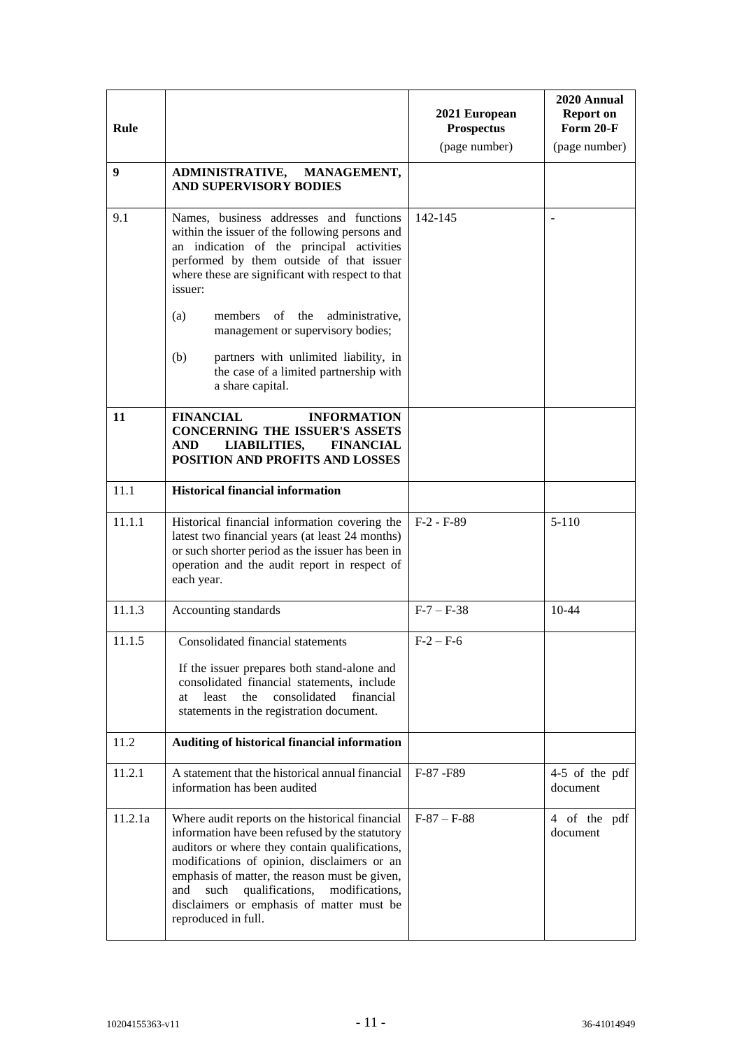| Rule    |                                                                                                                                                                                                                                                                                                                                                                             | 2021 European<br><b>Prospectus</b><br>(page number) | 2020 Annual<br><b>Report on</b><br>Form 20-F<br>(page number) |
|---------|-----------------------------------------------------------------------------------------------------------------------------------------------------------------------------------------------------------------------------------------------------------------------------------------------------------------------------------------------------------------------------|-----------------------------------------------------|---------------------------------------------------------------|
| 9       | <b>ADMINISTRATIVE,</b><br>MANAGEMENT,<br><b>AND SUPERVISORY BODIES</b>                                                                                                                                                                                                                                                                                                      |                                                     |                                                               |
| 9.1     | Names, business addresses and functions<br>within the issuer of the following persons and<br>an indication of the principal activities<br>performed by them outside of that issuer<br>where these are significant with respect to that<br>issuer:                                                                                                                           | 142-145                                             |                                                               |
|         | of<br>the<br>administrative,<br>(a)<br>members<br>management or supervisory bodies;                                                                                                                                                                                                                                                                                         |                                                     |                                                               |
|         | (b)<br>partners with unlimited liability, in<br>the case of a limited partnership with<br>a share capital.                                                                                                                                                                                                                                                                  |                                                     |                                                               |
| 11      | <b>FINANCIAL</b><br><b>INFORMATION</b><br><b>CONCERNING THE ISSUER'S ASSETS</b><br><b>LIABILITIES,</b><br><b>AND</b><br><b>FINANCIAL</b><br>POSITION AND PROFITS AND LOSSES                                                                                                                                                                                                 |                                                     |                                                               |
| 11.1    | <b>Historical financial information</b>                                                                                                                                                                                                                                                                                                                                     |                                                     |                                                               |
| 11.1.1  | Historical financial information covering the<br>latest two financial years (at least 24 months)<br>or such shorter period as the issuer has been in<br>operation and the audit report in respect of<br>each year.                                                                                                                                                          | $F-2 - F-89$                                        | $5 - 110$                                                     |
| 11.1.3  | Accounting standards                                                                                                                                                                                                                                                                                                                                                        | $F-7-F-38$                                          | 10-44                                                         |
| 11.1.5  | Consolidated financial statements                                                                                                                                                                                                                                                                                                                                           | $F-2-F-6$                                           |                                                               |
|         | If the issuer prepares both stand-alone and<br>consolidated financial statements, include<br>consolidated<br>financial<br>least<br>the<br>at<br>statements in the registration document.                                                                                                                                                                                    |                                                     |                                                               |
| 11.2    | Auditing of historical financial information                                                                                                                                                                                                                                                                                                                                |                                                     |                                                               |
| 11.2.1  | A statement that the historical annual financial<br>information has been audited                                                                                                                                                                                                                                                                                            | F-87-F89                                            | 4-5 of the pdf<br>document                                    |
| 11.2.1a | Where audit reports on the historical financial<br>information have been refused by the statutory<br>auditors or where they contain qualifications,<br>modifications of opinion, disclaimers or an<br>emphasis of matter, the reason must be given,<br>qualifications,<br>modifications,<br>such<br>and<br>disclaimers or emphasis of matter must be<br>reproduced in full. | $F-87-F-88$                                         | 4 of the pdf<br>document                                      |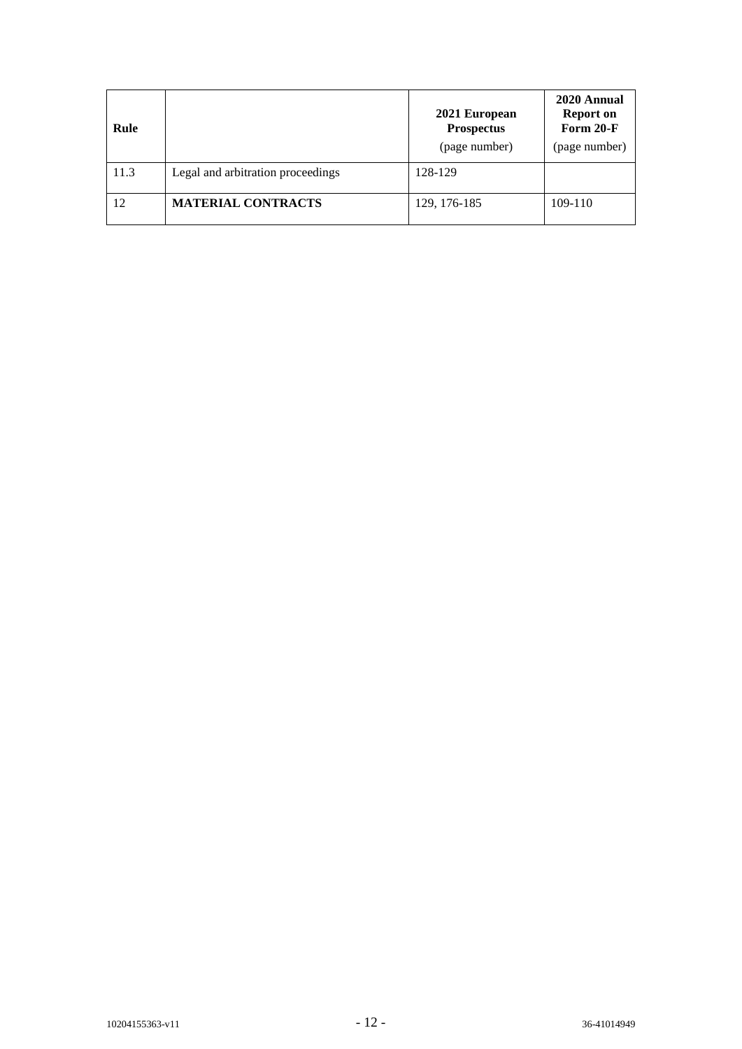| Rule |                                   | 2021 European<br><b>Prospectus</b><br>(page number) | 2020 Annual<br><b>Report on</b><br>Form 20-F<br>(page number) |
|------|-----------------------------------|-----------------------------------------------------|---------------------------------------------------------------|
| 11.3 | Legal and arbitration proceedings | 128-129                                             |                                                               |
| 12   | <b>MATERIAL CONTRACTS</b>         | 129, 176-185                                        | 109-110                                                       |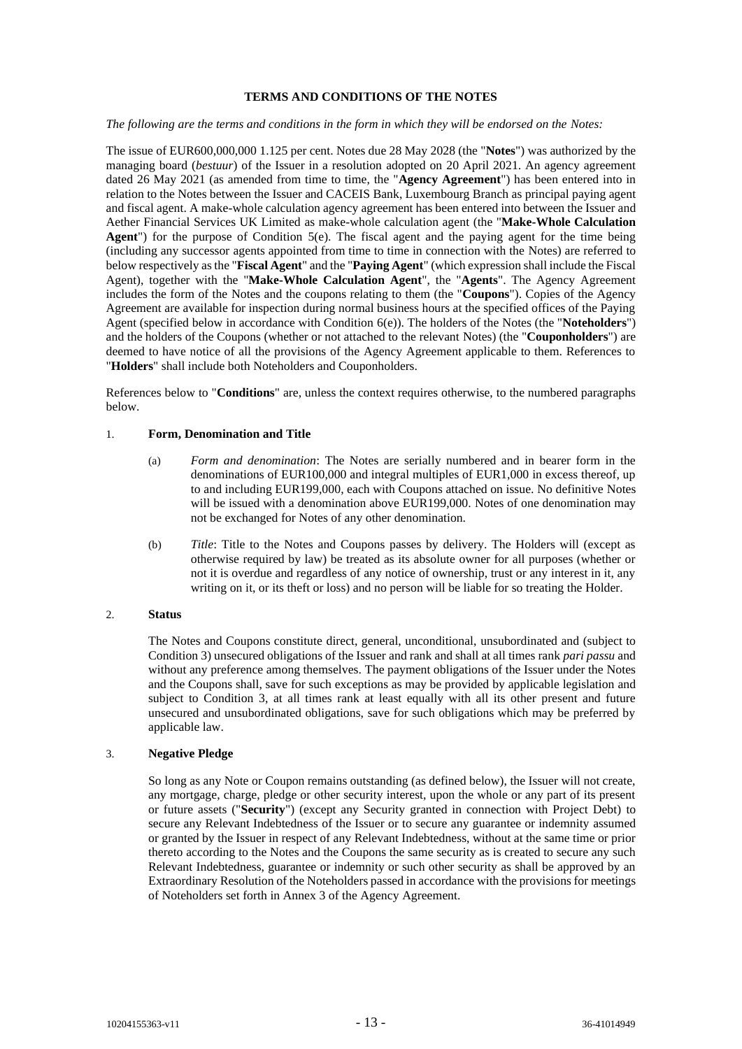# **TERMS AND CONDITIONS OF THE NOTES**

#### <span id="page-19-0"></span>*The following are the terms and conditions in the form in which they will be endorsed on the Notes:*

The issue of EUR600,000,000 1.125 per cent. Notes due 28 May 2028 (the "**Notes**") was authorized by the managing board (*bestuur*) of the Issuer in a resolution adopted on 20 April 2021. An agency agreement dated 26 May 2021 (as amended from time to time, the "**Agency Agreement**") has been entered into in relation to the Notes between the Issuer and CACEIS Bank, Luxembourg Branch as principal paying agent and fiscal agent. A make-whole calculation agency agreement has been entered into between the Issuer and Aether Financial Services UK Limited as make-whole calculation agent (the "**Make-Whole Calculation Agent**") for the purpose of Condition [5\(e\).](#page-22-0) The fiscal agent and the paying agent for the time being (including any successor agents appointed from time to time in connection with the Notes) are referred to below respectively as the "**Fiscal Agent**" and the "**Paying Agent**" (which expression shall include the Fiscal Agent), together with the "**Make-Whole Calculation Agent**", the "**Agents**". The Agency Agreement includes the form of the Notes and the coupons relating to them (the "**Coupons**"). Copies of the Agency Agreement are available for inspection during normal business hours at the specified offices of the Paying Agent (specified below in accordance with Condition [6\(](#page-24-0)e)). The holders of the Notes (the "**Noteholders**") and the holders of the Coupons (whether or not attached to the relevant Notes) (the "**Couponholders**") are deemed to have notice of all the provisions of the Agency Agreement applicable to them. References to "**Holders**" shall include both Noteholders and Couponholders.

References below to "**Conditions**" are, unless the context requires otherwise, to the numbered paragraphs below.

# 1. **Form, Denomination and Title**

- (a) *Form and denomination*: The Notes are serially numbered and in bearer form in the denominations of EUR100,000 and integral multiples of EUR1,000 in excess thereof, up to and including EUR199,000, each with Coupons attached on issue. No definitive Notes will be issued with a denomination above EUR199,000. Notes of one denomination may not be exchanged for Notes of any other denomination.
- (b) *Title*: Title to the Notes and Coupons passes by delivery. The Holders will (except as otherwise required by law) be treated as its absolute owner for all purposes (whether or not it is overdue and regardless of any notice of ownership, trust or any interest in it, any writing on it, or its theft or loss) and no person will be liable for so treating the Holder.

# <span id="page-19-1"></span>2. **Status**

The Notes and Coupons constitute direct, general, unconditional, unsubordinated and (subject to Conditio[n 3\)](#page-19-2) unsecured obligations of the Issuer and rank and shall at all times rank *pari passu* and without any preference among themselves. The payment obligations of the Issuer under the Notes and the Coupons shall, save for such exceptions as may be provided by applicable legislation and subject to Condition [3,](#page-19-2) at all times rank at least equally with all its other present and future unsecured and unsubordinated obligations, save for such obligations which may be preferred by applicable law.

# <span id="page-19-2"></span>3. **Negative Pledge**

So long as any Note or Coupon remains outstanding (as defined below), the Issuer will not create, any mortgage, charge, pledge or other security interest, upon the whole or any part of its present or future assets ("**Security**") (except any Security granted in connection with Project Debt) to secure any Relevant Indebtedness of the Issuer or to secure any guarantee or indemnity assumed or granted by the Issuer in respect of any Relevant Indebtedness, without at the same time or prior thereto according to the Notes and the Coupons the same security as is created to secure any such Relevant Indebtedness, guarantee or indemnity or such other security as shall be approved by an Extraordinary Resolution of the Noteholders passed in accordance with the provisions for meetings of Noteholders set forth in Annex 3 of the Agency Agreement.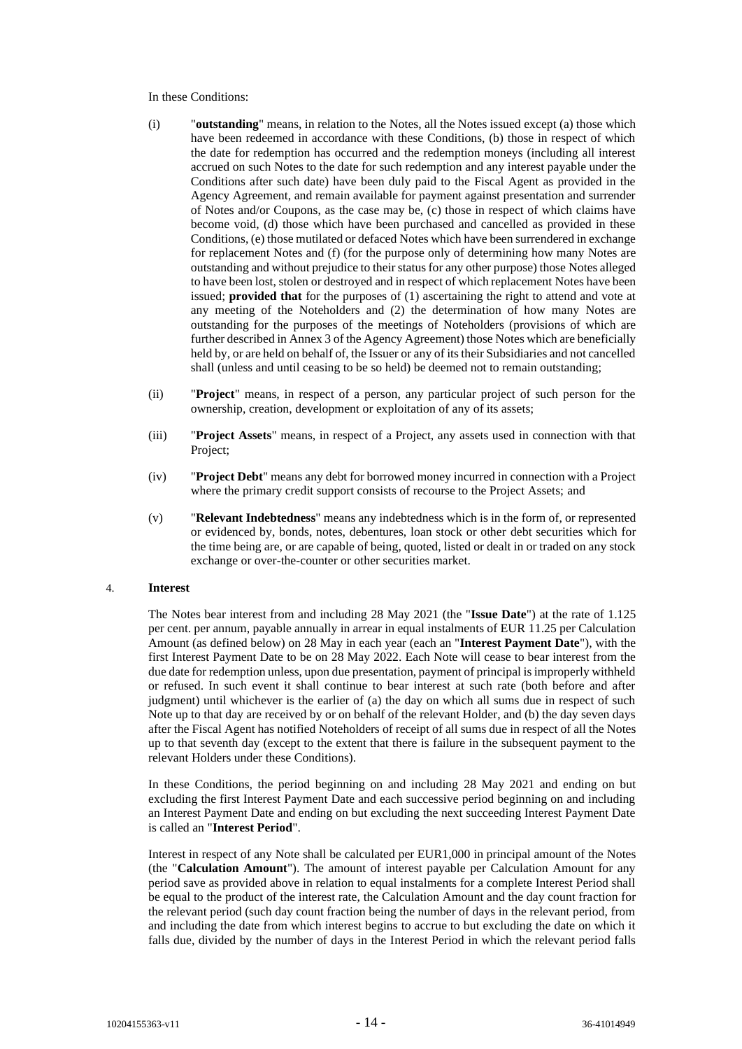#### In these Conditions:

- (i) "**outstanding**" means, in relation to the Notes, all the Notes issued except (a) those which have been redeemed in accordance with these Conditions, (b) those in respect of which the date for redemption has occurred and the redemption moneys (including all interest accrued on such Notes to the date for such redemption and any interest payable under the Conditions after such date) have been duly paid to the Fiscal Agent as provided in the Agency Agreement, and remain available for payment against presentation and surrender of Notes and/or Coupons, as the case may be, (c) those in respect of which claims have become void, (d) those which have been purchased and cancelled as provided in these Conditions, (e) those mutilated or defaced Notes which have been surrendered in exchange for replacement Notes and (f) (for the purpose only of determining how many Notes are outstanding and without prejudice to their status for any other purpose) those Notes alleged to have been lost, stolen or destroyed and in respect of which replacement Notes have been issued; **provided that** for the purposes of (1) ascertaining the right to attend and vote at any meeting of the Noteholders and (2) the determination of how many Notes are outstanding for the purposes of the meetings of Noteholders (provisions of which are further described in Annex 3 of the Agency Agreement) those Notes which are beneficially held by, or are held on behalf of, the Issuer or any of its their Subsidiaries and not cancelled shall (unless and until ceasing to be so held) be deemed not to remain outstanding;
- (ii) "**Project**" means, in respect of a person, any particular project of such person for the ownership, creation, development or exploitation of any of its assets;
- (iii) "**Project Assets**" means, in respect of a Project, any assets used in connection with that Project;
- (iv) "**Project Debt**" means any debt for borrowed money incurred in connection with a Project where the primary credit support consists of recourse to the Project Assets; and
- (v) "**Relevant Indebtedness**" means any indebtedness which is in the form of, or represented or evidenced by, bonds, notes, debentures, loan stock or other debt securities which for the time being are, or are capable of being, quoted, listed or dealt in or traded on any stock exchange or over-the-counter or other securities market.

#### <span id="page-20-0"></span>4. **Interest**

The Notes bear interest from and including 28 May 2021 (the "**Issue Date**") at the rate of 1.125 per cent. per annum, payable annually in arrear in equal instalments of EUR 11.25 per Calculation Amount (as defined below) on 28 May in each year (each an "**Interest Payment Date**"), with the first Interest Payment Date to be on 28 May 2022. Each Note will cease to bear interest from the due date for redemption unless, upon due presentation, payment of principal is improperly withheld or refused. In such event it shall continue to bear interest at such rate (both before and after judgment) until whichever is the earlier of (a) the day on which all sums due in respect of such Note up to that day are received by or on behalf of the relevant Holder, and (b) the day seven days after the Fiscal Agent has notified Noteholders of receipt of all sums due in respect of all the Notes up to that seventh day (except to the extent that there is failure in the subsequent payment to the relevant Holders under these Conditions).

In these Conditions, the period beginning on and including 28 May 2021 and ending on but excluding the first Interest Payment Date and each successive period beginning on and including an Interest Payment Date and ending on but excluding the next succeeding Interest Payment Date is called an "**Interest Period**".

Interest in respect of any Note shall be calculated per EUR1,000 in principal amount of the Notes (the "**Calculation Amount**"). The amount of interest payable per Calculation Amount for any period save as provided above in relation to equal instalments for a complete Interest Period shall be equal to the product of the interest rate, the Calculation Amount and the day count fraction for the relevant period (such day count fraction being the number of days in the relevant period, from and including the date from which interest begins to accrue to but excluding the date on which it falls due, divided by the number of days in the Interest Period in which the relevant period falls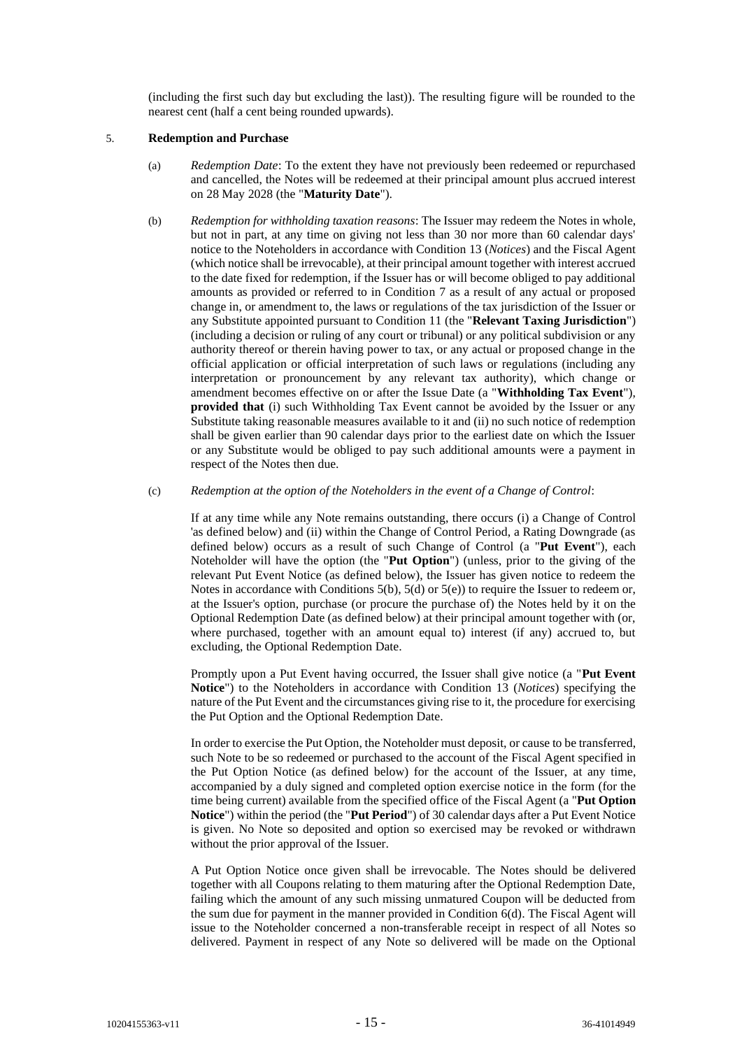(including the first such day but excluding the last)). The resulting figure will be rounded to the nearest cent (half a cent being rounded upwards).

#### <span id="page-21-2"></span>5. **Redemption and Purchase**

- (a) *Redemption Date*: To the extent they have not previously been redeemed or repurchased and cancelled, the Notes will be redeemed at their principal amount plus accrued interest on 28 May 2028 (the "**Maturity Date**").
- <span id="page-21-1"></span>(b) *Redemption for withholding taxation reasons*: The Issuer may redeem the Notes in whole, but not in part, at any time on giving not less than 30 nor more than 60 calendar days' notice to the Noteholders in accordance with Conditio[n 13](#page-29-0) (*Notices*) and the Fiscal Agent (which notice shall be irrevocable), at their principal amount together with interest accrued to the date fixed for redemption, if the Issuer has or will become obliged to pay additional amounts as provided or referred to in Condition [7](#page-25-0) as a result of any actual or proposed change in, or amendment to, the laws or regulations of the tax jurisdiction of the Issuer or any Substitute appointed pursuant to Condition [11](#page-27-0) (the "**Relevant Taxing Jurisdiction**") (including a decision or ruling of any court or tribunal) or any political subdivision or any authority thereof or therein having power to tax, or any actual or proposed change in the official application or official interpretation of such laws or regulations (including any interpretation or pronouncement by any relevant tax authority), which change or amendment becomes effective on or after the Issue Date (a "**Withholding Tax Event**"), **provided that** (i) such Withholding Tax Event cannot be avoided by the Issuer or any Substitute taking reasonable measures available to it and (ii) no such notice of redemption shall be given earlier than 90 calendar days prior to the earliest date on which the Issuer or any Substitute would be obliged to pay such additional amounts were a payment in respect of the Notes then due.
- <span id="page-21-0"></span>(c) *Redemption at the option of the Noteholders in the event of a Change of Control*:

If at any time while any Note remains outstanding, there occurs (i) a Change of Control 'as defined below) and (ii) within the Change of Control Period, a Rating Downgrade (as defined below) occurs as a result of such Change of Control (a "**Put Event**"), each Noteholder will have the option (the "**Put Option**") (unless, prior to the giving of the relevant Put Event Notice (as defined below), the Issuer has given notice to redeem the Notes in accordance with Condition[s 5\(b\),](#page-21-1) [5\(d\)](#page-22-1) or [5\(e\)\)](#page-22-0) to require the Issuer to redeem or, at the Issuer's option, purchase (or procure the purchase of) the Notes held by it on the Optional Redemption Date (as defined below) at their principal amount together with (or, where purchased, together with an amount equal to) interest (if any) accrued to, but excluding, the Optional Redemption Date.

Promptly upon a Put Event having occurred, the Issuer shall give notice (a "**Put Event Notice**") to the Noteholders in accordance with Condition [13](#page-29-0) (*Notices*) specifying the nature of the Put Event and the circumstances giving rise to it, the procedure for exercising the Put Option and the Optional Redemption Date.

In order to exercise the Put Option, the Noteholder must deposit, or cause to be transferred, such Note to be so redeemed or purchased to the account of the Fiscal Agent specified in the Put Option Notice (as defined below) for the account of the Issuer, at any time, accompanied by a duly signed and completed option exercise notice in the form (for the time being current) available from the specified office of the Fiscal Agent (a "**Put Option Notice**") within the period (the "**Put Period**") of 30 calendar days after a Put Event Notice is given. No Note so deposited and option so exercised may be revoked or withdrawn without the prior approval of the Issuer.

A Put Option Notice once given shall be irrevocable. The Notes should be delivered together with all Coupons relating to them maturing after the Optional Redemption Date, failing which the amount of any such missing unmatured Coupon will be deducted from the sum due for payment in the manner provided in Condition  $6(d)$ . The Fiscal Agent will issue to the Noteholder concerned a non-transferable receipt in respect of all Notes so delivered. Payment in respect of any Note so delivered will be made on the Optional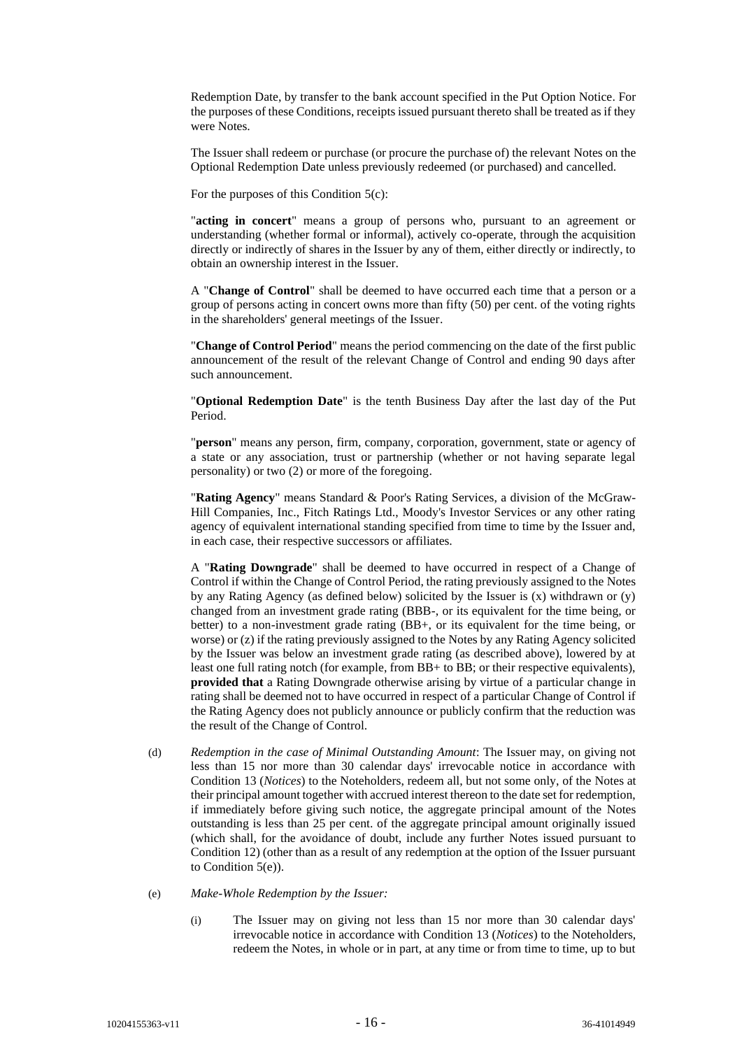Redemption Date, by transfer to the bank account specified in the Put Option Notice. For the purposes of these Conditions, receipts issued pursuant thereto shall be treated as if they were Notes.

The Issuer shall redeem or purchase (or procure the purchase of) the relevant Notes on the Optional Redemption Date unless previously redeemed (or purchased) and cancelled.

For the purposes of this Condition [5\(c\):](#page-21-0)

"**acting in concert**" means a group of persons who, pursuant to an agreement or understanding (whether formal or informal), actively co-operate, through the acquisition directly or indirectly of shares in the Issuer by any of them, either directly or indirectly, to obtain an ownership interest in the Issuer.

A "**Change of Control**" shall be deemed to have occurred each time that a person or a group of persons acting in concert owns more than fifty (50) per cent. of the voting rights in the shareholders' general meetings of the Issuer.

"**Change of Control Period**" means the period commencing on the date of the first public announcement of the result of the relevant Change of Control and ending 90 days after such announcement.

"**Optional Redemption Date**" is the tenth Business Day after the last day of the Put Period.

"**person**" means any person, firm, company, corporation, government, state or agency of a state or any association, trust or partnership (whether or not having separate legal personality) or two (2) or more of the foregoing.

"**Rating Agency**" means Standard & Poor's Rating Services, a division of the McGraw-Hill Companies, Inc., Fitch Ratings Ltd., Moody's Investor Services or any other rating agency of equivalent international standing specified from time to time by the Issuer and, in each case, their respective successors or affiliates.

A "**Rating Downgrade**" shall be deemed to have occurred in respect of a Change of Control if within the Change of Control Period, the rating previously assigned to the Notes by any Rating Agency (as defined below) solicited by the Issuer is  $(x)$  withdrawn or  $(y)$ changed from an investment grade rating (BBB-, or its equivalent for the time being, or better) to a non-investment grade rating (BB+, or its equivalent for the time being, or worse) or (z) if the rating previously assigned to the Notes by any Rating Agency solicited by the Issuer was below an investment grade rating (as described above), lowered by at least one full rating notch (for example, from BB+ to BB; or their respective equivalents), **provided that** a Rating Downgrade otherwise arising by virtue of a particular change in rating shall be deemed not to have occurred in respect of a particular Change of Control if the Rating Agency does not publicly announce or publicly confirm that the reduction was the result of the Change of Control.

<span id="page-22-1"></span>(d) *Redemption in the case of Minimal Outstanding Amount*: The Issuer may, on giving not less than 15 nor more than 30 calendar days' irrevocable notice in accordance with Conditio[n 13](#page-29-0) (*Notices*) to the Noteholders, redeem all, but not some only, of the Notes at their principal amount together with accrued interest thereon to the date set for redemption, if immediately before giving such notice, the aggregate principal amount of the Notes outstanding is less than 25 per cent. of the aggregate principal amount originally issued (which shall, for the avoidance of doubt, include any further Notes issued pursuant to Conditio[n 12\)](#page-29-1) (other than as a result of any redemption at the option of the Issuer pursuant to Condition [5\(e\)\)](#page-22-0).

#### <span id="page-22-0"></span>(e) *Make-Whole Redemption by the Issuer:*

(i) The Issuer may on giving not less than 15 nor more than 30 calendar days' irrevocable notice in accordance with Condition [13](#page-29-0) (*Notices*) to the Noteholders, redeem the Notes, in whole or in part, at any time or from time to time, up to but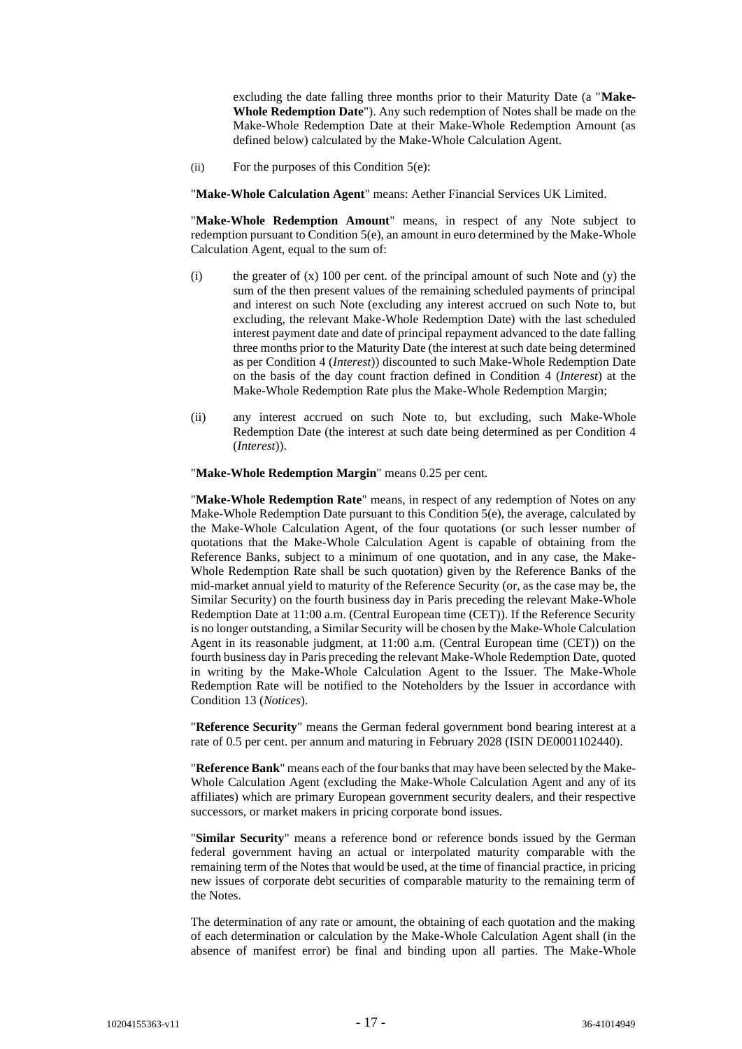excluding the date falling three months prior to their Maturity Date (a "**Make-Whole Redemption Date**"). Any such redemption of Notes shall be made on the Make-Whole Redemption Date at their Make-Whole Redemption Amount (as defined below) calculated by the Make-Whole Calculation Agent.

(ii) For the purposes of this Condition  $5(e)$ :

"**Make-Whole Calculation Agent**" means: Aether Financial Services UK Limited.

"**Make-Whole Redemption Amount**" means, in respect of any Note subject to redemption pursuant to Conditio[n 5\(e\),](#page-22-0) an amount in euro determined by the Make-Whole Calculation Agent, equal to the sum of:

- (i) the greater of  $(x)$  100 per cent. of the principal amount of such Note and  $(y)$  the sum of the then present values of the remaining scheduled payments of principal and interest on such Note (excluding any interest accrued on such Note to, but excluding, the relevant Make-Whole Redemption Date) with the last scheduled interest payment date and date of principal repayment advanced to the date falling three months prior to the Maturity Date (the interest at such date being determined as per Condition [4](#page-20-0) (*Interest*)) discounted to such Make-Whole Redemption Date on the basis of the day count fraction defined in Condition [4](#page-20-0) (*Interest*) at the Make-Whole Redemption Rate plus the Make-Whole Redemption Margin;
- (ii) any interest accrued on such Note to, but excluding, such Make-Whole Redemption Date (the interest at such date being determined as per Condition [4](#page-20-0) (*Interest*)).

#### "**Make-Whole Redemption Margin**" means 0.25 per cent.

"**Make-Whole Redemption Rate**" means, in respect of any redemption of Notes on any Make-Whole Redemption Date pursuant to this Condition  $5(e)$ , the average, calculated by the Make-Whole Calculation Agent, of the four quotations (or such lesser number of quotations that the Make-Whole Calculation Agent is capable of obtaining from the Reference Banks, subject to a minimum of one quotation, and in any case, the Make-Whole Redemption Rate shall be such quotation) given by the Reference Banks of the mid-market annual yield to maturity of the Reference Security (or, as the case may be, the Similar Security) on the fourth business day in Paris preceding the relevant Make-Whole Redemption Date at 11:00 a.m. (Central European time (CET)). If the Reference Security is no longer outstanding, a Similar Security will be chosen by the Make-Whole Calculation Agent in its reasonable judgment, at 11:00 a.m. (Central European time (CET)) on the fourth business day in Paris preceding the relevant Make-Whole Redemption Date, quoted in writing by the Make-Whole Calculation Agent to the Issuer. The Make-Whole Redemption Rate will be notified to the Noteholders by the Issuer in accordance with Conditio[n 13](#page-29-0) (*Notices*).

"**Reference Security**" means the German federal government bond bearing interest at a rate of 0.5 per cent. per annum and maturing in February 2028 (ISIN DE0001102440).

"**Reference Bank**" means each of the four banks that may have been selected by the Make-Whole Calculation Agent (excluding the Make-Whole Calculation Agent and any of its affiliates) which are primary European government security dealers, and their respective successors, or market makers in pricing corporate bond issues.

"**Similar Security**" means a reference bond or reference bonds issued by the German federal government having an actual or interpolated maturity comparable with the remaining term of the Notes that would be used, at the time of financial practice, in pricing new issues of corporate debt securities of comparable maturity to the remaining term of the Notes.

The determination of any rate or amount, the obtaining of each quotation and the making of each determination or calculation by the Make-Whole Calculation Agent shall (in the absence of manifest error) be final and binding upon all parties. The Make-Whole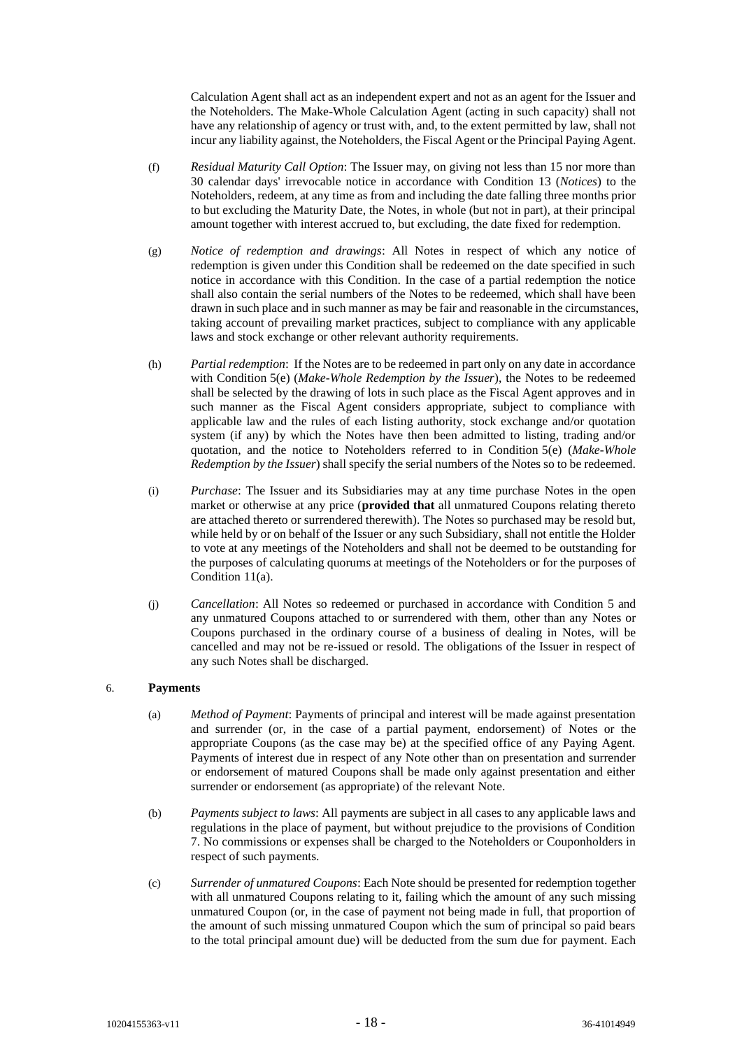Calculation Agent shall act as an independent expert and not as an agent for the Issuer and the Noteholders. The Make-Whole Calculation Agent (acting in such capacity) shall not have any relationship of agency or trust with, and, to the extent permitted by law, shall not incur any liability against, the Noteholders, the Fiscal Agent or the Principal Paying Agent.

- <span id="page-24-1"></span>(f) *Residual Maturity Call Option*: The Issuer may, on giving not less than 15 nor more than 30 calendar days' irrevocable notice in accordance with Condition [13](#page-29-0) (*Notices*) to the Noteholders, redeem, at any time as from and including the date falling three months prior to but excluding the Maturity Date, the Notes, in whole (but not in part), at their principal amount together with interest accrued to, but excluding, the date fixed for redemption.
- (g) *Notice of redemption and drawings*: All Notes in respect of which any notice of redemption is given under this Condition shall be redeemed on the date specified in such notice in accordance with this Condition. In the case of a partial redemption the notice shall also contain the serial numbers of the Notes to be redeemed, which shall have been drawn in such place and in such manner as may be fair and reasonable in the circumstances, taking account of prevailing market practices, subject to compliance with any applicable laws and stock exchange or other relevant authority requirements.
- (h) *Partial redemption*: If the Notes are to be redeemed in part only on any date in accordance with Condition 5(e) (*Make-Whole Redemption by the Issuer*), the Notes to be redeemed shall be selected by the drawing of lots in such place as the Fiscal Agent approves and in such manner as the Fiscal Agent considers appropriate, subject to compliance with applicable law and the rules of each listing authority, stock exchange and/or quotation system (if any) by which the Notes have then been admitted to listing, trading and/or quotation, and the notice to Noteholders referred to in Condition 5(e) (*Make-Whole Redemption by the Issuer*) shall specify the serial numbers of the Notes so to be redeemed.
- (i) *Purchase*: The Issuer and its Subsidiaries may at any time purchase Notes in the open market or otherwise at any price (**provided that** all unmatured Coupons relating thereto are attached thereto or surrendered therewith). The Notes so purchased may be resold but, while held by or on behalf of the Issuer or any such Subsidiary, shall not entitle the Holder to vote at any meetings of the Noteholders and shall not be deemed to be outstanding for the purposes of calculating quorums at meetings of the Noteholders or for the purposes of Conditio[n 11\(a\).](#page-27-1)
- (j) *Cancellation*: All Notes so redeemed or purchased in accordance with Condition [5](#page-21-2) and any unmatured Coupons attached to or surrendered with them, other than any Notes or Coupons purchased in the ordinary course of a business of dealing in Notes, will be cancelled and may not be re-issued or resold. The obligations of the Issuer in respect of any such Notes shall be discharged.

# <span id="page-24-0"></span>6. **Payments**

- (a) *Method of Payment*: Payments of principal and interest will be made against presentation and surrender (or, in the case of a partial payment, endorsement) of Notes or the appropriate Coupons (as the case may be) at the specified office of any Paying Agent. Payments of interest due in respect of any Note other than on presentation and surrender or endorsement of matured Coupons shall be made only against presentation and either surrender or endorsement (as appropriate) of the relevant Note.
- (b) *Payments subject to laws*: All payments are subject in all cases to any applicable laws and regulations in the place of payment, but without prejudice to the provisions of Condition [7.](#page-25-0) No commissions or expenses shall be charged to the Noteholders or Couponholders in respect of such payments.
- (c) *Surrender of unmatured Coupons*: Each Note should be presented for redemption together with all unmatured Coupons relating to it, failing which the amount of any such missing unmatured Coupon (or, in the case of payment not being made in full, that proportion of the amount of such missing unmatured Coupon which the sum of principal so paid bears to the total principal amount due) will be deducted from the sum due for payment. Each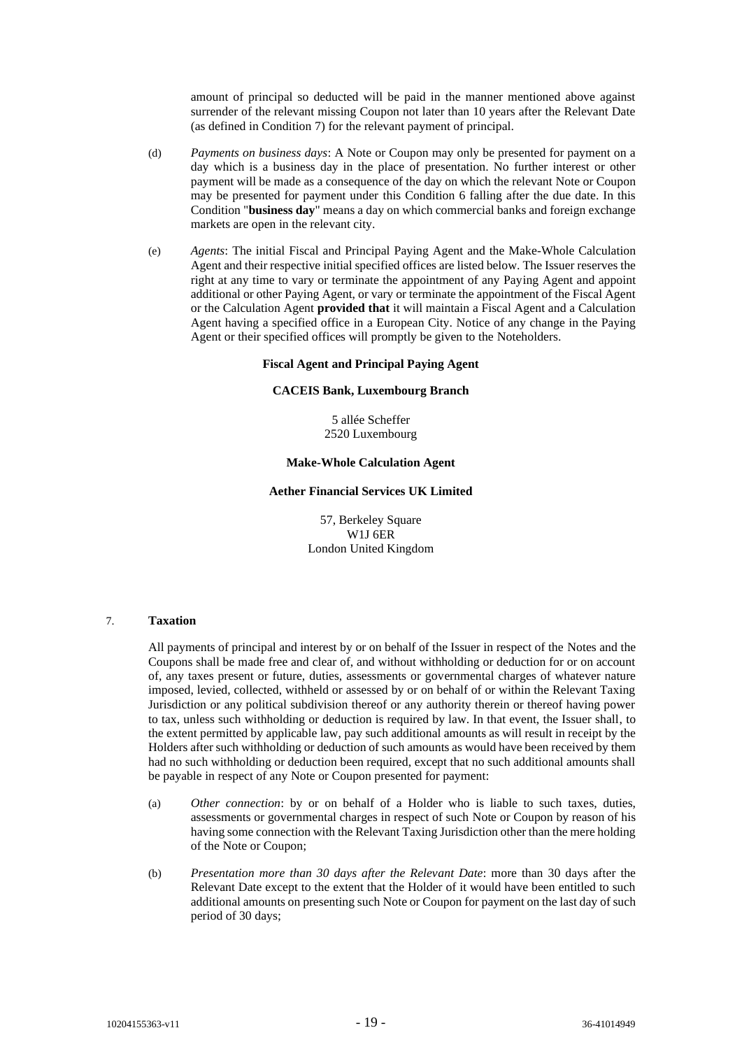amount of principal so deducted will be paid in the manner mentioned above against surrender of the relevant missing Coupon not later than 10 years after the Relevant Date (as defined in Conditio[n 7\)](#page-25-0) for the relevant payment of principal.

- <span id="page-25-1"></span>(d) *Payments on business days*: A Note or Coupon may only be presented for payment on a day which is a business day in the place of presentation. No further interest or other payment will be made as a consequence of the day on which the relevant Note or Coupon may be presented for payment under this Condition [6](#page-24-0) falling after the due date. In this Condition "**business day**" means a day on which commercial banks and foreign exchange markets are open in the relevant city.
- (e) *Agents*: The initial Fiscal and Principal Paying Agent and the Make-Whole Calculation Agent and their respective initial specified offices are listed below. The Issuer reserves the right at any time to vary or terminate the appointment of any Paying Agent and appoint additional or other Paying Agent, or vary or terminate the appointment of the Fiscal Agent or the Calculation Agent **provided that** it will maintain a Fiscal Agent and a Calculation Agent having a specified office in a European City. Notice of any change in the Paying Agent or their specified offices will promptly be given to the Noteholders.

# **Fiscal Agent and Principal Paying Agent**

#### **CACEIS Bank, Luxembourg Branch**

5 allée Scheffer 2520 Luxembourg

#### **Make-Whole Calculation Agent**

#### **Aether Financial Services UK Limited**

57, Berkeley Square W1J 6ER London United Kingdom

# <span id="page-25-0"></span>7. **Taxation**

All payments of principal and interest by or on behalf of the Issuer in respect of the Notes and the Coupons shall be made free and clear of, and without withholding or deduction for or on account of, any taxes present or future, duties, assessments or governmental charges of whatever nature imposed, levied, collected, withheld or assessed by or on behalf of or within the Relevant Taxing Jurisdiction or any political subdivision thereof or any authority therein or thereof having power to tax, unless such withholding or deduction is required by law. In that event, the Issuer shall, to the extent permitted by applicable law, pay such additional amounts as will result in receipt by the Holders after such withholding or deduction of such amounts as would have been received by them had no such withholding or deduction been required, except that no such additional amounts shall be payable in respect of any Note or Coupon presented for payment:

- (a) *Other connection*: by or on behalf of a Holder who is liable to such taxes, duties, assessments or governmental charges in respect of such Note or Coupon by reason of his having some connection with the Relevant Taxing Jurisdiction other than the mere holding of the Note or Coupon;
- (b) *Presentation more than 30 days after the Relevant Date*: more than 30 days after the Relevant Date except to the extent that the Holder of it would have been entitled to such additional amounts on presenting such Note or Coupon for payment on the last day of such period of 30 days;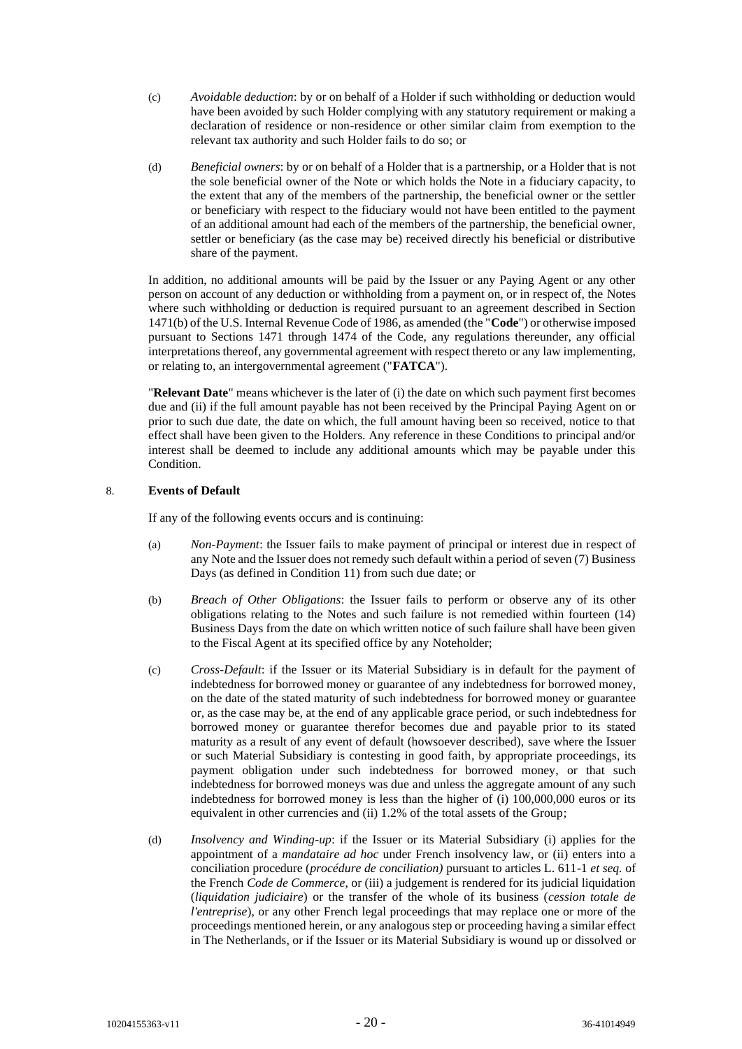- (c) *Avoidable deduction*: by or on behalf of a Holder if such withholding or deduction would have been avoided by such Holder complying with any statutory requirement or making a declaration of residence or non-residence or other similar claim from exemption to the relevant tax authority and such Holder fails to do so; or
- (d) *Beneficial owners*: by or on behalf of a Holder that is a partnership, or a Holder that is not the sole beneficial owner of the Note or which holds the Note in a fiduciary capacity, to the extent that any of the members of the partnership, the beneficial owner or the settler or beneficiary with respect to the fiduciary would not have been entitled to the payment of an additional amount had each of the members of the partnership, the beneficial owner, settler or beneficiary (as the case may be) received directly his beneficial or distributive share of the payment.

In addition, no additional amounts will be paid by the Issuer or any Paying Agent or any other person on account of any deduction or withholding from a payment on, or in respect of, the Notes where such withholding or deduction is required pursuant to an agreement described in Section 1471(b) of the U.S. Internal Revenue Code of 1986, as amended (the "**Code**") or otherwise imposed pursuant to Sections 1471 through 1474 of the Code, any regulations thereunder, any official interpretations thereof, any governmental agreement with respect thereto or any law implementing, or relating to, an intergovernmental agreement ("**FATCA**").

"**Relevant Date**" means whichever is the later of (i) the date on which such payment first becomes due and (ii) if the full amount payable has not been received by the Principal Paying Agent on or prior to such due date, the date on which, the full amount having been so received, notice to that effect shall have been given to the Holders. Any reference in these Conditions to principal and/or interest shall be deemed to include any additional amounts which may be payable under this Condition.

# <span id="page-26-0"></span>8. **Events of Default**

If any of the following events occurs and is continuing:

- (a) *Non-Payment*: the Issuer fails to make payment of principal or interest due in respect of any Note and the Issuer does not remedy such default within a period of seven (7) Business Days (as defined in Conditio[n 11\)](#page-27-0) from such due date; or
- (b) *Breach of Other Obligations*: the Issuer fails to perform or observe any of its other obligations relating to the Notes and such failure is not remedied within fourteen (14) Business Days from the date on which written notice of such failure shall have been given to the Fiscal Agent at its specified office by any Noteholder;
- (c) *Cross-Default*: if the Issuer or its Material Subsidiary is in default for the payment of indebtedness for borrowed money or guarantee of any indebtedness for borrowed money, on the date of the stated maturity of such indebtedness for borrowed money or guarantee or, as the case may be, at the end of any applicable grace period, or such indebtedness for borrowed money or guarantee therefor becomes due and payable prior to its stated maturity as a result of any event of default (howsoever described), save where the Issuer or such Material Subsidiary is contesting in good faith, by appropriate proceedings, its payment obligation under such indebtedness for borrowed money, or that such indebtedness for borrowed moneys was due and unless the aggregate amount of any such indebtedness for borrowed money is less than the higher of (i) 100,000,000 euros or its equivalent in other currencies and (ii) 1.2% of the total assets of the Group;
- (d) *Insolvency and Winding-up*: if the Issuer or its Material Subsidiary (i) applies for the appointment of a *mandataire ad hoc* under French insolvency law, or (ii) enters into a conciliation procedure (*procédure de conciliation)* pursuant to articles L. 611-1 *et seq.* of the French *Code de Commerce*, or (iii) a judgement is rendered for its judicial liquidation (*liquidation judiciaire*) or the transfer of the whole of its business (*cession totale de l'entreprise*), or any other French legal proceedings that may replace one or more of the proceedings mentioned herein, or any analogous step or proceeding having a similar effect in The Netherlands, or if the Issuer or its Material Subsidiary is wound up or dissolved or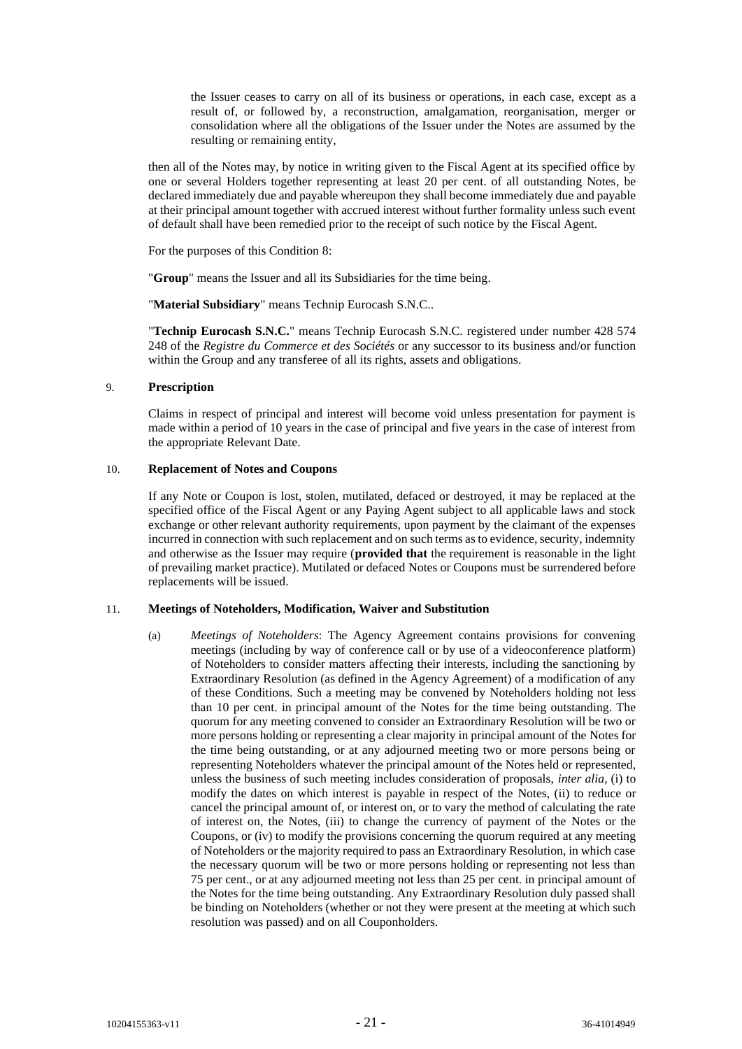the Issuer ceases to carry on all of its business or operations, in each case, except as a result of, or followed by, a reconstruction, amalgamation, reorganisation, merger or consolidation where all the obligations of the Issuer under the Notes are assumed by the resulting or remaining entity,

then all of the Notes may, by notice in writing given to the Fiscal Agent at its specified office by one or several Holders together representing at least 20 per cent. of all outstanding Notes, be declared immediately due and payable whereupon they shall become immediately due and payable at their principal amount together with accrued interest without further formality unless such event of default shall have been remedied prior to the receipt of such notice by the Fiscal Agent.

For the purposes of this Condition [8:](#page-26-0)

"**Group**" means the Issuer and all its Subsidiaries for the time being.

"**Material Subsidiary**" means Technip Eurocash S.N.C..

"**Technip Eurocash S.N.C.**" means Technip Eurocash S.N.C. registered under number 428 574 248 of the *Registre du Commerce et des Sociétés* or any successor to its business and/or function within the Group and any transferee of all its rights, assets and obligations.

#### 9. **Prescription**

Claims in respect of principal and interest will become void unless presentation for payment is made within a period of 10 years in the case of principal and five years in the case of interest from the appropriate Relevant Date.

#### 10. **Replacement of Notes and Coupons**

If any Note or Coupon is lost, stolen, mutilated, defaced or destroyed, it may be replaced at the specified office of the Fiscal Agent or any Paying Agent subject to all applicable laws and stock exchange or other relevant authority requirements, upon payment by the claimant of the expenses incurred in connection with such replacement and on such terms as to evidence, security, indemnity and otherwise as the Issuer may require (**provided that** the requirement is reasonable in the light of prevailing market practice). Mutilated or defaced Notes or Coupons must be surrendered before replacements will be issued.

#### <span id="page-27-1"></span><span id="page-27-0"></span>11. **Meetings of Noteholders, Modification, Waiver and Substitution**

(a) *Meetings of Noteholders*: The Agency Agreement contains provisions for convening meetings (including by way of conference call or by use of a videoconference platform) of Noteholders to consider matters affecting their interests, including the sanctioning by Extraordinary Resolution (as defined in the Agency Agreement) of a modification of any of these Conditions. Such a meeting may be convened by Noteholders holding not less than 10 per cent. in principal amount of the Notes for the time being outstanding. The quorum for any meeting convened to consider an Extraordinary Resolution will be two or more persons holding or representing a clear majority in principal amount of the Notes for the time being outstanding, or at any adjourned meeting two or more persons being or representing Noteholders whatever the principal amount of the Notes held or represented, unless the business of such meeting includes consideration of proposals, *inter alia*, (i) to modify the dates on which interest is payable in respect of the Notes, (ii) to reduce or cancel the principal amount of, or interest on, or to vary the method of calculating the rate of interest on, the Notes, (iii) to change the currency of payment of the Notes or the Coupons, or (iv) to modify the provisions concerning the quorum required at any meeting of Noteholders or the majority required to pass an Extraordinary Resolution, in which case the necessary quorum will be two or more persons holding or representing not less than 75 per cent., or at any adjourned meeting not less than 25 per cent. in principal amount of the Notes for the time being outstanding. Any Extraordinary Resolution duly passed shall be binding on Noteholders (whether or not they were present at the meeting at which such resolution was passed) and on all Couponholders.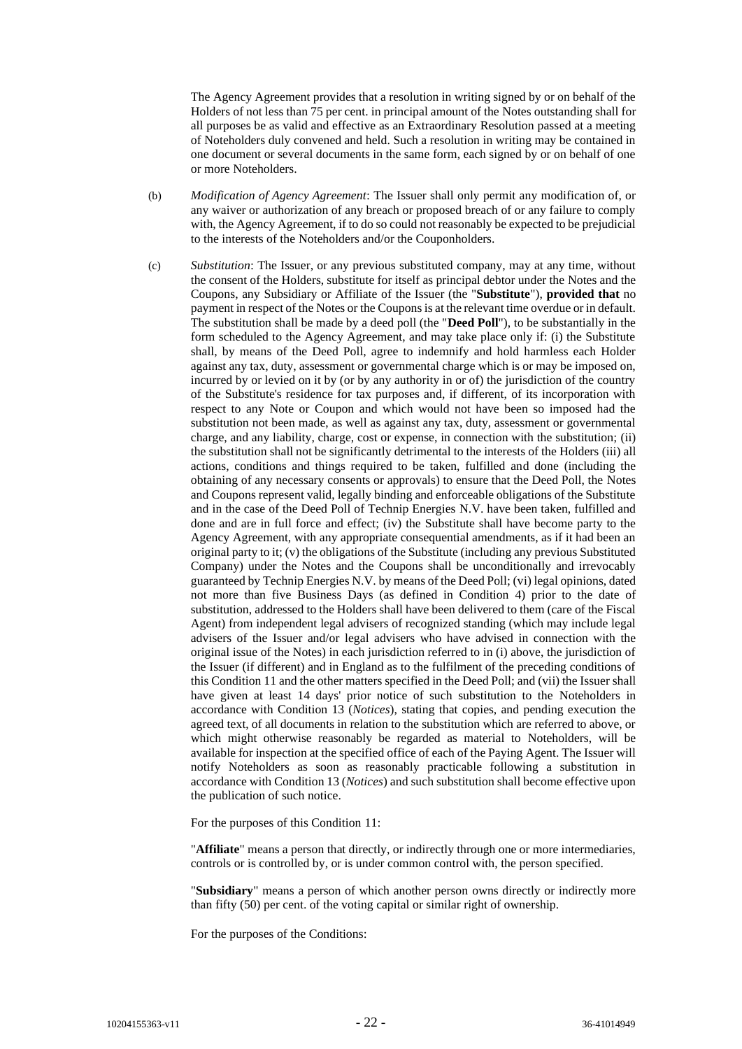The Agency Agreement provides that a resolution in writing signed by or on behalf of the Holders of not less than 75 per cent. in principal amount of the Notes outstanding shall for all purposes be as valid and effective as an Extraordinary Resolution passed at a meeting of Noteholders duly convened and held. Such a resolution in writing may be contained in one document or several documents in the same form, each signed by or on behalf of one or more Noteholders.

- (b) *Modification of Agency Agreement*: The Issuer shall only permit any modification of, or any waiver or authorization of any breach or proposed breach of or any failure to comply with, the Agency Agreement, if to do so could not reasonably be expected to be prejudicial to the interests of the Noteholders and/or the Couponholders.
- (c) *Substitution*: The Issuer, or any previous substituted company, may at any time, without the consent of the Holders, substitute for itself as principal debtor under the Notes and the Coupons, any Subsidiary or Affiliate of the Issuer (the "**Substitute**"), **provided that** no payment in respect of the Notes or the Coupons is at the relevant time overdue or in default. The substitution shall be made by a deed poll (the "**Deed Poll**"), to be substantially in the form scheduled to the Agency Agreement, and may take place only if: (i) the Substitute shall, by means of the Deed Poll, agree to indemnify and hold harmless each Holder against any tax, duty, assessment or governmental charge which is or may be imposed on, incurred by or levied on it by (or by any authority in or of) the jurisdiction of the country of the Substitute's residence for tax purposes and, if different, of its incorporation with respect to any Note or Coupon and which would not have been so imposed had the substitution not been made, as well as against any tax, duty, assessment or governmental charge, and any liability, charge, cost or expense, in connection with the substitution; (ii) the substitution shall not be significantly detrimental to the interests of the Holders (iii) all actions, conditions and things required to be taken, fulfilled and done (including the obtaining of any necessary consents or approvals) to ensure that the Deed Poll, the Notes and Coupons represent valid, legally binding and enforceable obligations of the Substitute and in the case of the Deed Poll of Technip Energies N.V. have been taken, fulfilled and done and are in full force and effect; (iv) the Substitute shall have become party to the Agency Agreement, with any appropriate consequential amendments, as if it had been an original party to it; (v) the obligations of the Substitute (including any previous Substituted Company) under the Notes and the Coupons shall be unconditionally and irrevocably guaranteed by Technip Energies N.V. by means of the Deed Poll; (vi) legal opinions, dated not more than five Business Days (as defined in Condition [4\)](#page-20-0) prior to the date of substitution, addressed to the Holders shall have been delivered to them (care of the Fiscal Agent) from independent legal advisers of recognized standing (which may include legal advisers of the Issuer and/or legal advisers who have advised in connection with the original issue of the Notes) in each jurisdiction referred to in (i) above, the jurisdiction of the Issuer (if different) and in England as to the fulfilment of the preceding conditions of this Conditio[n 11](#page-27-0) and the other matters specified in the Deed Poll; and (vii) the Issuer shall have given at least 14 days' prior notice of such substitution to the Noteholders in accordance with Condition [13](#page-29-0) (*Notices*), stating that copies, and pending execution the agreed text, of all documents in relation to the substitution which are referred to above, or which might otherwise reasonably be regarded as material to Noteholders, will be available for inspection at the specified office of each of the Paying Agent. The Issuer will notify Noteholders as soon as reasonably practicable following a substitution in accordance with Conditio[n 13](#page-29-0) (*Notices*) and such substitution shall become effective upon the publication of such notice.

For the purposes of this Condition [11:](#page-27-0)

"**Affiliate**" means a person that directly, or indirectly through one or more intermediaries, controls or is controlled by, or is under common control with, the person specified.

"**Subsidiary**" means a person of which another person owns directly or indirectly more than fifty (50) per cent. of the voting capital or similar right of ownership.

For the purposes of the Conditions: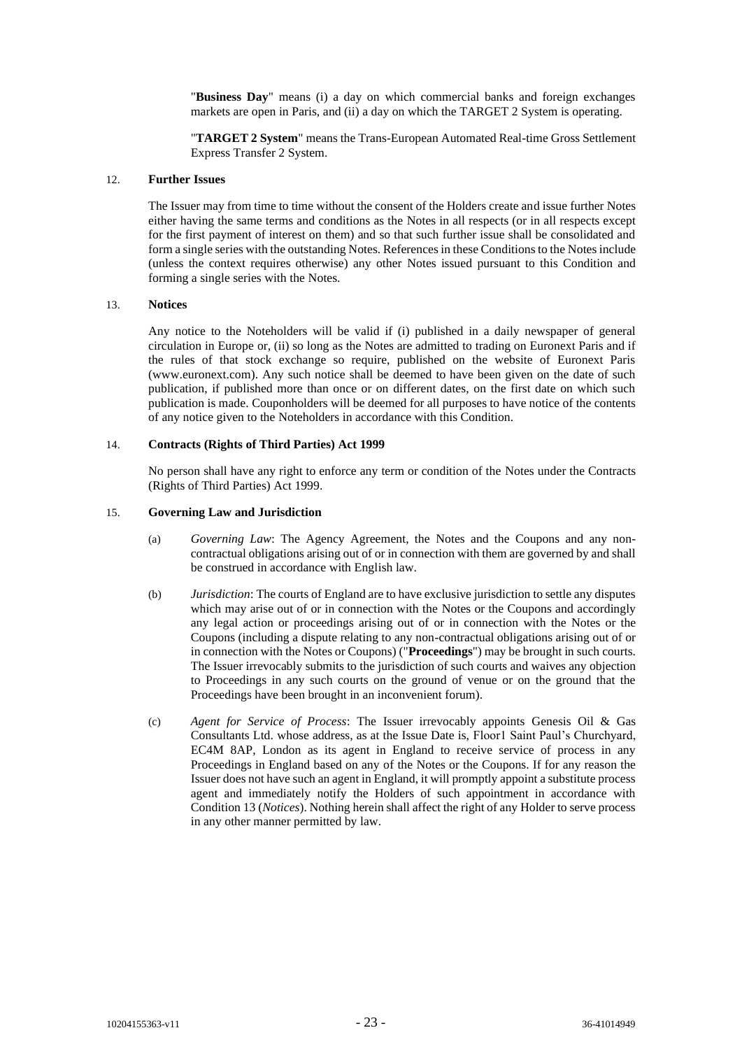"**Business Day**" means (i) a day on which commercial banks and foreign exchanges markets are open in Paris, and (ii) a day on which the TARGET 2 System is operating.

"**TARGET 2 System**" means the Trans-European Automated Real-time Gross Settlement Express Transfer 2 System.

#### <span id="page-29-1"></span>12. **Further Issues**

The Issuer may from time to time without the consent of the Holders create and issue further Notes either having the same terms and conditions as the Notes in all respects (or in all respects except for the first payment of interest on them) and so that such further issue shall be consolidated and form a single series with the outstanding Notes. References in these Conditions to the Notesinclude (unless the context requires otherwise) any other Notes issued pursuant to this Condition and forming a single series with the Notes.

#### <span id="page-29-0"></span>13. **Notices**

Any notice to the Noteholders will be valid if (i) published in a daily newspaper of general circulation in Europe or, (ii) so long as the Notes are admitted to trading on Euronext Paris and if the rules of that stock exchange so require, published on the website of Euronext Paris (www.euronext.com). Any such notice shall be deemed to have been given on the date of such publication, if published more than once or on different dates, on the first date on which such publication is made. Couponholders will be deemed for all purposes to have notice of the contents of any notice given to the Noteholders in accordance with this Condition.

#### 14. **Contracts (Rights of Third Parties) Act 1999**

No person shall have any right to enforce any term or condition of the Notes under the Contracts (Rights of Third Parties) Act 1999.

#### 15. **Governing Law and Jurisdiction**

- (a) *Governing Law*: The Agency Agreement, the Notes and the Coupons and any noncontractual obligations arising out of or in connection with them are governed by and shall be construed in accordance with English law.
- (b) *Jurisdiction*: The courts of England are to have exclusive jurisdiction to settle any disputes which may arise out of or in connection with the Notes or the Coupons and accordingly any legal action or proceedings arising out of or in connection with the Notes or the Coupons (including a dispute relating to any non-contractual obligations arising out of or in connection with the Notes or Coupons) ("**Proceedings**") may be brought in such courts. The Issuer irrevocably submits to the jurisdiction of such courts and waives any objection to Proceedings in any such courts on the ground of venue or on the ground that the Proceedings have been brought in an inconvenient forum).
- (c) *Agent for Service of Process*: The Issuer irrevocably appoints Genesis Oil & Gas Consultants Ltd. whose address, as at the Issue Date is, Floor1 Saint Paul's Churchyard, EC4M 8AP, London as its agent in England to receive service of process in any Proceedings in England based on any of the Notes or the Coupons. If for any reason the Issuer does not have such an agent in England, it will promptly appoint a substitute process agent and immediately notify the Holders of such appointment in accordance with Conditio[n 13](#page-29-0) (*Notices*). Nothing herein shall affect the right of any Holder to serve process in any other manner permitted by law.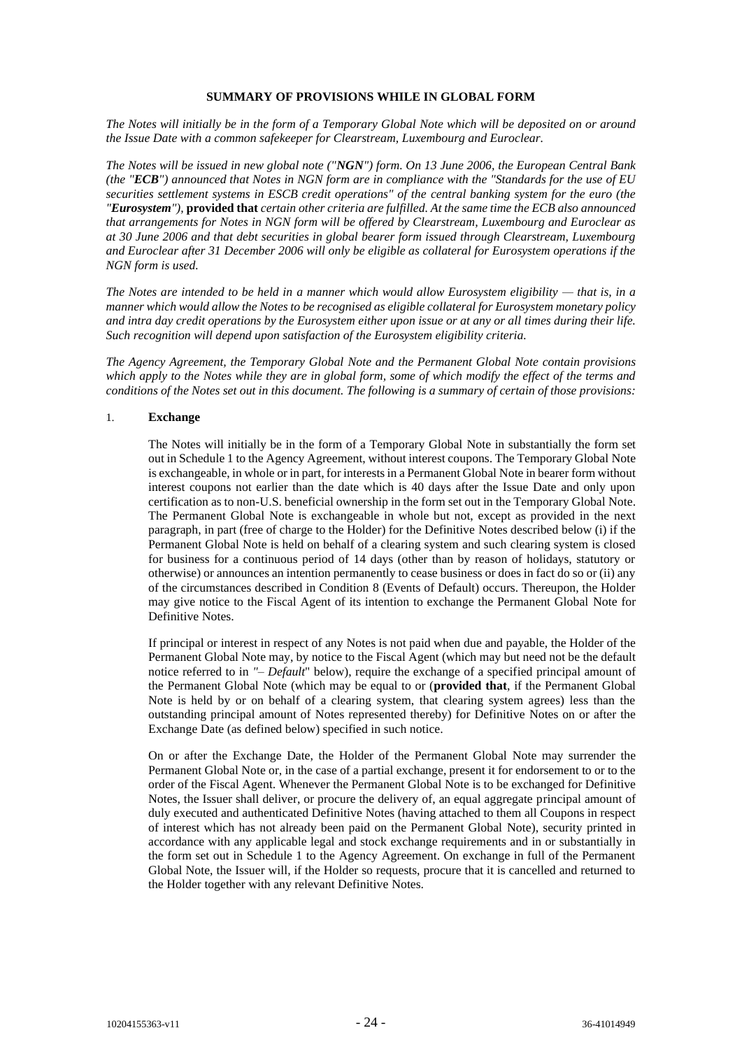# **SUMMARY OF PROVISIONS WHILE IN GLOBAL FORM**

<span id="page-30-0"></span>*The Notes will initially be in the form of a Temporary Global Note which will be deposited on or around the Issue Date with a common safekeeper for Clearstream, Luxembourg and Euroclear.*

*The Notes will be issued in new global note ("NGN") form. On 13 June 2006, the European Central Bank (the "ECB") announced that Notes in NGN form are in compliance with the "Standards for the use of EU securities settlement systems in ESCB credit operations" of the central banking system for the euro (the "Eurosystem"),* **provided that** *certain other criteria are fulfilled. At the same time the ECB also announced that arrangements for Notes in NGN form will be offered by Clearstream, Luxembourg and Euroclear as at 30 June 2006 and that debt securities in global bearer form issued through Clearstream, Luxembourg and Euroclear after 31 December 2006 will only be eligible as collateral for Eurosystem operations if the NGN form is used.*

*The Notes are intended to be held in a manner which would allow Eurosystem eligibility — that is, in a manner which would allow the Notes to be recognised as eligible collateral for Eurosystem monetary policy and intra day credit operations by the Eurosystem either upon issue or at any or all times during their life. Such recognition will depend upon satisfaction of the Eurosystem eligibility criteria.*

*The Agency Agreement, the Temporary Global Note and the Permanent Global Note contain provisions which apply to the Notes while they are in global form, some of which modify the effect of the terms and conditions of the Notes set out in this document. The following is a summary of certain of those provisions:*

# 1. **Exchange**

The Notes will initially be in the form of a Temporary Global Note in substantially the form set out in Schedule 1 to the Agency Agreement, without interest coupons. The Temporary Global Note is exchangeable, in whole or in part, for interests in a Permanent Global Note in bearer form without interest coupons not earlier than the date which is 40 days after the Issue Date and only upon certification as to non-U.S. beneficial ownership in the form set out in the Temporary Global Note. The Permanent Global Note is exchangeable in whole but not, except as provided in the next paragraph, in part (free of charge to the Holder) for the Definitive Notes described below (i) if the Permanent Global Note is held on behalf of a clearing system and such clearing system is closed for business for a continuous period of 14 days (other than by reason of holidays, statutory or otherwise) or announces an intention permanently to cease business or does in fact do so or (ii) any of the circumstances described in Condition [8](#page-26-0) (Events of Default) occurs. Thereupon, the Holder may give notice to the Fiscal Agent of its intention to exchange the Permanent Global Note for Definitive Notes.

If principal or interest in respect of any Notes is not paid when due and payable, the Holder of the Permanent Global Note may, by notice to the Fiscal Agent (which may but need not be the default notice referred to in *"– Default*" below), require the exchange of a specified principal amount of the Permanent Global Note (which may be equal to or (**provided that**, if the Permanent Global Note is held by or on behalf of a clearing system, that clearing system agrees) less than the outstanding principal amount of Notes represented thereby) for Definitive Notes on or after the Exchange Date (as defined below) specified in such notice.

On or after the Exchange Date, the Holder of the Permanent Global Note may surrender the Permanent Global Note or, in the case of a partial exchange, present it for endorsement to or to the order of the Fiscal Agent. Whenever the Permanent Global Note is to be exchanged for Definitive Notes, the Issuer shall deliver, or procure the delivery of, an equal aggregate principal amount of duly executed and authenticated Definitive Notes (having attached to them all Coupons in respect of interest which has not already been paid on the Permanent Global Note), security printed in accordance with any applicable legal and stock exchange requirements and in or substantially in the form set out in Schedule 1 to the Agency Agreement. On exchange in full of the Permanent Global Note, the Issuer will, if the Holder so requests, procure that it is cancelled and returned to the Holder together with any relevant Definitive Notes.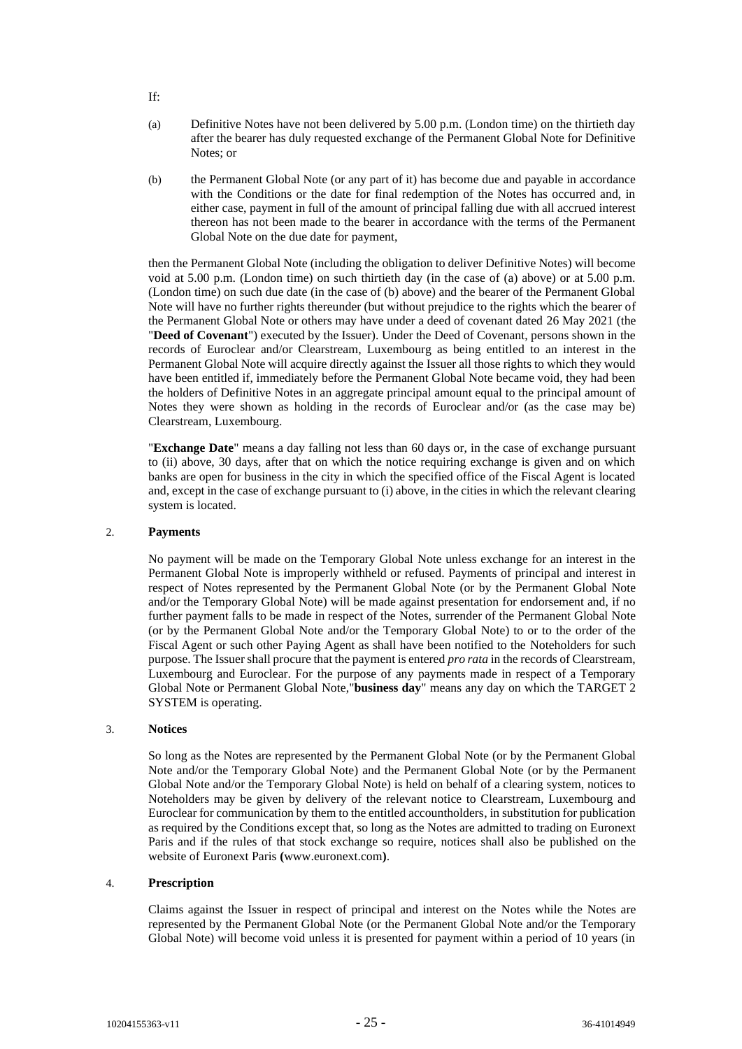- (a) Definitive Notes have not been delivered by 5.00 p.m. (London time) on the thirtieth day after the bearer has duly requested exchange of the Permanent Global Note for Definitive Notes; or
- (b) the Permanent Global Note (or any part of it) has become due and payable in accordance with the Conditions or the date for final redemption of the Notes has occurred and, in either case, payment in full of the amount of principal falling due with all accrued interest thereon has not been made to the bearer in accordance with the terms of the Permanent Global Note on the due date for payment,

then the Permanent Global Note (including the obligation to deliver Definitive Notes) will become void at 5.00 p.m. (London time) on such thirtieth day (in the case of (a) above) or at 5.00 p.m. (London time) on such due date (in the case of (b) above) and the bearer of the Permanent Global Note will have no further rights thereunder (but without prejudice to the rights which the bearer of the Permanent Global Note or others may have under a deed of covenant dated 26 May 2021 (the "**Deed of Covenant**") executed by the Issuer). Under the Deed of Covenant, persons shown in the records of Euroclear and/or Clearstream, Luxembourg as being entitled to an interest in the Permanent Global Note will acquire directly against the Issuer all those rights to which they would have been entitled if, immediately before the Permanent Global Note became void, they had been the holders of Definitive Notes in an aggregate principal amount equal to the principal amount of Notes they were shown as holding in the records of Euroclear and/or (as the case may be) Clearstream, Luxembourg.

"**Exchange Date**" means a day falling not less than 60 days or, in the case of exchange pursuant to (ii) above, 30 days, after that on which the notice requiring exchange is given and on which banks are open for business in the city in which the specified office of the Fiscal Agent is located and, except in the case of exchange pursuant to (i) above, in the cities in which the relevant clearing system is located.

#### 2. **Payments**

No payment will be made on the Temporary Global Note unless exchange for an interest in the Permanent Global Note is improperly withheld or refused. Payments of principal and interest in respect of Notes represented by the Permanent Global Note (or by the Permanent Global Note and/or the Temporary Global Note) will be made against presentation for endorsement and, if no further payment falls to be made in respect of the Notes, surrender of the Permanent Global Note (or by the Permanent Global Note and/or the Temporary Global Note) to or to the order of the Fiscal Agent or such other Paying Agent as shall have been notified to the Noteholders for such purpose. The Issuer shall procure that the payment is entered *pro rata* in the records of Clearstream, Luxembourg and Euroclear. For the purpose of any payments made in respect of a Temporary Global Note or Permanent Global Note,"**business day**" means any day on which the TARGET 2 SYSTEM is operating.

#### 3. **Notices**

So long as the Notes are represented by the Permanent Global Note (or by the Permanent Global Note and/or the Temporary Global Note) and the Permanent Global Note (or by the Permanent Global Note and/or the Temporary Global Note) is held on behalf of a clearing system, notices to Noteholders may be given by delivery of the relevant notice to Clearstream, Luxembourg and Euroclear for communication by them to the entitled accountholders, in substitution for publication as required by the Conditions except that, so long as the Notes are admitted to trading on Euronext Paris and if the rules of that stock exchange so require, notices shall also be published on the website of Euronext Paris **(**www.euronext.com**)**.

#### 4. **Prescription**

Claims against the Issuer in respect of principal and interest on the Notes while the Notes are represented by the Permanent Global Note (or the Permanent Global Note and/or the Temporary Global Note) will become void unless it is presented for payment within a period of 10 years (in

If: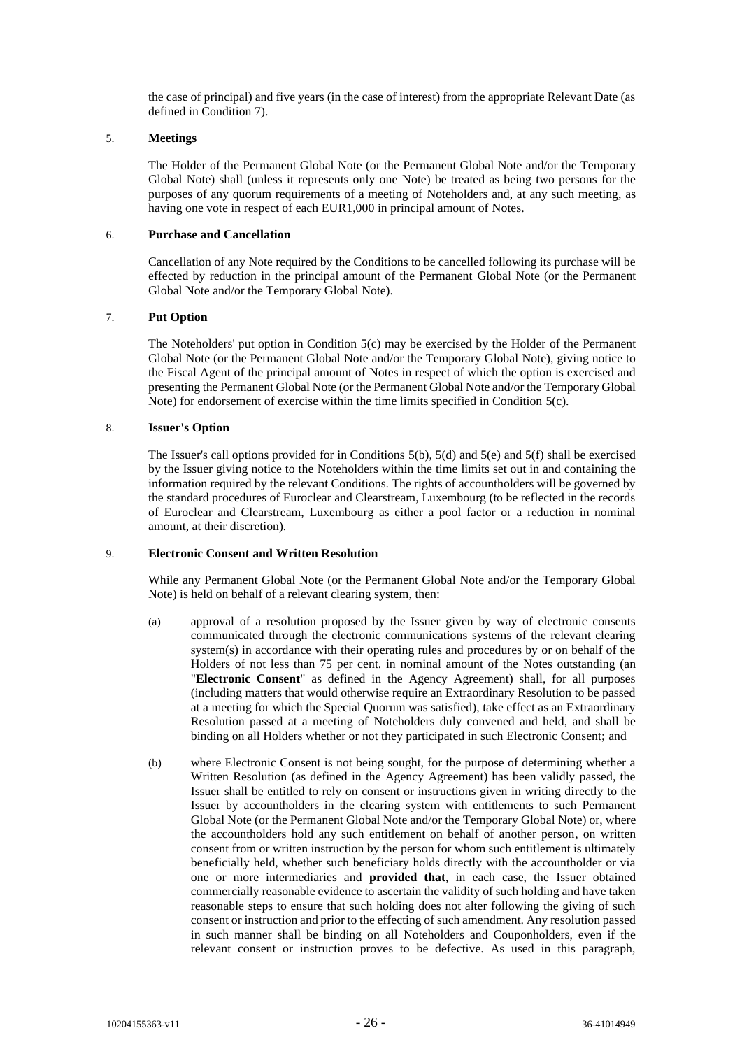the case of principal) and five years (in the case of interest) from the appropriate Relevant Date (as defined in Condition [7\)](#page-25-0).

#### 5. **Meetings**

The Holder of the Permanent Global Note (or the Permanent Global Note and/or the Temporary Global Note) shall (unless it represents only one Note) be treated as being two persons for the purposes of any quorum requirements of a meeting of Noteholders and, at any such meeting, as having one vote in respect of each EUR1,000 in principal amount of Notes.

#### 6. **Purchase and Cancellation**

Cancellation of any Note required by the Conditions to be cancelled following its purchase will be effected by reduction in the principal amount of the Permanent Global Note (or the Permanent Global Note and/or the Temporary Global Note).

#### 7. **Put Option**

The Noteholders' put option in Condition [5\(c\)](#page-21-0) may be exercised by the Holder of the Permanent Global Note (or the Permanent Global Note and/or the Temporary Global Note), giving notice to the Fiscal Agent of the principal amount of Notes in respect of which the option is exercised and presenting the Permanent Global Note (or the Permanent Global Note and/or the Temporary Global Note) for endorsement of exercise within the time limits specified in Condition [5\(c\).](#page-21-0)

#### 8. **Issuer's Option**

The Issuer's call options provided for in Conditions [5\(b\),](#page-21-1) [5\(d\)](#page-22-1) an[d 5\(e\)](#page-22-0) and [5\(f\)](#page-24-1) shall be exercised by the Issuer giving notice to the Noteholders within the time limits set out in and containing the information required by the relevant Conditions. The rights of accountholders will be governed by the standard procedures of Euroclear and Clearstream, Luxembourg (to be reflected in the records of Euroclear and Clearstream, Luxembourg as either a pool factor or a reduction in nominal amount, at their discretion).

# 9. **Electronic Consent and Written Resolution**

While any Permanent Global Note (or the Permanent Global Note and/or the Temporary Global Note) is held on behalf of a relevant clearing system, then:

- (a) approval of a resolution proposed by the Issuer given by way of electronic consents communicated through the electronic communications systems of the relevant clearing system(s) in accordance with their operating rules and procedures by or on behalf of the Holders of not less than 75 per cent. in nominal amount of the Notes outstanding (an "**Electronic Consent**" as defined in the Agency Agreement) shall, for all purposes (including matters that would otherwise require an Extraordinary Resolution to be passed at a meeting for which the Special Quorum was satisfied), take effect as an Extraordinary Resolution passed at a meeting of Noteholders duly convened and held, and shall be binding on all Holders whether or not they participated in such Electronic Consent; and
- (b) where Electronic Consent is not being sought, for the purpose of determining whether a Written Resolution (as defined in the Agency Agreement) has been validly passed, the Issuer shall be entitled to rely on consent or instructions given in writing directly to the Issuer by accountholders in the clearing system with entitlements to such Permanent Global Note (or the Permanent Global Note and/or the Temporary Global Note) or, where the accountholders hold any such entitlement on behalf of another person, on written consent from or written instruction by the person for whom such entitlement is ultimately beneficially held, whether such beneficiary holds directly with the accountholder or via one or more intermediaries and **provided that**, in each case, the Issuer obtained commercially reasonable evidence to ascertain the validity of such holding and have taken reasonable steps to ensure that such holding does not alter following the giving of such consent or instruction and prior to the effecting of such amendment. Any resolution passed in such manner shall be binding on all Noteholders and Couponholders, even if the relevant consent or instruction proves to be defective. As used in this paragraph,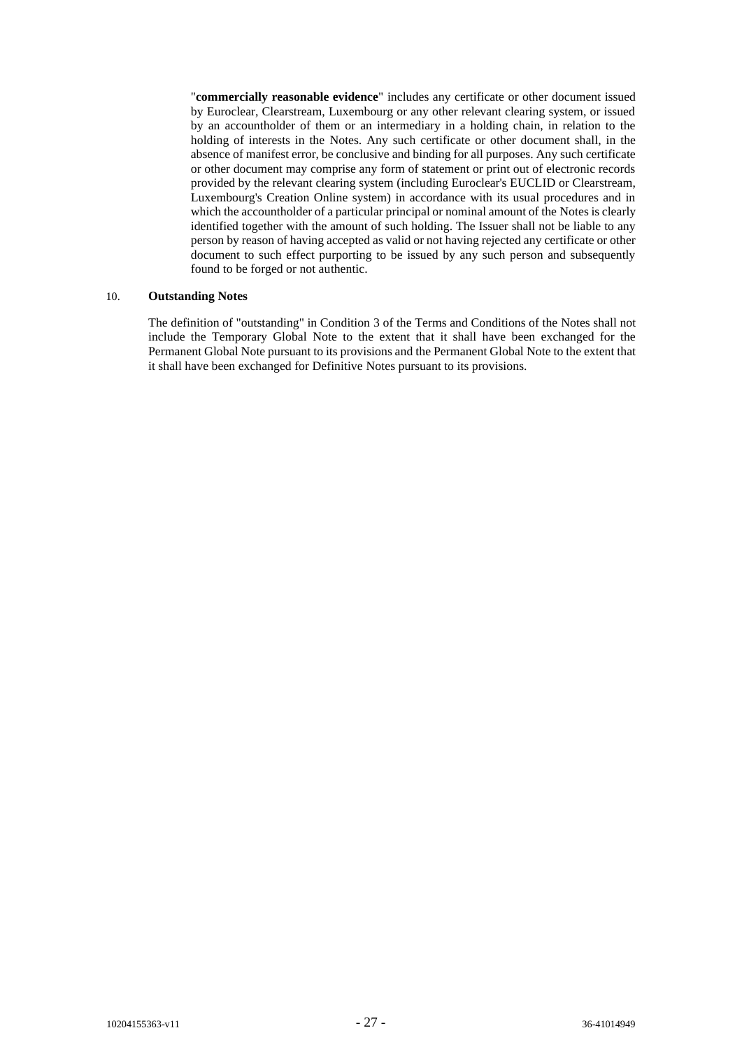"**commercially reasonable evidence**" includes any certificate or other document issued by Euroclear, Clearstream, Luxembourg or any other relevant clearing system, or issued by an accountholder of them or an intermediary in a holding chain, in relation to the holding of interests in the Notes. Any such certificate or other document shall, in the absence of manifest error, be conclusive and binding for all purposes. Any such certificate or other document may comprise any form of statement or print out of electronic records provided by the relevant clearing system (including Euroclear's EUCLID or Clearstream, Luxembourg's Creation Online system) in accordance with its usual procedures and in which the accountholder of a particular principal or nominal amount of the Notes is clearly identified together with the amount of such holding. The Issuer shall not be liable to any person by reason of having accepted as valid or not having rejected any certificate or other document to such effect purporting to be issued by any such person and subsequently found to be forged or not authentic.

#### 10. **Outstanding Notes**

The definition of "outstanding" in Condition [3](#page-19-2) of the Terms and Conditions of the Notes shall not include the Temporary Global Note to the extent that it shall have been exchanged for the Permanent Global Note pursuant to its provisions and the Permanent Global Note to the extent that it shall have been exchanged for Definitive Notes pursuant to its provisions.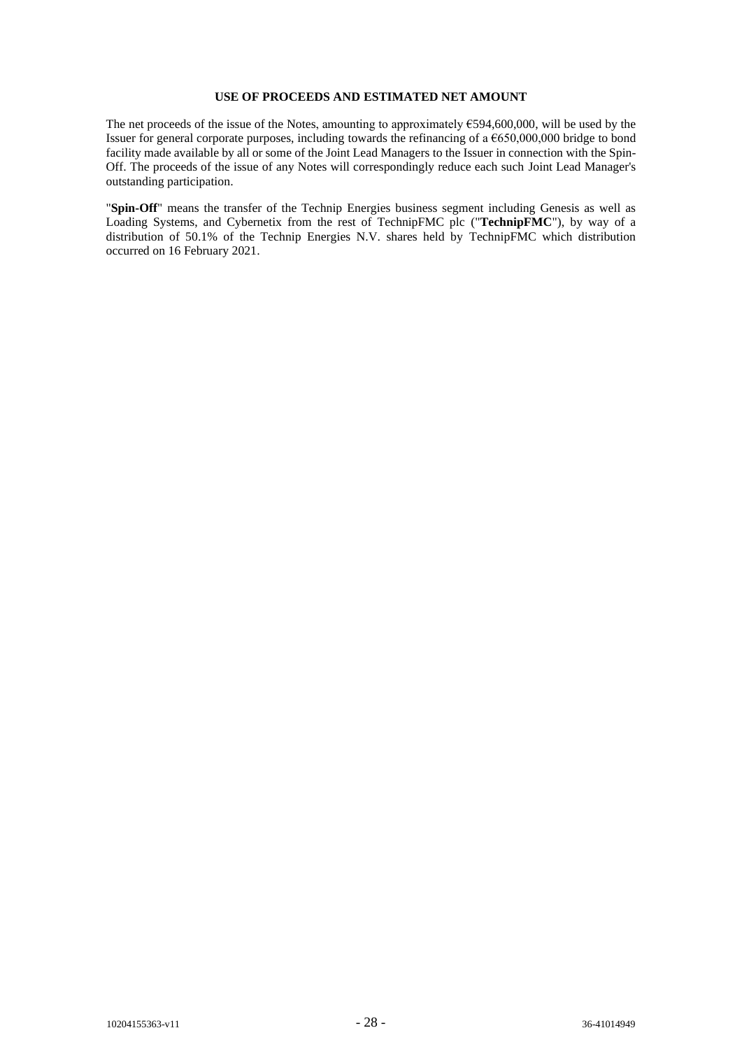#### **USE OF PROCEEDS AND ESTIMATED NET AMOUNT**

<span id="page-34-0"></span>The net proceeds of the issue of the Notes, amounting to approximately €594,600,000, will be used by the Issuer for general corporate purposes, including towards the refinancing of a  $650,000,000$  bridge to bond facility made available by all or some of the Joint Lead Managers to the Issuer in connection with the Spin-Off. The proceeds of the issue of any Notes will correspondingly reduce each such Joint Lead Manager's outstanding participation.

"**Spin-Off**" means the transfer of the Technip Energies business segment including Genesis as well as Loading Systems, and Cybernetix from the rest of TechnipFMC plc ("**TechnipFMC**"), by way of a distribution of 50.1% of the Technip Energies N.V. shares held by TechnipFMC which distribution occurred on 16 February 2021.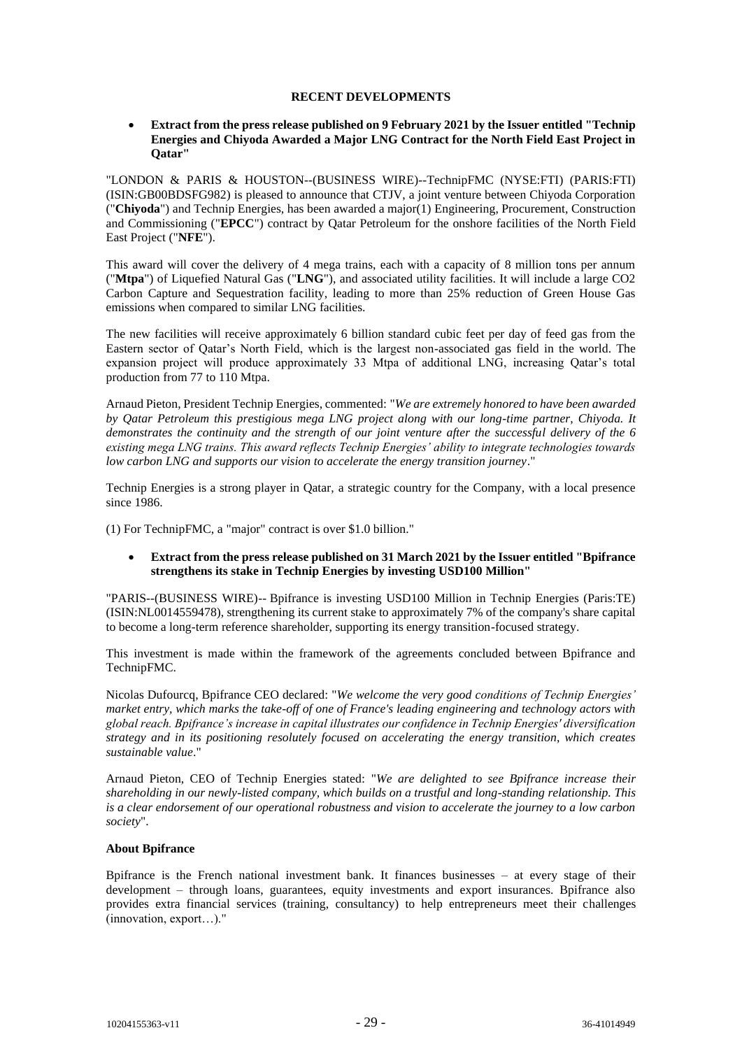# **RECENT DEVELOPMENTS**

<span id="page-35-0"></span>• **Extract from the press release published on 9 February 2021 by the Issuer entitled "Technip Energies and Chiyoda Awarded a Major LNG Contract for the North Field East Project in Qatar"**

"LONDON & PARIS & HOUSTON--[\(BUSINESS WIRE\)](https://www.businesswire.com/)--TechnipFMC (NYSE:FTI) (PARIS:FTI) (ISIN:GB00BDSFG982) is pleased to announce that CTJV, a joint venture between Chiyoda Corporation ("**Chiyoda**") and Technip Energies, has been awarded a major(1) Engineering, Procurement, Construction and Commissioning ("**EPCC**") contract by Qatar Petroleum for the onshore facilities of the North Field East Project ("**NFE**").

This award will cover the delivery of 4 mega trains, each with a capacity of 8 million tons per annum ("**Mtpa**") of Liquefied Natural Gas ("**LNG**"), and associated utility facilities. It will include a large CO2 Carbon Capture and Sequestration facility, leading to more than 25% reduction of Green House Gas emissions when compared to similar LNG facilities.

The new facilities will receive approximately 6 billion standard cubic feet per day of feed gas from the Eastern sector of Qatar's North Field, which is the largest non-associated gas field in the world. The expansion project will produce approximately 33 Mtpa of additional LNG, increasing Qatar's total production from 77 to 110 Mtpa.

Arnaud Pieton, President Technip Energies, commented: "*We are extremely honored to have been awarded by Qatar Petroleum this prestigious mega LNG project along with our long-time partner, Chiyoda. It demonstrates the continuity and the strength of our joint venture after the successful delivery of the 6 existing mega LNG trains. This award reflects Technip Energies' ability to integrate technologies towards low carbon LNG and supports our vision to accelerate the energy transition journey*."

Technip Energies is a strong player in Qatar, a strategic country for the Company, with a local presence since 1986.

(1) For TechnipFMC, a "major" contract is over \$1.0 billion."

# • **Extract from the press release published on 31 March 2021 by the Issuer entitled "Bpifrance strengthens its stake in Technip Energies by investing USD100 Million"**

"PARIS--(BUSINESS WIRE)-- Bpifrance is investing USD100 Million in Technip Energies (Paris:TE) (ISIN:NL0014559478), strengthening its current stake to approximately 7% of the company's share capital to become a long-term reference shareholder, supporting its energy transition-focused strategy.

This investment is made within the framework of the agreements concluded between Bpifrance and TechnipFMC.

Nicolas Dufourcq, Bpifrance CEO declared: "*We welcome the very good conditions of Technip Energies' market entry, which marks the take-off of one of France's leading engineering and technology actors with global reach. Bpifrance's increase in capital illustrates our confidence in Technip Energies' diversification strategy and in its positioning resolutely focused on accelerating the energy transition, which creates sustainable value*."

Arnaud Pieton, CEO of Technip Energies stated: "*We are delighted to see Bpifrance increase their shareholding in our newly-listed company, which builds on a trustful and long-standing relationship. This is a clear endorsement of our operational robustness and vision to accelerate the journey to a low carbon society*".

# **About Bpifrance**

Bpifrance is the French national investment bank. It finances businesses – at every stage of their development – through loans, guarantees, equity investments and export insurances. Bpifrance also provides extra financial services (training, consultancy) to help entrepreneurs meet their challenges (innovation, export…)."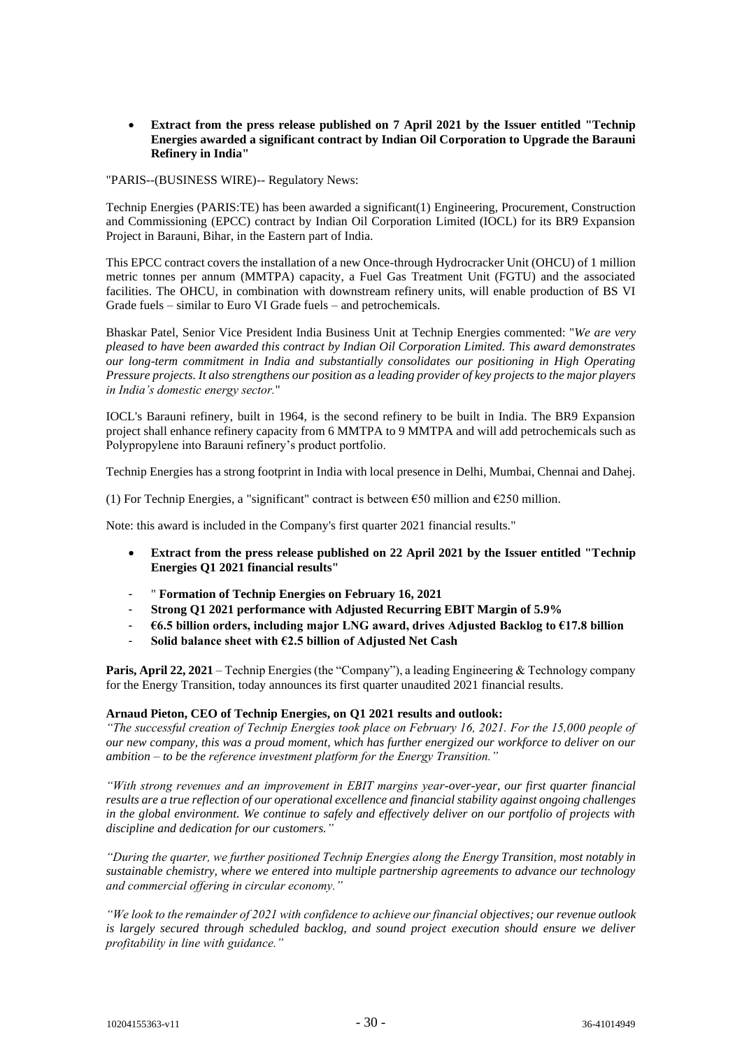• **Extract from the press release published on 7 April 2021 by the Issuer entitled "Technip Energies awarded a significant contract by Indian Oil Corporation to Upgrade the Barauni Refinery in India"**

"PARIS--(BUSINESS WIRE)-- Regulatory News:

Technip Energies (PARIS:TE) has been awarded a significant(1) Engineering, Procurement, Construction and Commissioning (EPCC) contract by Indian Oil Corporation Limited (IOCL) for its BR9 Expansion Project in Barauni, Bihar, in the Eastern part of India.

This EPCC contract covers the installation of a new Once-through Hydrocracker Unit (OHCU) of 1 million metric tonnes per annum (MMTPA) capacity, a Fuel Gas Treatment Unit (FGTU) and the associated facilities. The OHCU, in combination with downstream refinery units, will enable production of BS VI Grade fuels – similar to Euro VI Grade fuels – and petrochemicals.

Bhaskar Patel, Senior Vice President India Business Unit at Technip Energies commented: "*We are very pleased to have been awarded this contract by Indian Oil Corporation Limited. This award demonstrates our long-term commitment in India and substantially consolidates our positioning in High Operating Pressure projects. It also strengthens our position as a leading provider of key projects to the major players in India's domestic energy sector.*"

IOCL's Barauni refinery, built in 1964, is the second refinery to be built in India. The BR9 Expansion project shall enhance refinery capacity from 6 MMTPA to 9 MMTPA and will add petrochemicals such as Polypropylene into Barauni refinery's product portfolio.

Technip Energies has a strong footprint in India with local presence in Delhi, Mumbai, Chennai and Dahej.

(1) For Technip Energies, a "significant" contract is between  $\epsilon$ 50 million and  $\epsilon$ 250 million.

Note: this award is included in the Company's first quarter 2021 financial results."

- **Extract from the press release published on 22 April 2021 by the Issuer entitled "Technip Energies Q1 2021 financial results"**
- " **Formation of Technip Energies on February 16, 2021**
- **Strong Q1 2021 performance with Adjusted Recurring EBIT Margin of 5.9%**
- **€6.5 billion orders, including major LNG award, drives Adjusted Backlog to €17.8 billion**
- **Solid balance sheet with €2.5 billion of Adjusted Net Cash**

**Paris, April 22, 2021** – Technip Energies (the "Company"), a leading Engineering & Technology company for the Energy Transition, today announces its first quarter unaudited 2021 financial results.

#### **Arnaud Pieton, CEO of Technip Energies, on Q1 2021 results and outlook:**

*"The successful creation of Technip Energies took place on February 16, 2021. For the 15,000 people of our new company, this was a proud moment, which has further energized our workforce to deliver on our ambition – to be the reference investment platform for the Energy Transition."*

*"With strong revenues and an improvement in EBIT margins year-over-year, our first quarter financial results are a true reflection of our operational excellence and financial stability against ongoing challenges in the global environment. We continue to safely and effectively deliver on our portfolio of projects with discipline and dedication for our customers."*

*"During the quarter, we further positioned Technip Energies along the Energy Transition, most notably in sustainable chemistry, where we entered into multiple partnership agreements to advance our technology and commercial offering in circular economy."*

*"We look to the remainder of 2021 with confidence to achieve our financial objectives; our revenue outlook is largely secured through scheduled backlog, and sound project execution should ensure we deliver profitability in line with guidance."*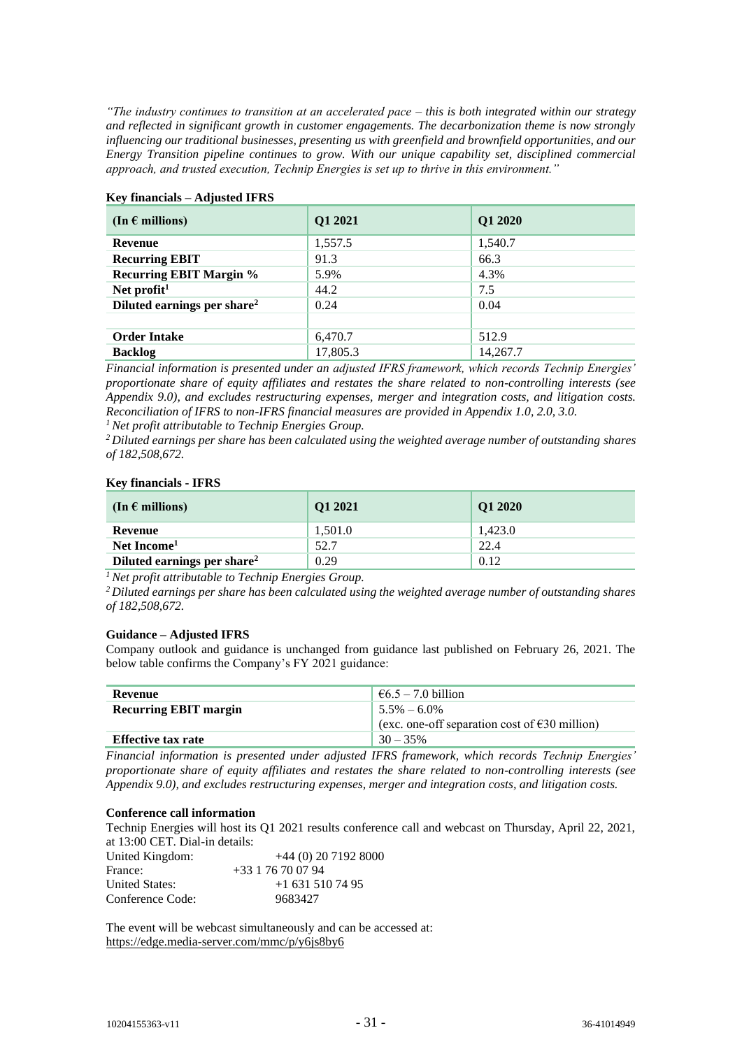*"The industry continues to transition at an accelerated pace – this is both integrated within our strategy and reflected in significant growth in customer engagements. The decarbonization theme is now strongly influencing our traditional businesses, presenting us with greenfield and brownfield opportunities, and our Energy Transition pipeline continues to grow. With our unique capability set, disciplined commercial approach, and trusted execution, Technip Energies is set up to thrive in this environment."*

| (In $\epsilon$ millions)                | O1 2021  | Q1 2020  |
|-----------------------------------------|----------|----------|
| Revenue                                 | 1,557.5  | 1,540.7  |
| <b>Recurring EBIT</b>                   | 91.3     | 66.3     |
| <b>Recurring EBIT Margin %</b>          | 5.9%     | 4.3%     |
| Net $profit1$                           | 44.2     | 7.5      |
| Diluted earnings per share <sup>2</sup> | 0.24     | 0.04     |
|                                         |          |          |
| <b>Order Intake</b>                     | 6,470.7  | 512.9    |
| <b>Backlog</b>                          | 17,805.3 | 14.267.7 |

#### **Key financials – Adjusted IFRS**

*Financial information is presented under an adjusted IFRS framework, which records Technip Energies' proportionate share of equity affiliates and restates the share related to non-controlling interests (see Appendix 9.0), and excludes restructuring expenses, merger and integration costs, and litigation costs. Reconciliation of IFRS to non-IFRS financial measures are provided in Appendix 1.0, 2.0, 3.0.*

*<sup>1</sup>Net profit attributable to Technip Energies Group.*

*<sup>2</sup>Diluted earnings per share has been calculated using the weighted average number of outstanding shares of 182,508,672.*

#### **Key financials - IFRS**

| (In $\epsilon$ millions)                | Q1 2021 | Q1 2020 |
|-----------------------------------------|---------|---------|
| Revenue                                 | 1.501.0 | 1.423.0 |
| Net Income <sup>1</sup>                 | 52.7    | 22.4    |
| Diluted earnings per share <sup>2</sup> | 0.29    | 0.12    |

*<sup>1</sup>Net profit attributable to Technip Energies Group.*

*<sup>2</sup>Diluted earnings per share has been calculated using the weighted average number of outstanding shares of 182,508,672.*

#### **Guidance – Adjusted IFRS**

Company outlook and guidance is unchanged from guidance last published on February 26, 2021. The below table confirms the Company's FY 2021 guidance:

| Revenue                      | $6.5 - 7.0$ billion                                     |  |
|------------------------------|---------------------------------------------------------|--|
| <b>Recurring EBIT margin</b> | $5.5\% - 6.0\%$                                         |  |
|                              | (exc. one-off separation cost of $\epsilon$ 30 million) |  |
| <b>Effective tax rate</b>    | $30 - 35\%$                                             |  |

*Financial information is presented under adjusted IFRS framework, which records Technip Energies' proportionate share of equity affiliates and restates the share related to non-controlling interests (see Appendix 9.0), and excludes restructuring expenses, merger and integration costs, and litigation costs.*

#### **Conference call information**

Technip Energies will host its Q1 2021 results conference call and webcast on Thursday, April 22, 2021, at 13:00 CET. Dial-in details:

| United Kingdom:  | $+44(0)$ 20 7192 8000 |
|------------------|-----------------------|
| France:          | $+33176700794$        |
| United States:   | $+16315107495$        |
| Conference Code: | 9683427               |

The event will be webcast simultaneously and can be accessed at: <https://edge.media-server.com/mmc/p/y6js8by6>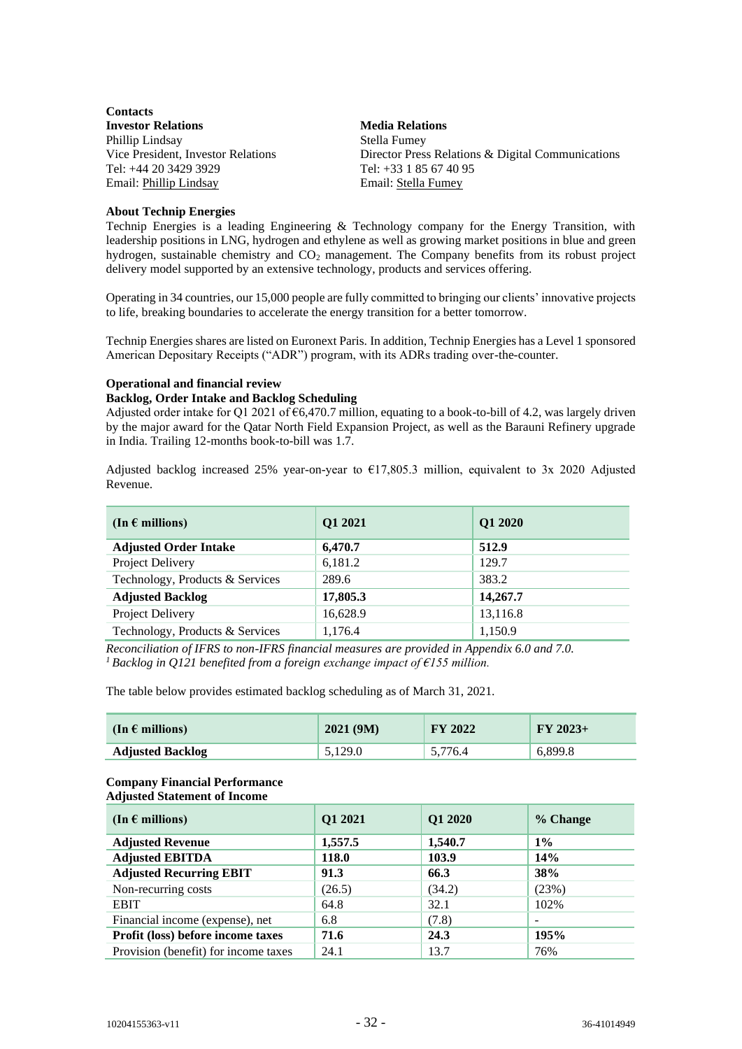**Contacts Investor Relations** Media Relations Phillip Lindsay Stella Fumey Tel: +44 20 3429 3929 Tel: +33 1 85 67 40 95 Email: [Phillip Lindsay](mailt:Phillip.lindsay@technipenergies.com) Email: [Stella Fumey](mailto:Stella.Fumey@technipenergies.com)

Vice President, Investor Relations Director Press Relations & Digital Communications

#### **About Technip Energies**

Technip Energies is a leading Engineering & Technology company for the Energy Transition, with leadership positions in LNG, hydrogen and ethylene as well as growing market positions in blue and green hydrogen, sustainable chemistry and  $CO<sub>2</sub>$  management. The Company benefits from its robust project delivery model supported by an extensive technology, products and services offering.

Operating in 34 countries, our 15,000 people are fully committed to bringing our clients' innovative projects to life, breaking boundaries to accelerate the energy transition for a better tomorrow.

Technip Energies shares are listed on Euronext Paris. In addition, Technip Energies has a Level 1 sponsored American Depositary Receipts ("ADR") program, with its ADRs trading over-the-counter.

#### **Operational and financial review**

#### **Backlog, Order Intake and Backlog Scheduling**

Adjusted order intake for Q1 2021 of  $\epsilon$ 6,470.7 million, equating to a book-to-bill of 4.2, was largely driven by the major award for the Qatar North Field Expansion Project, as well as the Barauni Refinery upgrade in India. Trailing 12-months book-to-bill was 1.7.

Adjusted backlog increased 25% year-on-year to €17,805.3 million, equivalent to 3x 2020 Adjusted Revenue.

| (In $\epsilon$ millions)        | Q1 2021  | Q1 2020  |
|---------------------------------|----------|----------|
| <b>Adjusted Order Intake</b>    | 6,470.7  | 512.9    |
| Project Delivery                | 6,181.2  | 129.7    |
| Technology, Products & Services | 289.6    | 383.2    |
| <b>Adjusted Backlog</b>         | 17,805.3 | 14,267.7 |
| <b>Project Delivery</b>         | 16,628.9 | 13,116.8 |
| Technology, Products & Services | 1.176.4  | 1.150.9  |

*Reconciliation of IFRS to non-IFRS financial measures are provided in Appendix 6.0 and 7.0. <sup>1</sup>Backlog in Q121 benefited from a foreign exchange impact of €155 million.*

The table below provides estimated backlog scheduling as of March 31, 2021.

| (In $\epsilon$ millions) | 2021 (9M) | <b>FY 2022</b> | $\Gamma Y 2023+$ |
|--------------------------|-----------|----------------|------------------|
| <b>Adjusted Backlog</b>  | 5.129.0   | 5.776.4        | 6,899.8          |

# **Company Financial Performance**

#### **Adjusted Statement of Income**

| (In $\epsilon$ millions)             | Q1 2021 | Q1 2020 | % Change |
|--------------------------------------|---------|---------|----------|
| <b>Adjusted Revenue</b>              | 1,557.5 | 1,540.7 | $1\%$    |
| <b>Adjusted EBITDA</b>               | 118.0   | 103.9   | 14%      |
| <b>Adjusted Recurring EBIT</b>       | 91.3    | 66.3    | 38%      |
| Non-recurring costs                  | (26.5)  | (34.2)  | (23%)    |
| <b>EBIT</b>                          | 64.8    | 32.1    | 102%     |
| Financial income (expense), net      | 6.8     | (7.8)   |          |
| Profit (loss) before income taxes    | 71.6    | 24.3    | 195%     |
| Provision (benefit) for income taxes | 24.1    | 13.7    | 76%      |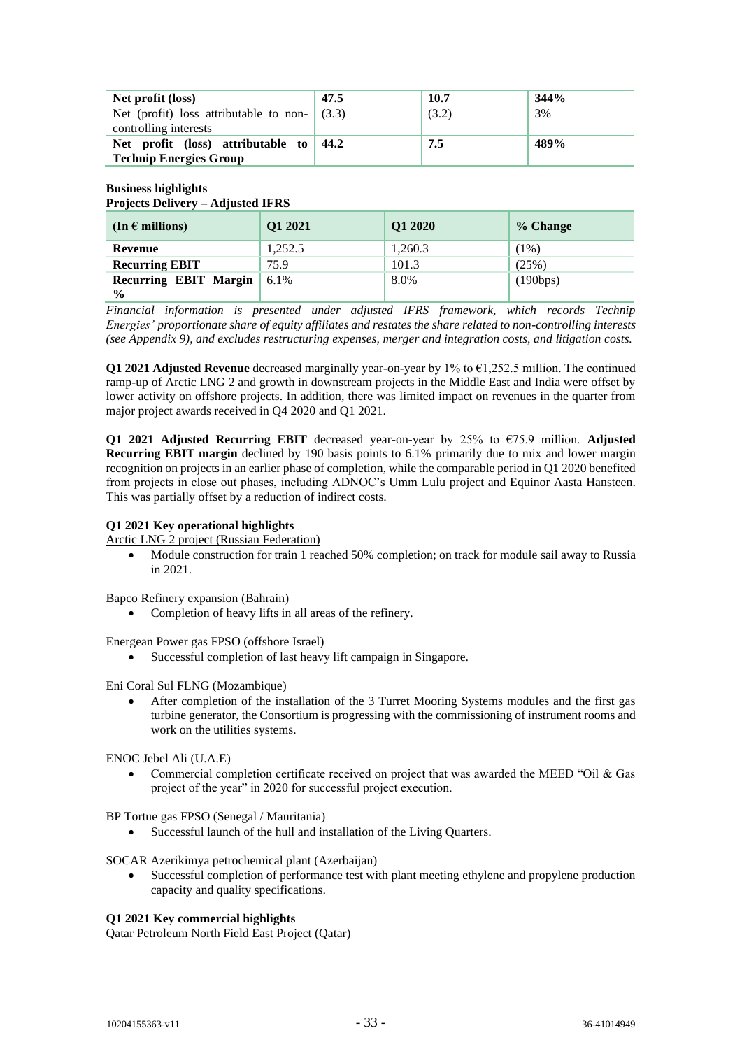| Net profit (loss)                              | 47.5 | 10.7  | 344% |
|------------------------------------------------|------|-------|------|
| Net (profit) loss attributable to non- $(3.3)$ |      | (3.2) | 3%   |
| controlling interests                          |      |       |      |
| Net profit (loss) attributable to $ 44.2 $     |      | 7.5   | 489% |
| <b>Technip Energies Group</b>                  |      |       |      |

# **Business highlights**

|  | Projects Delivery – Adjusted IFRS |  |
|--|-----------------------------------|--|
|  |                                   |  |

| (In $\epsilon$ millions)     | Q1 2021 | Q1 2020 | % Change |
|------------------------------|---------|---------|----------|
| Revenue                      | 1.252.5 | 1,260.3 | $(1\%)$  |
| <b>Recurring EBIT</b>        | 75.9    | 101.3   | (25%)    |
| <b>Recurring EBIT Margin</b> | $6.1\%$ | 8.0%    | (190bps) |
| $\frac{0}{0}$                |         |         |          |

*Financial information is presented under adjusted IFRS framework, which records Technip Energies' proportionate share of equity affiliates and restates the share related to non-controlling interests (see Appendix 9), and excludes restructuring expenses, merger and integration costs, and litigation costs.* 

**Q1 2021 Adjusted Revenue** decreased marginally year-on-year by 1% to €1,252.5 million. The continued ramp-up of Arctic LNG 2 and growth in downstream projects in the Middle East and India were offset by lower activity on offshore projects. In addition, there was limited impact on revenues in the quarter from major project awards received in Q4 2020 and Q1 2021.

**Q1 2021 Adjusted Recurring EBIT** decreased year-on-year by 25% to €75.9 million. **Adjusted Recurring EBIT margin** declined by 190 basis points to 6.1% primarily due to mix and lower margin recognition on projects in an earlier phase of completion, while the comparable period in Q1 2020 benefited from projects in close out phases, including ADNOC's Umm Lulu project and Equinor Aasta Hansteen. This was partially offset by a reduction of indirect costs.

# **Q1 2021 Key operational highlights**

Arctic LNG 2 project (Russian Federation)

• Module construction for train 1 reached 50% completion; on track for module sail away to Russia in 2021.

Bapco Refinery expansion (Bahrain)

• Completion of heavy lifts in all areas of the refinery.

Energean Power gas FPSO (offshore Israel)

• Successful completion of last heavy lift campaign in Singapore.

Eni Coral Sul FLNG (Mozambique)

• After completion of the installation of the 3 Turret Mooring Systems modules and the first gas turbine generator, the Consortium is progressing with the commissioning of instrument rooms and work on the utilities systems.

# ENOC Jebel Ali (U.A.E)

• Commercial completion certificate received on project that was awarded the MEED "Oil & Gas project of the year" in 2020 for successful project execution.

BP Tortue gas FPSO (Senegal / Mauritania)

• Successful launch of the hull and installation of the Living Quarters.

SOCAR Azerikimya petrochemical plant (Azerbaijan)

• Successful completion of performance test with plant meeting ethylene and propylene production capacity and quality specifications.

**Q1 2021 Key commercial highlights**

Qatar Petroleum North Field East Project (Qatar)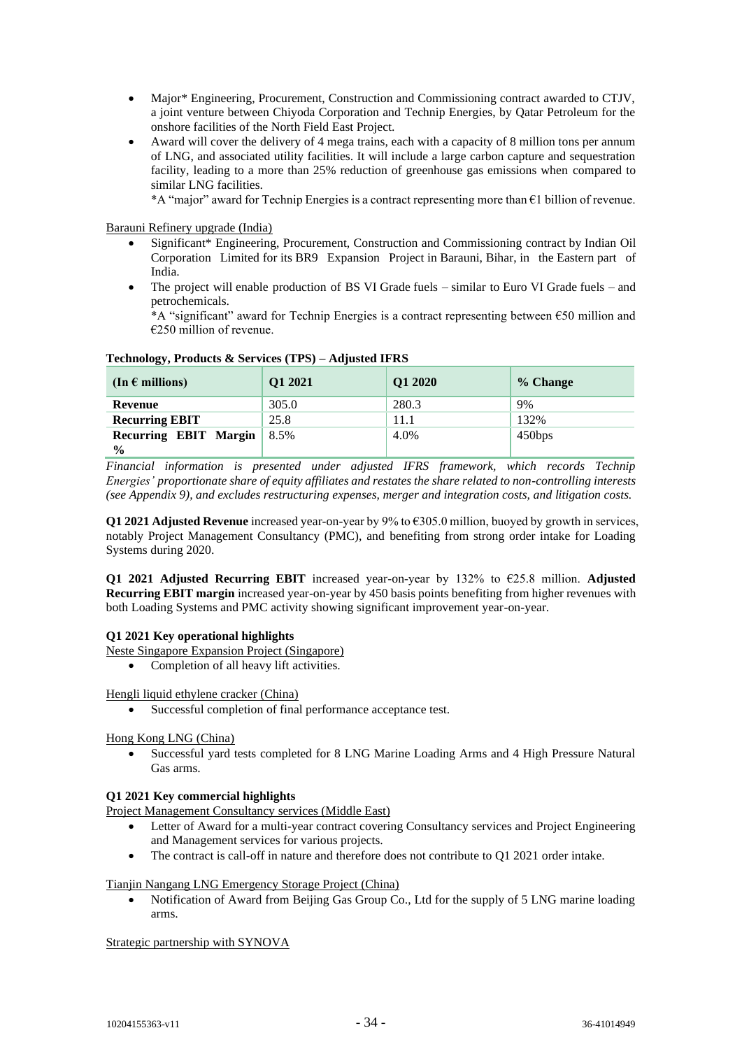- Major\* Engineering, Procurement, Construction and Commissioning contract awarded to CTJV, a joint venture between Chiyoda Corporation and Technip Energies, by Qatar Petroleum for the onshore facilities of the North Field East Project.
- Award will cover the delivery of 4 mega trains, each with a capacity of 8 million tons per annum of LNG, and associated utility facilities. It will include a large carbon capture and sequestration facility, leading to a more than 25% reduction of greenhouse gas emissions when compared to similar LNG facilities.

\*A "major" award for Technip Energies is a contract representing more than €1 billion of revenue.

Barauni Refinery upgrade (India)

- Significant\* Engineering, Procurement, Construction and Commissioning contract by Indian Oil Corporation Limited for its BR9 Expansion Project in Barauni, Bihar, in the Eastern part of India.
- The project will enable production of BS VI Grade fuels similar to Euro VI Grade fuels and petrochemicals.

\*A "significant" award for Technip Energies is a contract representing between  $\epsilon$ 50 million and €250 million of revenue.

| (In $\epsilon$ millions)               | O1 2021 | Q1 2020 | % Change |
|----------------------------------------|---------|---------|----------|
| Revenue                                | 305.0   | 280.3   | 9%       |
| <b>Recurring EBIT</b>                  | 25.8    | 11.1    | 132%     |
| Recurring EBIT Margin<br>$\frac{6}{9}$ | 8.5%    | 4.0%    | 450bps   |

#### **Technology, Products & Services (TPS) – Adjusted IFRS**

*Financial information is presented under adjusted IFRS framework, which records Technip Energies' proportionate share of equity affiliates and restates the share related to non-controlling interests (see Appendix 9), and excludes restructuring expenses, merger and integration costs, and litigation costs.*

**Q1 2021 Adjusted Revenue** increased year-on-year by 9% to €305.0 million, buoyed by growth in services, notably Project Management Consultancy (PMC), and benefiting from strong order intake for Loading Systems during 2020.

**Q1 2021 Adjusted Recurring EBIT** increased year-on-year by 132% to €25.8 million. **Adjusted Recurring EBIT margin** increased year-on-year by 450 basis points benefiting from higher revenues with both Loading Systems and PMC activity showing significant improvement year-on-year.

# **Q1 2021 Key operational highlights**

Neste Singapore Expansion Project (Singapore)

• Completion of all heavy lift activities.

Hengli liquid ethylene cracker (China)

Successful completion of final performance acceptance test.

Hong Kong LNG (China)

• Successful yard tests completed for 8 LNG Marine Loading Arms and 4 High Pressure Natural Gas arms.

# **Q1 2021 Key commercial highlights**

Project Management Consultancy services (Middle East)

- Letter of Award for a multi-year contract covering Consultancy services and Project Engineering and Management services for various projects.
- The contract is call-off in nature and therefore does not contribute to O1 2021 order intake.

#### Tianjin Nangang LNG Emergency Storage Project (China)

• Notification of Award from Beijing Gas Group Co., Ltd for the supply of 5 LNG marine loading arms.

Strategic partnership with SYNOVA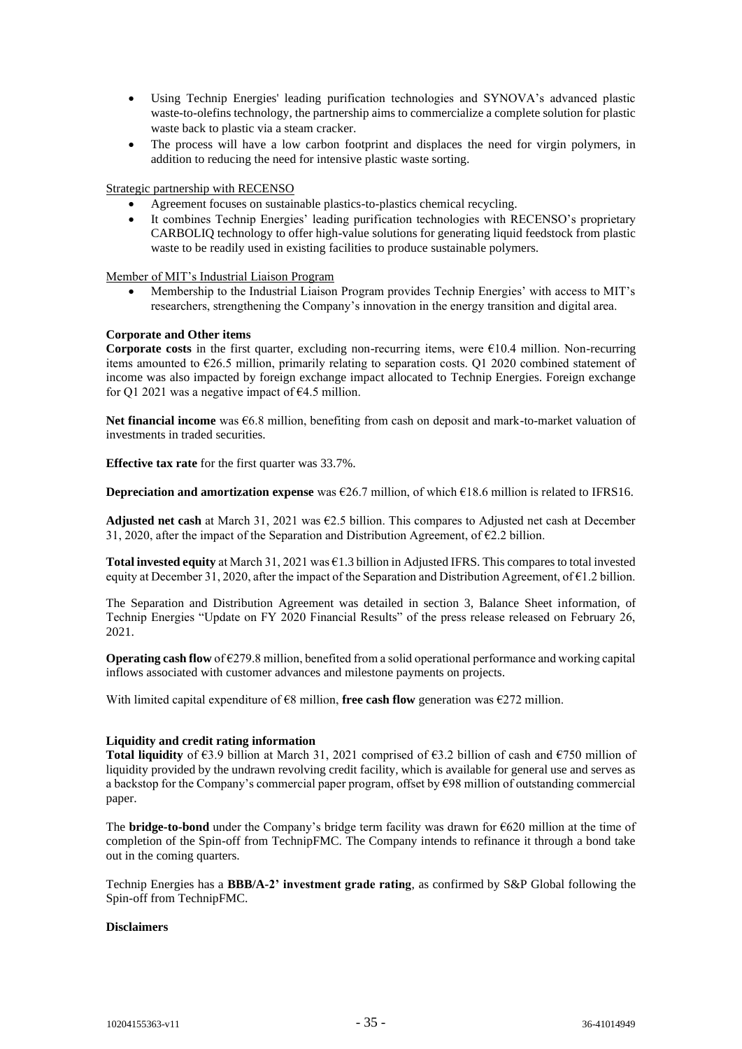- Using Technip Energies' leading purification technologies and SYNOVA's advanced plastic waste-to-olefins technology, the partnership aims to commercialize a complete solution for plastic waste back to plastic via a steam cracker.
- The process will have a low carbon footprint and displaces the need for virgin polymers, in addition to reducing the need for intensive plastic waste sorting.

Strategic partnership with RECENSO

- Agreement focuses on sustainable plastics-to-plastics chemical recycling.
- It combines Technip Energies' leading purification technologies with RECENSO's proprietary CARBOLIQ technology to offer high-value solutions for generating liquid feedstock from plastic waste to be readily used in existing facilities to produce sustainable polymers.

Member of MIT's Industrial Liaison Program

• Membership to the Industrial Liaison Program provides Technip Energies' with access to MIT's researchers, strengthening the Company's innovation in the energy transition and digital area.

#### **Corporate and Other items**

**Corporate costs** in the first quarter, excluding non-recurring items, were  $E10.4$  million. Non-recurring items amounted to €26.5 million, primarily relating to separation costs. Q1 2020 combined statement of income was also impacted by foreign exchange impact allocated to Technip Energies. Foreign exchange for Q1 2021 was a negative impact of  $\epsilon$ 4.5 million.

**Net financial income** was €6.8 million, benefiting from cash on deposit and mark-to-market valuation of investments in traded securities.

**Effective tax rate** for the first quarter was 33.7%.

**Depreciation and amortization expense** was €26.7 million, of which €18.6 million is related to IFRS16.

**Adjusted net cash** at March 31, 2021 was €2.5 billion. This compares to Adjusted net cash at December 31, 2020, after the impact of the Separation and Distribution Agreement, of €2.2 billion.

**Total invested equity** at March 31, 2021 was €1.3 billion in Adjusted IFRS. This compares to total invested equity at December 31, 2020, after the impact of the Separation and Distribution Agreement, of  $\epsilon$ 1.2 billion.

The Separation and Distribution Agreement was detailed in section 3, Balance Sheet information, of Technip Energies "Update on FY 2020 Financial Results" of the press release released on February 26, 2021.

**Operating cash flow** of  $E279.8$  million, benefited from a solid operational performance and working capital inflows associated with customer advances and milestone payments on projects.

With limited capital expenditure of  $\epsilon$ 8 million, **free cash flow** generation was  $\epsilon$ 272 million.

#### **Liquidity and credit rating information**

**Total liquidity** of  $\epsilon$ 3.9 billion at March 31, 2021 comprised of  $\epsilon$ 3.2 billion of cash and  $\epsilon$ 750 million of liquidity provided by the undrawn revolving credit facility, which is available for general use and serves as a backstop for the Company's commercial paper program, offset by €98 million of outstanding commercial paper.

The **bridge-to-bond** under the Company's bridge term facility was drawn for  $6620$  million at the time of completion of the Spin-off from TechnipFMC. The Company intends to refinance it through a bond take out in the coming quarters.

Technip Energies has a **BBB/A-2' investment grade rating**, as confirmed by S&P Global following the Spin-off from TechnipFMC.

#### **Disclaimers**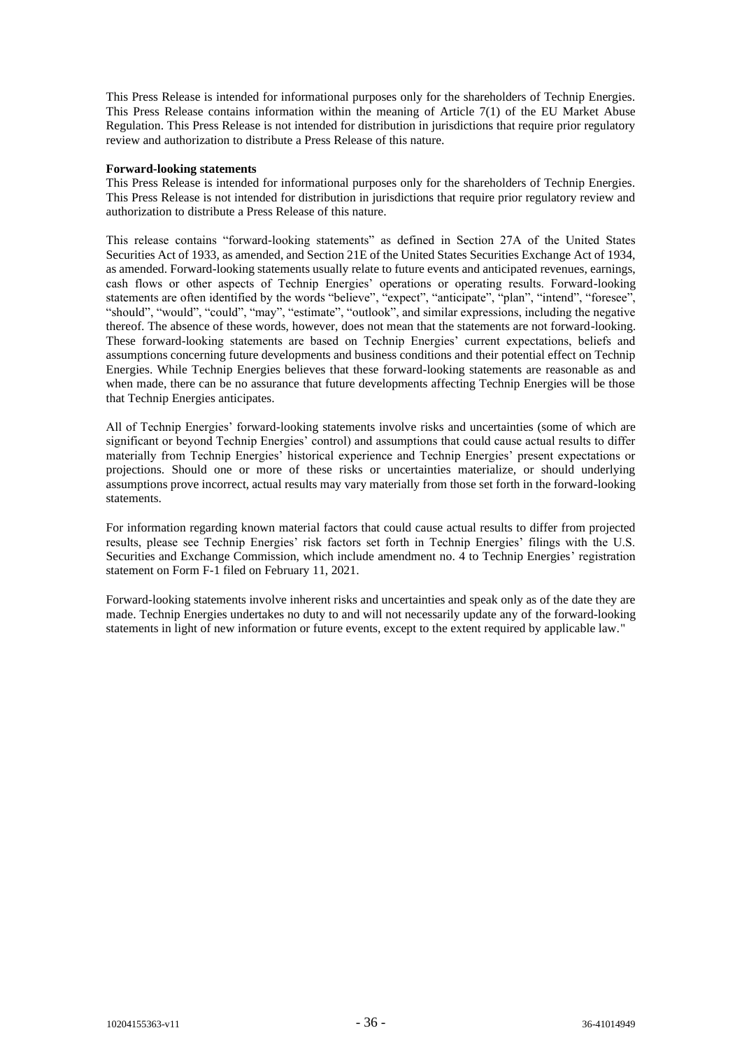This Press Release is intended for informational purposes only for the shareholders of Technip Energies. This Press Release contains information within the meaning of Article 7(1) of the EU Market Abuse Regulation. This Press Release is not intended for distribution in jurisdictions that require prior regulatory review and authorization to distribute a Press Release of this nature.

#### **Forward-looking statements**

This Press Release is intended for informational purposes only for the shareholders of Technip Energies. This Press Release is not intended for distribution in jurisdictions that require prior regulatory review and authorization to distribute a Press Release of this nature.

This release contains "forward-looking statements" as defined in Section 27A of the United States Securities Act of 1933, as amended, and Section 21E of the United States Securities Exchange Act of 1934, as amended. Forward-looking statements usually relate to future events and anticipated revenues, earnings, cash flows or other aspects of Technip Energies' operations or operating results. Forward-looking statements are often identified by the words "believe", "expect", "anticipate", "plan", "intend", "foresee", "should", "would", "could", "may", "estimate", "outlook", and similar expressions, including the negative thereof. The absence of these words, however, does not mean that the statements are not forward-looking. These forward-looking statements are based on Technip Energies' current expectations, beliefs and assumptions concerning future developments and business conditions and their potential effect on Technip Energies. While Technip Energies believes that these forward-looking statements are reasonable as and when made, there can be no assurance that future developments affecting Technip Energies will be those that Technip Energies anticipates.

All of Technip Energies' forward-looking statements involve risks and uncertainties (some of which are significant or beyond Technip Energies' control) and assumptions that could cause actual results to differ materially from Technip Energies' historical experience and Technip Energies' present expectations or projections. Should one or more of these risks or uncertainties materialize, or should underlying assumptions prove incorrect, actual results may vary materially from those set forth in the forward-looking statements.

For information regarding known material factors that could cause actual results to differ from projected results, please see Technip Energies' risk factors set forth in Technip Energies' filings with the U.S. Securities and Exchange Commission, which include amendment no. 4 to Technip Energies' registration statement on Form F-1 filed on February 11, 2021.

Forward-looking statements involve inherent risks and uncertainties and speak only as of the date they are made. Technip Energies undertakes no duty to and will not necessarily update any of the forward-looking statements in light of new information or future events, except to the extent required by applicable law."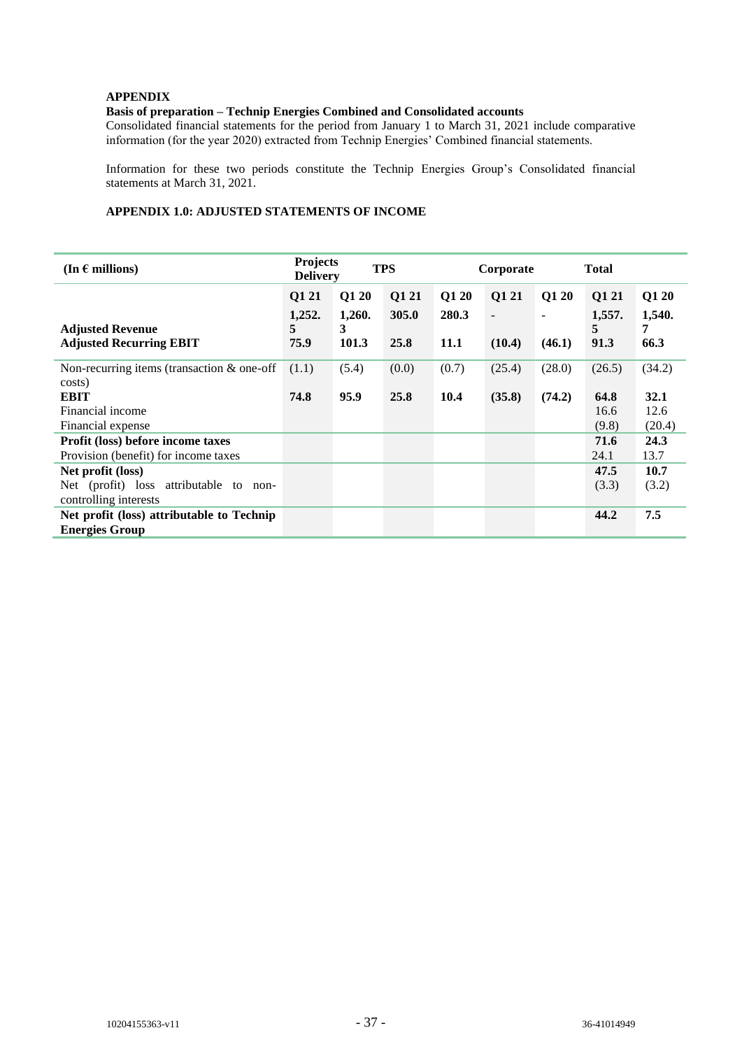#### **APPENDIX**

#### **Basis of preparation – Technip Energies Combined and Consolidated accounts**

Consolidated financial statements for the period from January 1 to March 31, 2021 include comparative information (for the year 2020) extracted from Technip Energies' Combined financial statements.

Information for these two periods constitute the Technip Energies Group's Consolidated financial statements at March 31, 2021.

# **APPENDIX 1.0: ADJUSTED STATEMENTS OF INCOME**

| (In $\epsilon$ millions)                                  | <b>Projects</b><br><b>Delivery</b> |            | <b>TPS</b> |       | Corporate |        | <b>Total</b> |           |
|-----------------------------------------------------------|------------------------------------|------------|------------|-------|-----------|--------|--------------|-----------|
|                                                           | Q1 21                              | Q1 20      | Q1 21      | Q1 20 | Q1 21     | Q1 20  | Q1 21        | Q1 20     |
|                                                           | 1,252.                             | 1,260.     | 305.0      | 280.3 |           |        | 1,557.       | 1,540.    |
| <b>Adjusted Revenue</b><br><b>Adjusted Recurring EBIT</b> | 5<br>75.9                          | 3<br>101.3 | 25.8       | 11.1  | (10.4)    | (46.1) | 5<br>91.3    | 7<br>66.3 |
| Non-recurring items (transaction $&$ one-off<br>costs)    | (1.1)                              | (5.4)      | (0.0)      | (0.7) | (25.4)    | (28.0) | (26.5)       | (34.2)    |
| <b>EBIT</b>                                               | 74.8                               | 95.9       | 25.8       | 10.4  | (35.8)    | (74.2) | 64.8         | 32.1      |
| Financial income                                          |                                    |            |            |       |           |        | 16.6         | 12.6      |
| Financial expense                                         |                                    |            |            |       |           |        | (9.8)        | (20.4)    |
| Profit (loss) before income taxes                         |                                    |            |            |       |           |        | 71.6         | 24.3      |
| Provision (benefit) for income taxes                      |                                    |            |            |       |           |        | 24.1         | 13.7      |
| Net profit (loss)                                         |                                    |            |            |       |           |        | 47.5         | 10.7      |
| Net (profit) loss attributable<br>to non-                 |                                    |            |            |       |           |        | (3.3)        | (3.2)     |
| controlling interests                                     |                                    |            |            |       |           |        |              |           |
| Net profit (loss) attributable to Technip                 |                                    |            |            |       |           |        | 44.2         | 7.5       |
| <b>Energies Group</b>                                     |                                    |            |            |       |           |        |              |           |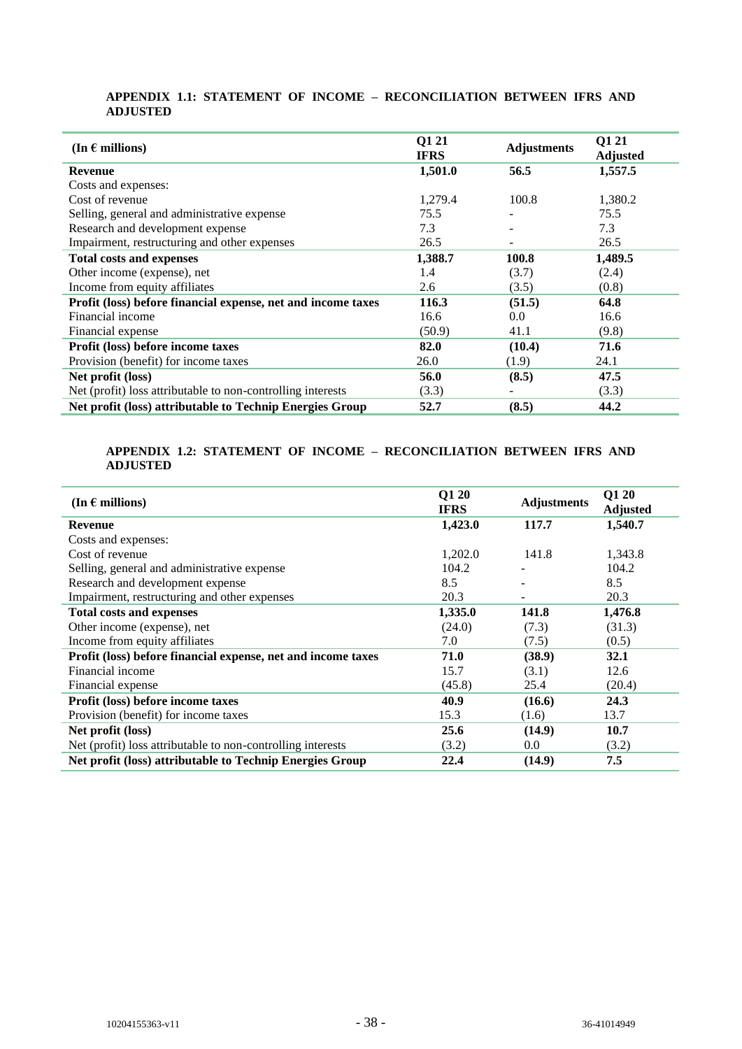| (In $\epsilon$ millions)                                     | Q1 21<br><b>IFRS</b> | <b>Adjustments</b>       | Q1 21<br><b>Adjusted</b> |
|--------------------------------------------------------------|----------------------|--------------------------|--------------------------|
| <b>Revenue</b>                                               | 1,501.0              | 56.5                     | 1,557.5                  |
| Costs and expenses:                                          |                      |                          |                          |
| Cost of revenue                                              | 1,279.4              | 100.8                    | 1,380.2                  |
| Selling, general and administrative expense                  | 75.5                 |                          | 75.5                     |
| Research and development expense                             | 7.3                  | $\overline{\phantom{a}}$ | 7.3                      |
| Impairment, restructuring and other expenses                 | 26.5                 | ۰                        | 26.5                     |
| <b>Total costs and expenses</b>                              | 1,388.7              | 100.8                    | 1,489.5                  |
| Other income (expense), net                                  | 1.4                  | (3.7)                    | (2.4)                    |
| Income from equity affiliates                                | 2.6                  | (3.5)                    | (0.8)                    |
| Profit (loss) before financial expense, net and income taxes | 116.3                | (51.5)                   | 64.8                     |
| Financial income                                             | 16.6                 | 0.0                      | 16.6                     |
| Financial expense                                            | (50.9)               | 41.1                     | (9.8)                    |
| Profit (loss) before income taxes                            | 82.0                 | (10.4)                   | 71.6                     |
| Provision (benefit) for income taxes                         | 26.0                 | (1.9)                    | 24.1                     |
| Net profit (loss)                                            | 56.0                 | (8.5)                    | 47.5                     |
| Net (profit) loss attributable to non-controlling interests  | (3.3)                | ٠.                       | (3.3)                    |
| Net profit (loss) attributable to Technip Energies Group     | 52.7                 | (8.5)                    | 44.2                     |

# **APPENDIX 1.1: STATEMENT OF INCOME – RECONCILIATION BETWEEN IFRS AND ADJUSTED**

# **APPENDIX 1.2: STATEMENT OF INCOME – RECONCILIATION BETWEEN IFRS AND ADJUSTED**

| (In $\epsilon$ millions)                                     | Q1 20<br><b>IFRS</b> | <b>Adjustments</b> | Q1 20<br><b>Adjusted</b> |
|--------------------------------------------------------------|----------------------|--------------------|--------------------------|
| Revenue                                                      | 1,423.0              | 117.7              | 1,540.7                  |
| Costs and expenses:                                          |                      |                    |                          |
| Cost of revenue                                              | 1,202.0              | 141.8              | 1,343.8                  |
| Selling, general and administrative expense                  | 104.2                |                    | 104.2                    |
| Research and development expense                             | 8.5                  |                    | 8.5                      |
| Impairment, restructuring and other expenses                 | 20.3                 |                    | 20.3                     |
| <b>Total costs and expenses</b>                              | 1,335.0              | 141.8              | 1,476.8                  |
| Other income (expense), net                                  | (24.0)               | (7.3)              | (31.3)                   |
| Income from equity affiliates                                | 7.0                  | (7.5)              | (0.5)                    |
| Profit (loss) before financial expense, net and income taxes | 71.0                 | (38.9)             | 32.1                     |
| Financial income                                             | 15.7                 | (3.1)              | 12.6                     |
| Financial expense                                            | (45.8)               | 25.4               | (20.4)                   |
| Profit (loss) before income taxes                            | 40.9                 | (16.6)             | 24.3                     |
| Provision (benefit) for income taxes                         | 15.3                 | (1.6)              | 13.7                     |
| Net profit (loss)                                            | 25.6                 | (14.9)             | 10.7                     |
| Net (profit) loss attributable to non-controlling interests  | (3.2)                | 0.0                | (3.2)                    |
| Net profit (loss) attributable to Technip Energies Group     | 22.4                 | (14.9)             | 7.5                      |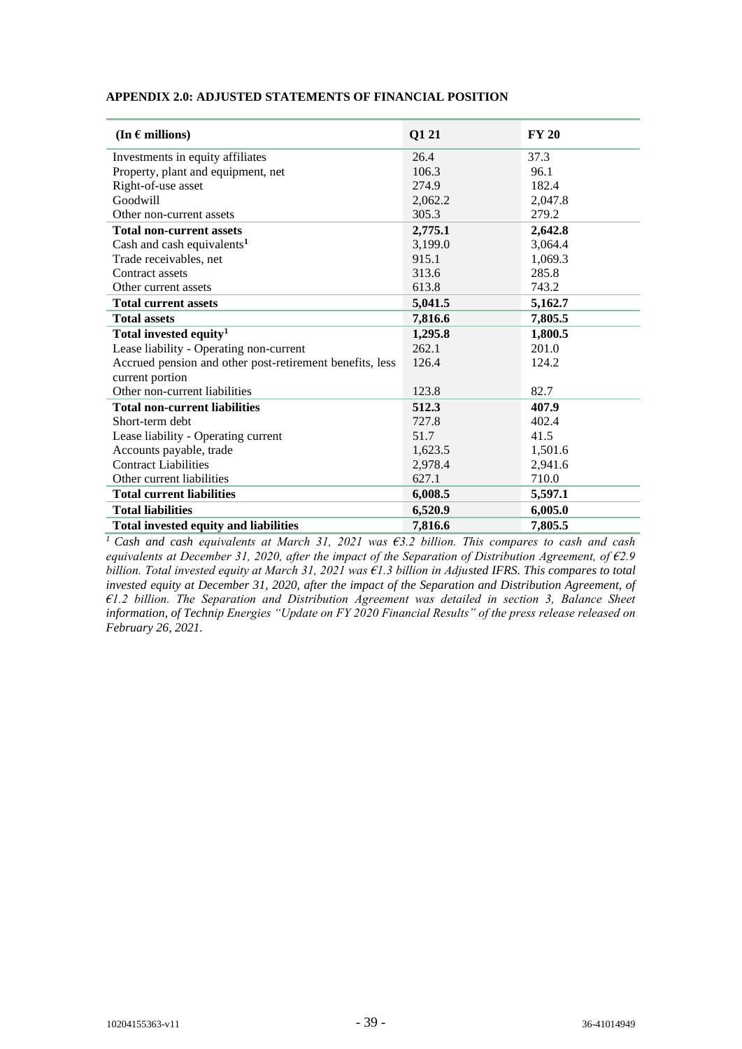| (In $\epsilon$ millions)                                 | Q1 21   | FY 20   |
|----------------------------------------------------------|---------|---------|
| Investments in equity affiliates                         | 26.4    | 37.3    |
| Property, plant and equipment, net                       | 106.3   | 96.1    |
| Right-of-use asset                                       | 274.9   | 182.4   |
| Goodwill                                                 | 2,062.2 | 2,047.8 |
| Other non-current assets                                 | 305.3   | 279.2   |
| <b>Total non-current assets</b>                          | 2,775.1 | 2,642.8 |
| Cash and cash equivalents <sup>1</sup>                   | 3,199.0 | 3,064.4 |
| Trade receivables, net                                   | 915.1   | 1,069.3 |
| Contract assets                                          | 313.6   | 285.8   |
| Other current assets                                     | 613.8   | 743.2   |
| <b>Total current assets</b>                              | 5,041.5 | 5,162.7 |
| <b>Total assets</b>                                      | 7,816.6 | 7,805.5 |
| Total invested equity <sup>1</sup>                       | 1,295.8 | 1,800.5 |
| Lease liability - Operating non-current                  | 262.1   | 201.0   |
| Accrued pension and other post-retirement benefits, less | 126.4   | 124.2   |
| current portion                                          |         |         |
| Other non-current liabilities                            | 123.8   | 82.7    |
| <b>Total non-current liabilities</b>                     | 512.3   | 407.9   |
| Short-term debt                                          | 727.8   | 402.4   |
| Lease liability - Operating current                      | 51.7    | 41.5    |
| Accounts payable, trade                                  | 1,623.5 | 1,501.6 |
| <b>Contract Liabilities</b>                              | 2,978.4 | 2,941.6 |
| Other current liabilities                                | 627.1   | 710.0   |
| <b>Total current liabilities</b>                         | 6,008.5 | 5,597.1 |
| <b>Total liabilities</b>                                 | 6,520.9 | 6,005.0 |
| <b>Total invested equity and liabilities</b>             | 7.816.6 | 7,805.5 |

# **APPENDIX 2.0: ADJUSTED STATEMENTS OF FINANCIAL POSITION**

*<sup>1</sup>Cash and cash equivalents at March 31, 2021 was €3.2 billion. This compares to cash and cash equivalents at December 31, 2020, after the impact of the Separation of Distribution Agreement, of €2.9 billion. Total invested equity at March 31, 2021 was €1.3 billion in Adjusted IFRS. This compares to total invested equity at December 31, 2020, after the impact of the Separation and Distribution Agreement, of €1.2 billion. The Separation and Distribution Agreement was detailed in section 3, Balance Sheet information, of Technip Energies "Update on FY 2020 Financial Results" of the press release released on February 26, 2021.*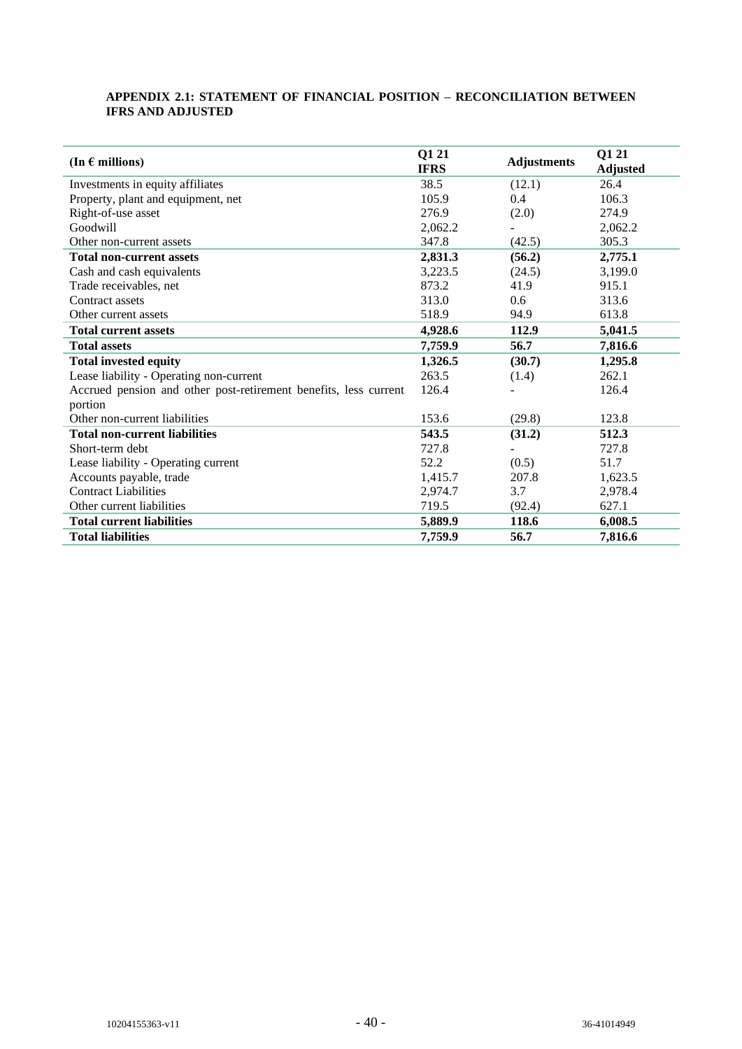# **APPENDIX 2.1: STATEMENT OF FINANCIAL POSITION – RECONCILIATION BETWEEN IFRS AND ADJUSTED**

| (In $\epsilon$ millions)                                         | Q1 21<br><b>IFRS</b> | <b>Adjustments</b> | Q1 21<br><b>Adjusted</b> |
|------------------------------------------------------------------|----------------------|--------------------|--------------------------|
| Investments in equity affiliates                                 | 38.5                 | (12.1)             | 26.4                     |
| Property, plant and equipment, net                               | 105.9                | 0.4                | 106.3                    |
| Right-of-use asset                                               | 276.9                | (2.0)              | 274.9                    |
| Goodwill                                                         | 2,062.2              |                    | 2,062.2                  |
| Other non-current assets                                         | 347.8                | (42.5)             | 305.3                    |
| <b>Total non-current assets</b>                                  | 2,831.3              | (56.2)             | 2,775.1                  |
| Cash and cash equivalents                                        | 3,223.5              | (24.5)             | 3,199.0                  |
| Trade receivables, net                                           | 873.2                | 41.9               | 915.1                    |
| Contract assets                                                  | 313.0                | 0.6                | 313.6                    |
| Other current assets                                             | 518.9                | 94.9               | 613.8                    |
| <b>Total current assets</b>                                      | 4,928.6              | 112.9              | 5,041.5                  |
| <b>Total assets</b>                                              | 7,759.9              | 56.7               | 7,816.6                  |
| <b>Total invested equity</b>                                     | 1,326.5              | (30.7)             | 1,295.8                  |
| Lease liability - Operating non-current                          | 263.5                | (1.4)              | 262.1                    |
| Accrued pension and other post-retirement benefits, less current | 126.4                |                    | 126.4                    |
| portion                                                          |                      |                    |                          |
| Other non-current liabilities                                    | 153.6                | (29.8)             | 123.8                    |
| <b>Total non-current liabilities</b>                             | 543.5                | (31.2)             | 512.3                    |
| Short-term debt                                                  | 727.8                |                    | 727.8                    |
| Lease liability - Operating current                              | 52.2                 | (0.5)              | 51.7                     |
| Accounts payable, trade                                          | 1,415.7              | 207.8              | 1,623.5                  |
| <b>Contract Liabilities</b>                                      | 2,974.7              | 3.7                | 2,978.4                  |
| Other current liabilities                                        | 719.5                | (92.4)             | 627.1                    |
| <b>Total current liabilities</b>                                 | 5,889.9              | 118.6              | 6,008.5                  |
| <b>Total liabilities</b>                                         | 7,759.9              | 56.7               | 7,816.6                  |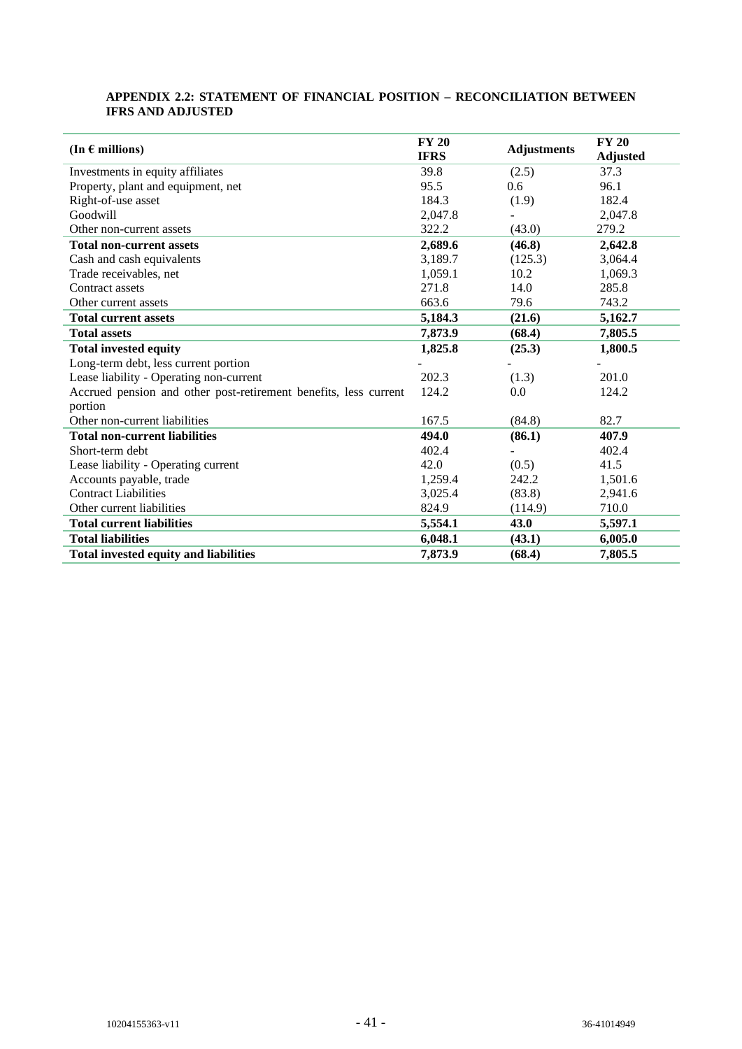# **APPENDIX 2.2: STATEMENT OF FINANCIAL POSITION – RECONCILIATION BETWEEN IFRS AND ADJUSTED**

| (In $\epsilon$ millions)                                         | <b>FY 20</b><br><b>IFRS</b> | <b>Adjustments</b> | <b>FY 20</b><br><b>Adjusted</b> |
|------------------------------------------------------------------|-----------------------------|--------------------|---------------------------------|
| Investments in equity affiliates                                 | 39.8                        | (2.5)              | 37.3                            |
| Property, plant and equipment, net                               | 95.5                        | $0.6^{\circ}$      | 96.1                            |
| Right-of-use asset                                               | 184.3                       | (1.9)              | 182.4                           |
| Goodwill                                                         | 2,047.8                     |                    | 2,047.8                         |
| Other non-current assets                                         | 322.2                       | (43.0)             | 279.2                           |
| <b>Total non-current assets</b>                                  | 2,689.6                     | (46.8)             | 2,642.8                         |
| Cash and cash equivalents                                        | 3,189.7                     | (125.3)            | 3,064.4                         |
| Trade receivables, net                                           | 1,059.1                     | 10.2               | 1,069.3                         |
| Contract assets                                                  | 271.8                       | 14.0               | 285.8                           |
| Other current assets                                             | 663.6                       | 79.6               | 743.2                           |
| <b>Total current assets</b>                                      | 5,184.3                     | (21.6)             | 5,162.7                         |
| <b>Total assets</b>                                              | 7,873.9                     | (68.4)             | 7,805.5                         |
| <b>Total invested equity</b>                                     | 1,825.8                     | (25.3)             | 1,800.5                         |
| Long-term debt, less current portion                             |                             |                    |                                 |
| Lease liability - Operating non-current                          | 202.3                       | (1.3)              | 201.0                           |
| Accrued pension and other post-retirement benefits, less current | 124.2                       | 0.0                | 124.2                           |
| portion                                                          |                             |                    |                                 |
| Other non-current liabilities                                    | 167.5                       | (84.8)             | 82.7                            |
| <b>Total non-current liabilities</b>                             | 494.0                       | (86.1)             | 407.9                           |
| Short-term debt                                                  | 402.4                       |                    | 402.4                           |
| Lease liability - Operating current                              | 42.0                        | (0.5)              | 41.5                            |
| Accounts payable, trade                                          | 1,259.4                     | 242.2              | 1,501.6                         |
| <b>Contract Liabilities</b>                                      | 3,025.4                     | (83.8)             | 2,941.6                         |
| Other current liabilities                                        | 824.9                       | (114.9)            | 710.0                           |
| <b>Total current liabilities</b>                                 | 5,554.1                     | 43.0               | 5,597.1                         |
| <b>Total liabilities</b>                                         | 6,048.1                     | (43.1)             | 6,005.0                         |
| <b>Total invested equity and liabilities</b>                     | 7,873.9                     | (68.4)             | 7,805.5                         |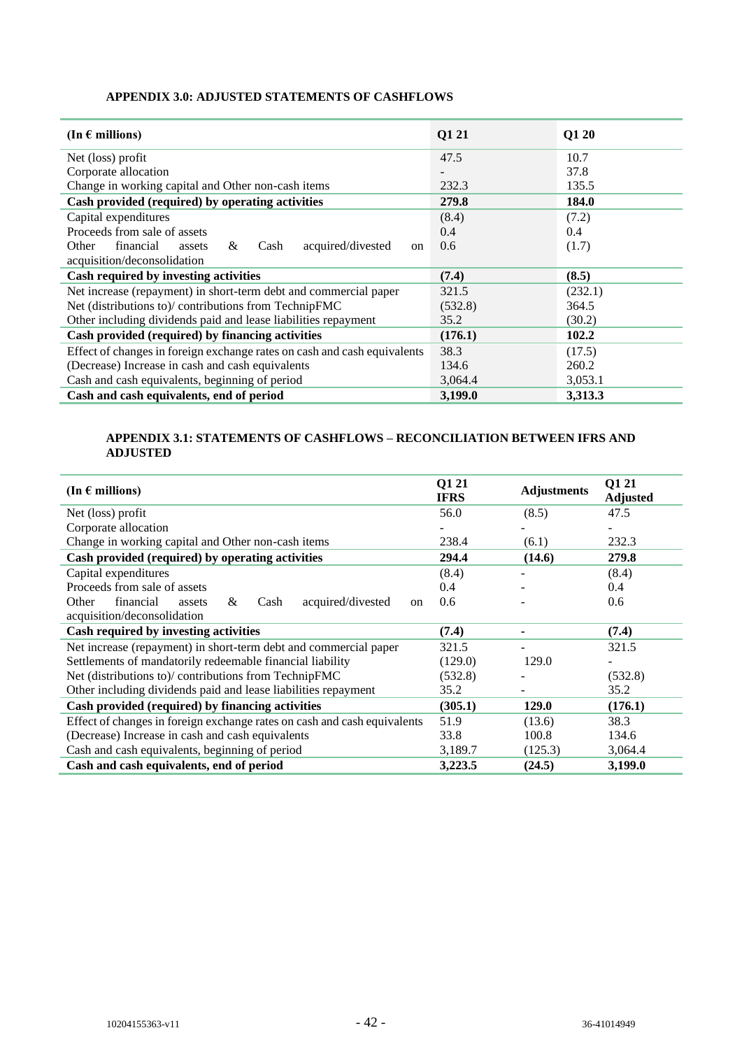# **APPENDIX 3.0: ADJUSTED STATEMENTS OF CASHFLOWS**

| (In $\epsilon$ millions)                                                        | Q1 21   | Q1 20   |
|---------------------------------------------------------------------------------|---------|---------|
| Net (loss) profit                                                               | 47.5    | 10.7    |
| Corporate allocation                                                            |         | 37.8    |
| Change in working capital and Other non-cash items                              | 232.3   | 135.5   |
| Cash provided (required) by operating activities                                | 279.8   | 184.0   |
| Capital expenditures                                                            | (8.4)   | (7.2)   |
| Proceeds from sale of assets                                                    | 0.4     | 0.4     |
| Other<br>financial<br>&<br>acquired/divested<br>Cash<br>assets<br><sub>on</sub> | 0.6     | (1.7)   |
| acquisition/deconsolidation                                                     |         |         |
| Cash required by investing activities                                           | (7.4)   | (8.5)   |
| Net increase (repayment) in short-term debt and commercial paper                | 321.5   | (232.1) |
| Net (distributions to)/ contributions from TechnipFMC                           | (532.8) | 364.5   |
| Other including dividends paid and lease liabilities repayment                  | 35.2    | (30.2)  |
| Cash provided (required) by financing activities                                | (176.1) | 102.2   |
| Effect of changes in foreign exchange rates on cash and cash equivalents        | 38.3    | (17.5)  |
| (Decrease) Increase in cash and cash equivalents                                | 134.6   | 260.2   |
| Cash and cash equivalents, beginning of period                                  | 3,064.4 | 3,053.1 |
| Cash and cash equivalents, end of period                                        | 3,199.0 | 3,313.3 |

# **APPENDIX 3.1: STATEMENTS OF CASHFLOWS – RECONCILIATION BETWEEN IFRS AND ADJUSTED**

| (In $\epsilon$ millions)                                                        | Q1 21<br><b>IFRS</b> | <b>Adjustments</b> | Q1 21<br><b>Adjusted</b> |
|---------------------------------------------------------------------------------|----------------------|--------------------|--------------------------|
| Net (loss) profit                                                               | 56.0                 | (8.5)              | 47.5                     |
| Corporate allocation                                                            |                      |                    |                          |
| Change in working capital and Other non-cash items                              | 238.4                | (6.1)              | 232.3                    |
| Cash provided (required) by operating activities                                | 294.4                | (14.6)             | 279.8                    |
| Capital expenditures                                                            | (8.4)                |                    | (8.4)                    |
| Proceeds from sale of assets                                                    | 0.4                  |                    | 0.4                      |
| acquired/divested<br>Other<br>financial<br>&<br>Cash<br>assets<br><sub>on</sub> | 0.6                  |                    | 0.6                      |
| acquisition/deconsolidation                                                     |                      |                    |                          |
| Cash required by investing activities                                           | (7.4)                |                    | (7.4)                    |
| Net increase (repayment) in short-term debt and commercial paper                | 321.5                |                    | 321.5                    |
| Settlements of mandatorily redeemable financial liability                       | (129.0)              | 129.0              |                          |
| Net (distributions to)/ contributions from TechnipFMC                           | (532.8)              |                    | (532.8)                  |
| Other including dividends paid and lease liabilities repayment                  | 35.2                 |                    | 35.2                     |
| Cash provided (required) by financing activities                                | (305.1)              | 129.0              | (176.1)                  |
| Effect of changes in foreign exchange rates on cash and cash equivalents        | 51.9                 | (13.6)             | 38.3                     |
| (Decrease) Increase in cash and cash equivalents                                | 33.8                 | 100.8              | 134.6                    |
| Cash and cash equivalents, beginning of period                                  | 3,189.7              | (125.3)            | 3,064.4                  |
| Cash and cash equivalents, end of period                                        | 3,223.5              | (24.5)             | 3,199.0                  |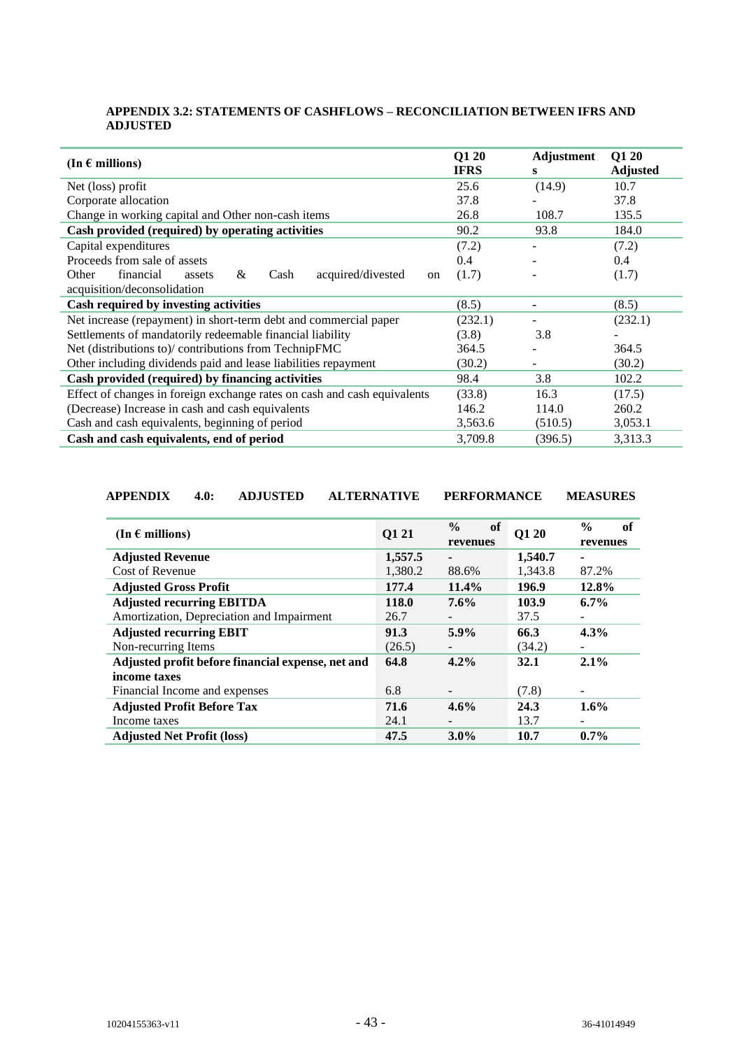# **APPENDIX 3.2: STATEMENTS OF CASHFLOWS – RECONCILIATION BETWEEN IFRS AND ADJUSTED**

| (In $\epsilon$ millions)                                                 | Q1 20<br><b>IFRS</b> | Adjustment<br>s | Q1 20<br><b>Adjusted</b> |
|--------------------------------------------------------------------------|----------------------|-----------------|--------------------------|
| Net (loss) profit                                                        | 25.6                 | (14.9)          | 10.7                     |
| Corporate allocation                                                     | 37.8                 |                 | 37.8                     |
| Change in working capital and Other non-cash items                       | 26.8                 | 108.7           | 135.5                    |
| Cash provided (required) by operating activities                         | 90.2                 | 93.8            | 184.0                    |
| Capital expenditures                                                     | (7.2)                |                 | (7.2)                    |
| Proceeds from sale of assets                                             | 0.4                  |                 | 0.4                      |
| Other<br>&<br>acquired/divested<br>financial<br>Cash<br>assets<br>on     | (1.7)                |                 | (1.7)                    |
| acquisition/deconsolidation                                              |                      |                 |                          |
| Cash required by investing activities                                    | (8.5)                |                 | (8.5)                    |
| Net increase (repayment) in short-term debt and commercial paper         | (232.1)              |                 | (232.1)                  |
| Settlements of mandatorily redeemable financial liability                | (3.8)                | 3.8             |                          |
| Net (distributions to)/ contributions from TechnipFMC                    | 364.5                |                 | 364.5                    |
| Other including dividends paid and lease liabilities repayment           | (30.2)               |                 | (30.2)                   |
| Cash provided (required) by financing activities                         | 98.4                 | 3.8             | 102.2                    |
| Effect of changes in foreign exchange rates on cash and cash equivalents | (33.8)               | 16.3            | (17.5)                   |
| (Decrease) Increase in cash and cash equivalents                         | 146.2                | 114.0           | 260.2                    |
| Cash and cash equivalents, beginning of period                           | 3,563.6              | (510.5)         | 3,053.1                  |
| Cash and cash equivalents, end of period                                 | 3,709.8              | (396.5)         | 3,313.3                  |

#### **APPENDIX 4.0: ADJUSTED ALTERNATIVE PERFORMANCE MEASURES**

| (In $\epsilon$ millions)                          | Q1 21   | $\frac{0}{0}$<br>of<br>revenues | Q1 20   | $\frac{0}{0}$<br>of<br>revenues |
|---------------------------------------------------|---------|---------------------------------|---------|---------------------------------|
| <b>Adjusted Revenue</b>                           | 1,557.5 | $\blacksquare$                  | 1,540.7 | $\blacksquare$                  |
| Cost of Revenue                                   | 1,380.2 | 88.6%                           | 1,343.8 | 87.2%                           |
| <b>Adjusted Gross Profit</b>                      | 177.4   | 11.4%                           | 196.9   | 12.8%                           |
| <b>Adjusted recurring EBITDA</b>                  | 118.0   | 7.6%                            | 103.9   | $6.7\%$                         |
| Amortization, Depreciation and Impairment         | 26.7    |                                 | 37.5    |                                 |
| <b>Adjusted recurring EBIT</b>                    | 91.3    | $5.9\%$                         | 66.3    | 4.3%                            |
| Non-recurring Items                               | (26.5)  | -                               | (34.2)  |                                 |
| Adjusted profit before financial expense, net and | 64.8    | $4.2\%$                         | 32.1    | $2.1\%$                         |
| income taxes                                      |         |                                 |         |                                 |
| Financial Income and expenses                     | 6.8     |                                 | (7.8)   |                                 |
| <b>Adjusted Profit Before Tax</b>                 | 71.6    | 4.6%                            | 24.3    | 1.6%                            |
| Income taxes                                      | 24.1    |                                 | 13.7    |                                 |
| <b>Adjusted Net Profit (loss)</b>                 | 47.5    | $3.0\%$                         | 10.7    | $0.7\%$                         |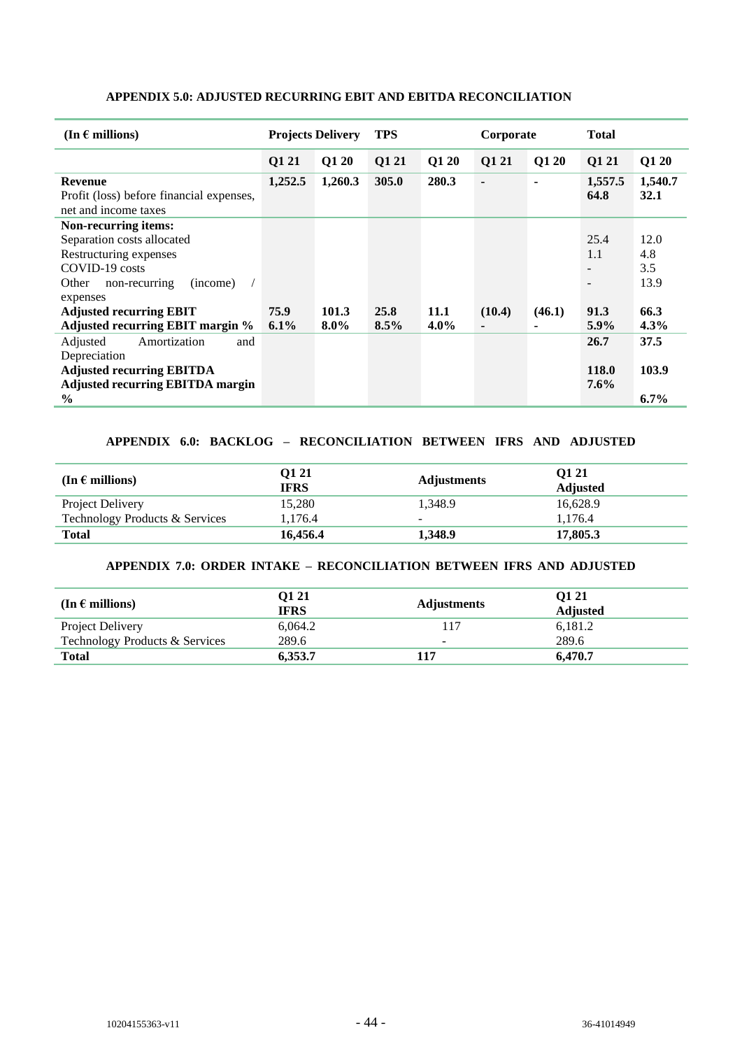| (In $\epsilon$ millions)                 | <b>Projects Delivery</b> |         | <b>TPS</b> |             | Corporate      |        | <b>Total</b> |         |
|------------------------------------------|--------------------------|---------|------------|-------------|----------------|--------|--------------|---------|
|                                          | Q1 21                    | Q1 20   | Q1 21      | Q1 20       | Q1 21          | Q1 20  | Q1 21        | Q1 20   |
| Revenue                                  | 1,252.5                  | 1,260.3 | 305.0      | 280.3       | ٠              | ٠      | 1,557.5      | 1,540.7 |
| Profit (loss) before financial expenses, |                          |         |            |             |                |        | 64.8         | 32.1    |
| net and income taxes                     |                          |         |            |             |                |        |              |         |
| Non-recurring items:                     |                          |         |            |             |                |        |              |         |
| Separation costs allocated               |                          |         |            |             |                |        | 25.4         | 12.0    |
| Restructuring expenses                   |                          |         |            |             |                |        | 1.1          | 4.8     |
| COVID-19 costs                           |                          |         |            |             |                |        |              | 3.5     |
| Other<br>non-recurring<br>(income)       |                          |         |            |             |                |        |              | 13.9    |
| expenses                                 |                          |         |            |             |                |        |              |         |
| <b>Adjusted recurring EBIT</b>           | 75.9                     | 101.3   | 25.8       | <b>11.1</b> | (10.4)         | (46.1) | 91.3         | 66.3    |
| Adjusted recurring EBIT margin %         | 6.1%                     | 8.0%    | 8.5%       | $4.0\%$     | $\blacksquare$ |        | 5.9%         | 4.3%    |
| Amortization<br>Adjusted<br>and          |                          |         |            |             |                |        | 26.7         | 37.5    |
| Depreciation                             |                          |         |            |             |                |        |              |         |
| <b>Adjusted recurring EBITDA</b>         |                          |         |            |             |                |        | 118.0        | 103.9   |
| <b>Adjusted recurring EBITDA margin</b>  |                          |         |            |             |                |        | 7.6%         |         |
| $\frac{6}{9}$                            |                          |         |            |             |                |        |              | $6.7\%$ |

# **APPENDIX 5.0: ADJUSTED RECURRING EBIT AND EBITDA RECONCILIATION**

# **APPENDIX 6.0: BACKLOG – RECONCILIATION BETWEEN IFRS AND ADJUSTED**

| (In $\epsilon$ millions)       | 01 21<br><b>IFRS</b> | <b>Adjustments</b>       | 01 21<br><b>Adjusted</b> |
|--------------------------------|----------------------|--------------------------|--------------------------|
| Project Delivery               | 15,280               | 1.348.9                  | 16,628.9                 |
| Technology Products & Services | 1.176.4              | $\overline{\phantom{0}}$ | 1.176.4                  |
| <b>Total</b>                   | 16,456.4             | 1.348.9                  | 17,805.3                 |

# **APPENDIX 7.0: ORDER INTAKE – RECONCILIATION BETWEEN IFRS AND ADJUSTED**

| (In $\epsilon$ millions)       | <b>O1 21</b><br><b>IFRS</b> | <b>Adjustments</b> | 01 21<br><b>Adjusted</b> |  |
|--------------------------------|-----------------------------|--------------------|--------------------------|--|
| Project Delivery               | 6,064.2                     | 117                | 6,181.2                  |  |
| Technology Products & Services | 289.6                       | -                  | 289.6                    |  |
| <b>Total</b>                   | 6.353.7                     | 117                | 6.470.7                  |  |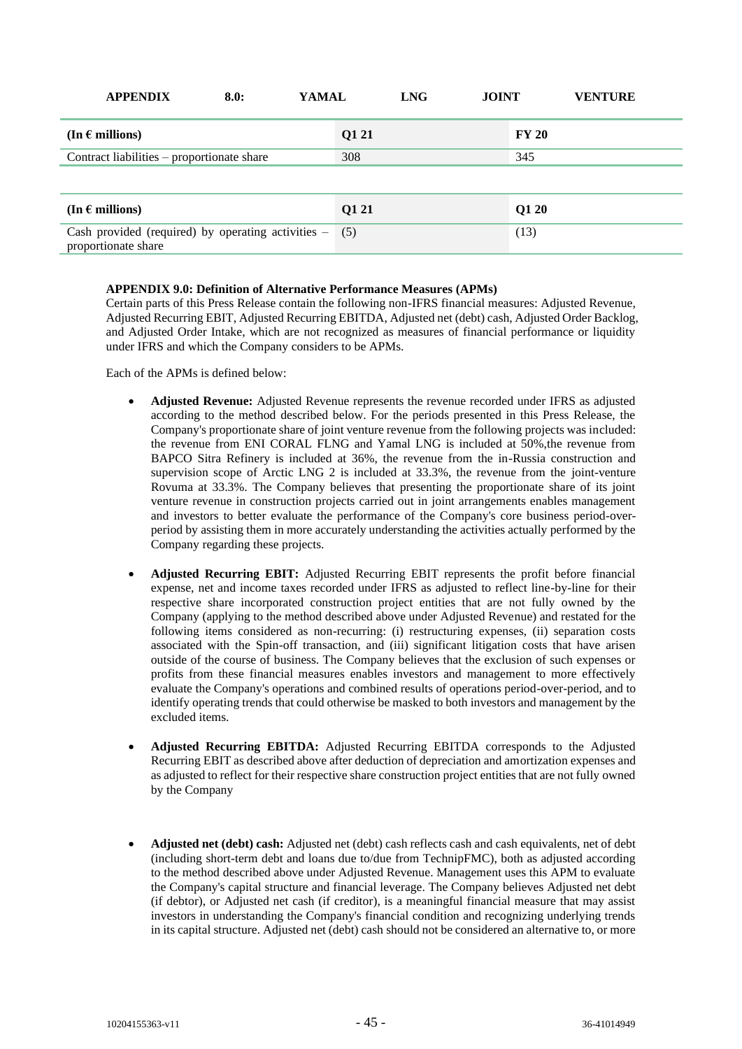| <b>APPENDIX</b>                                                             | 8.0: | YAMAL | <b>LNG</b> | <b>JOINT</b> | <b>VENTURE</b> |  |
|-----------------------------------------------------------------------------|------|-------|------------|--------------|----------------|--|
| (In $\epsilon$ millions)                                                    |      | Q1 21 |            | <b>FY 20</b> |                |  |
| Contract liabilities – proportionate share                                  |      | 308   |            | 345          |                |  |
|                                                                             |      |       |            |              |                |  |
| (In $\epsilon$ millions)                                                    |      | Q1 21 |            | Q1 20        |                |  |
| Cash provided (required) by operating activities $-$<br>proportionate share |      | (5)   |            | (13)         |                |  |

#### **APPENDIX 9.0: Definition of Alternative Performance Measures (APMs)**

Certain parts of this Press Release contain the following non-IFRS financial measures: Adjusted Revenue, Adjusted Recurring EBIT, Adjusted Recurring EBITDA, Adjusted net (debt) cash, Adjusted Order Backlog, and Adjusted Order Intake, which are not recognized as measures of financial performance or liquidity under IFRS and which the Company considers to be APMs.

Each of the APMs is defined below:

- **Adjusted Revenue:** Adjusted Revenue represents the revenue recorded under IFRS as adjusted according to the method described below. For the periods presented in this Press Release, the Company's proportionate share of joint venture revenue from the following projects was included: the revenue from ENI CORAL FLNG and Yamal LNG is included at 50%,the revenue from BAPCO Sitra Refinery is included at 36%, the revenue from the in-Russia construction and supervision scope of Arctic LNG 2 is included at 33.3%, the revenue from the joint-venture Rovuma at 33.3%. The Company believes that presenting the proportionate share of its joint venture revenue in construction projects carried out in joint arrangements enables management and investors to better evaluate the performance of the Company's core business period-overperiod by assisting them in more accurately understanding the activities actually performed by the Company regarding these projects.
- **Adjusted Recurring EBIT:** Adjusted Recurring EBIT represents the profit before financial expense, net and income taxes recorded under IFRS as adjusted to reflect line-by-line for their respective share incorporated construction project entities that are not fully owned by the Company (applying to the method described above under Adjusted Revenue) and restated for the following items considered as non-recurring: (i) restructuring expenses, (ii) separation costs associated with the Spin-off transaction, and (iii) significant litigation costs that have arisen outside of the course of business. The Company believes that the exclusion of such expenses or profits from these financial measures enables investors and management to more effectively evaluate the Company's operations and combined results of operations period-over-period, and to identify operating trends that could otherwise be masked to both investors and management by the excluded items.
- **Adjusted Recurring EBITDA:** Adjusted Recurring EBITDA corresponds to the Adjusted Recurring EBIT as described above after deduction of depreciation and amortization expenses and as adjusted to reflect for their respective share construction project entities that are not fully owned by the Company
- **Adjusted net (debt) cash:** Adjusted net (debt) cash reflects cash and cash equivalents, net of debt (including short-term debt and loans due to/due from TechnipFMC), both as adjusted according to the method described above under Adjusted Revenue. Management uses this APM to evaluate the Company's capital structure and financial leverage. The Company believes Adjusted net debt (if debtor), or Adjusted net cash (if creditor), is a meaningful financial measure that may assist investors in understanding the Company's financial condition and recognizing underlying trends in its capital structure. Adjusted net (debt) cash should not be considered an alternative to, or more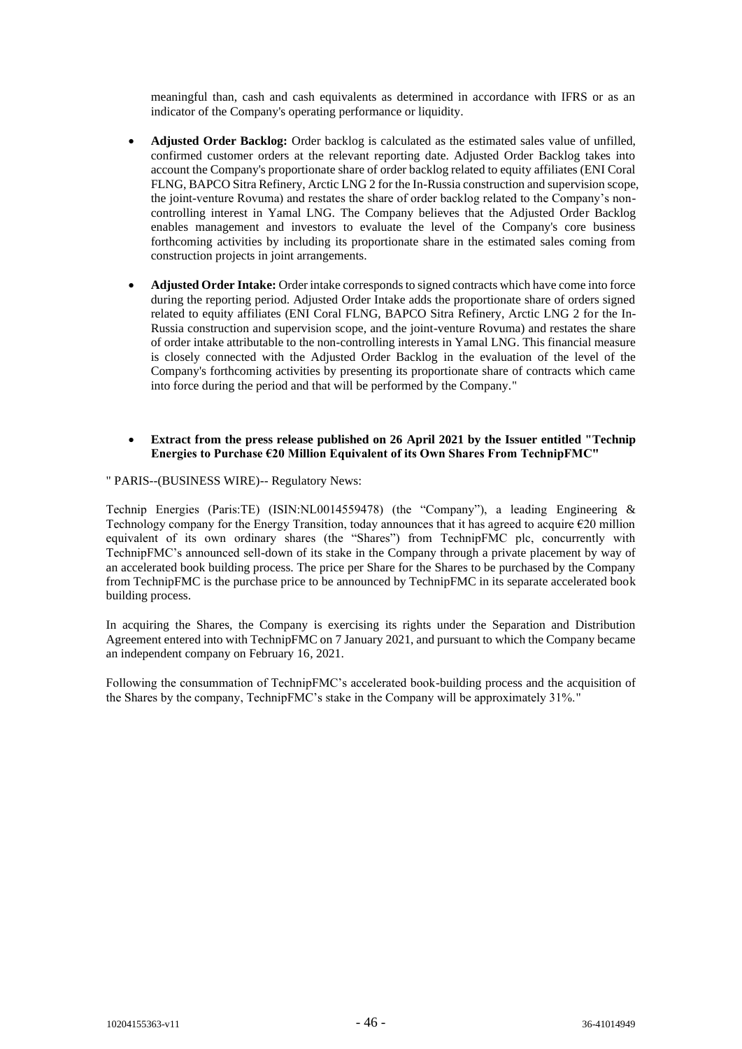meaningful than, cash and cash equivalents as determined in accordance with IFRS or as an indicator of the Company's operating performance or liquidity.

- **Adjusted Order Backlog:** Order backlog is calculated as the estimated sales value of unfilled, confirmed customer orders at the relevant reporting date. Adjusted Order Backlog takes into account the Company's proportionate share of order backlog related to equity affiliates (ENI Coral FLNG, BAPCO Sitra Refinery, Arctic LNG 2 for the In-Russia construction and supervision scope, the joint-venture Rovuma) and restates the share of order backlog related to the Company's noncontrolling interest in Yamal LNG. The Company believes that the Adjusted Order Backlog enables management and investors to evaluate the level of the Company's core business forthcoming activities by including its proportionate share in the estimated sales coming from construction projects in joint arrangements.
- **Adjusted Order Intake:** Order intake corresponds to signed contracts which have come into force during the reporting period. Adjusted Order Intake adds the proportionate share of orders signed related to equity affiliates (ENI Coral FLNG, BAPCO Sitra Refinery, Arctic LNG 2 for the In-Russia construction and supervision scope, and the joint-venture Rovuma) and restates the share of order intake attributable to the non-controlling interests in Yamal LNG. This financial measure is closely connected with the Adjusted Order Backlog in the evaluation of the level of the Company's forthcoming activities by presenting its proportionate share of contracts which came into force during the period and that will be performed by the Company."

#### • **Extract from the press release published on 26 April 2021 by the Issuer entitled "Technip Energies to Purchase €20 Million Equivalent of its Own Shares From TechnipFMC"**

" PARIS--(BUSINESS WIRE)-- Regulatory News:

Technip Energies (Paris:TE) (ISIN:NL0014559478) (the "Company"), a leading Engineering & Technology company for the Energy Transition, today announces that it has agreed to acquire  $\epsilon$ 20 million equivalent of its own ordinary shares (the "Shares") from TechnipFMC plc, concurrently with TechnipFMC's announced sell-down of its stake in the Company through a private placement by way of an accelerated book building process. The price per Share for the Shares to be purchased by the Company from TechnipFMC is the purchase price to be announced by TechnipFMC in its separate accelerated book building process.

In acquiring the Shares, the Company is exercising its rights under the Separation and Distribution Agreement entered into with TechnipFMC on 7 January 2021, and pursuant to which the Company became an independent company on February 16, 2021.

Following the consummation of TechnipFMC's accelerated book-building process and the acquisition of the Shares by the company, TechnipFMC's stake in the Company will be approximately 31%."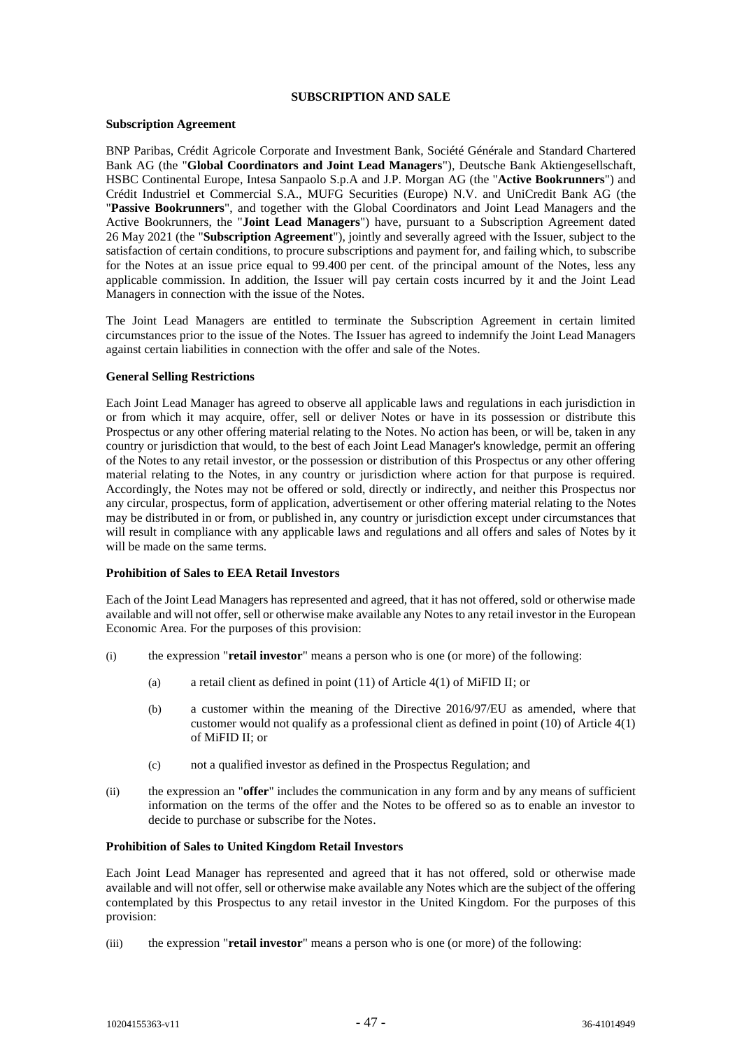#### **SUBSCRIPTION AND SALE**

#### <span id="page-53-0"></span>**Subscription Agreement**

BNP Paribas, Crédit Agricole Corporate and Investment Bank, Société Générale and Standard Chartered Bank AG (the "**Global Coordinators and Joint Lead Managers**"), Deutsche Bank Aktiengesellschaft, HSBC Continental Europe, Intesa Sanpaolo S.p.A and J.P. Morgan AG (the "**Active Bookrunners**") and Crédit Industriel et Commercial S.A., MUFG Securities (Europe) N.V. and UniCredit Bank AG (the "**Passive Bookrunners**", and together with the Global Coordinators and Joint Lead Managers and the Active Bookrunners, the "**Joint Lead Managers**") have, pursuant to a Subscription Agreement dated 26 May 2021 (the "**Subscription Agreement**"), jointly and severally agreed with the Issuer, subject to the satisfaction of certain conditions, to procure subscriptions and payment for, and failing which, to subscribe for the Notes at an issue price equal to 99.400 per cent. of the principal amount of the Notes, less any applicable commission. In addition, the Issuer will pay certain costs incurred by it and the Joint Lead Managers in connection with the issue of the Notes.

The Joint Lead Managers are entitled to terminate the Subscription Agreement in certain limited circumstances prior to the issue of the Notes. The Issuer has agreed to indemnify the Joint Lead Managers against certain liabilities in connection with the offer and sale of the Notes.

# **General Selling Restrictions**

Each Joint Lead Manager has agreed to observe all applicable laws and regulations in each jurisdiction in or from which it may acquire, offer, sell or deliver Notes or have in its possession or distribute this Prospectus or any other offering material relating to the Notes. No action has been, or will be, taken in any country or jurisdiction that would, to the best of each Joint Lead Manager's knowledge, permit an offering of the Notes to any retail investor, or the possession or distribution of this Prospectus or any other offering material relating to the Notes, in any country or jurisdiction where action for that purpose is required. Accordingly, the Notes may not be offered or sold, directly or indirectly, and neither this Prospectus nor any circular, prospectus, form of application, advertisement or other offering material relating to the Notes may be distributed in or from, or published in, any country or jurisdiction except under circumstances that will result in compliance with any applicable laws and regulations and all offers and sales of Notes by it will be made on the same terms.

# **Prohibition of Sales to EEA Retail Investors**

Each of the Joint Lead Managers has represented and agreed, that it has not offered, sold or otherwise made available and will not offer, sell or otherwise make available any Notesto any retail investor in the European Economic Area. For the purposes of this provision:

- (i) the expression "**retail investor**" means a person who is one (or more) of the following:
	- (a) a retail client as defined in point (11) of Article 4(1) of MiFID II; or
	- (b) a customer within the meaning of the Directive 2016/97/EU as amended, where that customer would not qualify as a professional client as defined in point (10) of Article 4(1) of MiFID II; or
	- (c) not a qualified investor as defined in the Prospectus Regulation; and
- (ii) the expression an "**offer**" includes the communication in any form and by any means of sufficient information on the terms of the offer and the Notes to be offered so as to enable an investor to decide to purchase or subscribe for the Notes.

# **Prohibition of Sales to United Kingdom Retail Investors**

Each Joint Lead Manager has represented and agreed that it has not offered, sold or otherwise made available and will not offer, sell or otherwise make available any Notes which are the subject of the offering contemplated by this Prospectus to any retail investor in the United Kingdom. For the purposes of this provision:

(iii) the expression "**retail investor**" means a person who is one (or more) of the following: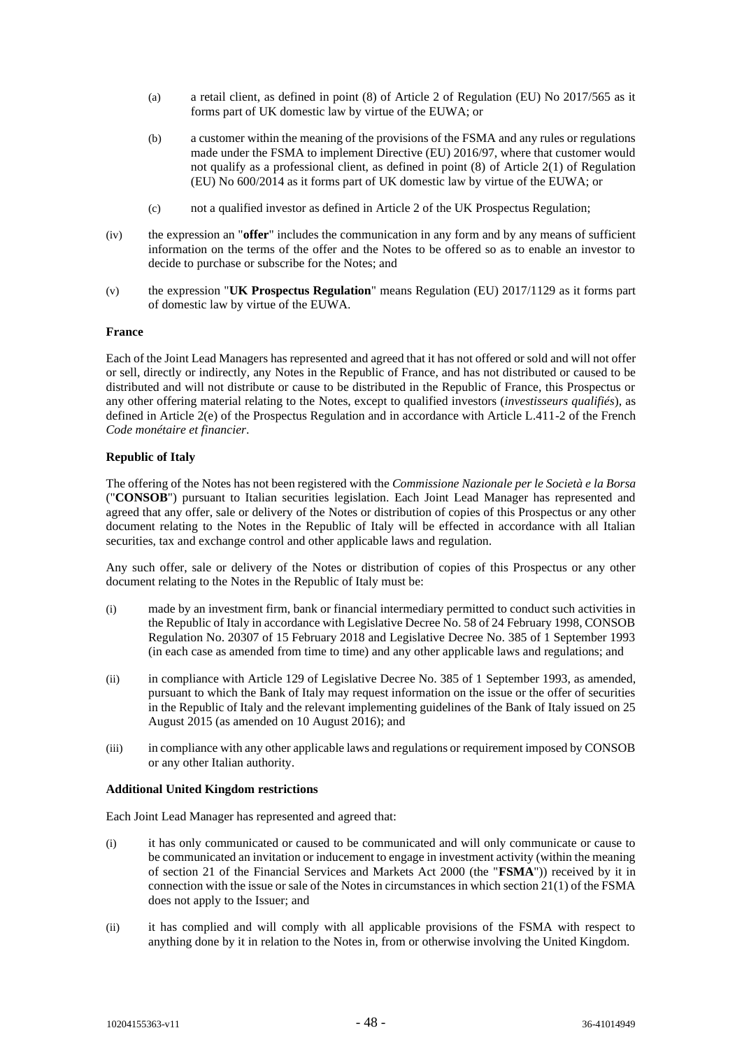- (a) a retail client, as defined in point (8) of Article 2 of Regulation (EU) No 2017/565 as it forms part of UK domestic law by virtue of the EUWA; or
- (b) a customer within the meaning of the provisions of the FSMA and any rules or regulations made under the FSMA to implement Directive (EU) 2016/97, where that customer would not qualify as a professional client, as defined in point (8) of Article 2(1) of Regulation (EU) No 600/2014 as it forms part of UK domestic law by virtue of the EUWA; or
- (c) not a qualified investor as defined in Article 2 of the UK Prospectus Regulation;
- (iv) the expression an "**offer**" includes the communication in any form and by any means of sufficient information on the terms of the offer and the Notes to be offered so as to enable an investor to decide to purchase or subscribe for the Notes; and
- (v) the expression "**UK Prospectus Regulation**" means Regulation (EU) 2017/1129 as it forms part of domestic law by virtue of the EUWA.

# **France**

Each of the Joint Lead Managers has represented and agreed that it has not offered or sold and will not offer or sell, directly or indirectly, any Notes in the Republic of France, and has not distributed or caused to be distributed and will not distribute or cause to be distributed in the Republic of France, this Prospectus or any other offering material relating to the Notes, except to qualified investors (*investisseurs qualifiés*), as defined in Article 2(e) of the Prospectus Regulation and in accordance with Article L.411-2 of the French *Code monétaire et financier*.

#### **Republic of Italy**

The offering of the Notes has not been registered with the *Commissione Nazionale per le Società e la Borsa* ("**CONSOB**") pursuant to Italian securities legislation. Each Joint Lead Manager has represented and agreed that any offer, sale or delivery of the Notes or distribution of copies of this Prospectus or any other document relating to the Notes in the Republic of Italy will be effected in accordance with all Italian securities, tax and exchange control and other applicable laws and regulation.

Any such offer, sale or delivery of the Notes or distribution of copies of this Prospectus or any other document relating to the Notes in the Republic of Italy must be:

- (i) made by an investment firm, bank or financial intermediary permitted to conduct such activities in the Republic of Italy in accordance with Legislative Decree No. 58 of 24 February 1998, CONSOB Regulation No. 20307 of 15 February 2018 and Legislative Decree No. 385 of 1 September 1993 (in each case as amended from time to time) and any other applicable laws and regulations; and
- (ii) in compliance with Article 129 of Legislative Decree No. 385 of 1 September 1993, as amended, pursuant to which the Bank of Italy may request information on the issue or the offer of securities in the Republic of Italy and the relevant implementing guidelines of the Bank of Italy issued on 25 August 2015 (as amended on 10 August 2016); and
- (iii) in compliance with any other applicable laws and regulations or requirement imposed by CONSOB or any other Italian authority.

#### **Additional United Kingdom restrictions**

Each Joint Lead Manager has represented and agreed that:

- (i) it has only communicated or caused to be communicated and will only communicate or cause to be communicated an invitation or inducement to engage in investment activity (within the meaning of section 21 of the Financial Services and Markets Act 2000 (the "**FSMA**")) received by it in connection with the issue or sale of the Notes in circumstances in which section 21(1) of the FSMA does not apply to the Issuer; and
- (ii) it has complied and will comply with all applicable provisions of the FSMA with respect to anything done by it in relation to the Notes in, from or otherwise involving the United Kingdom.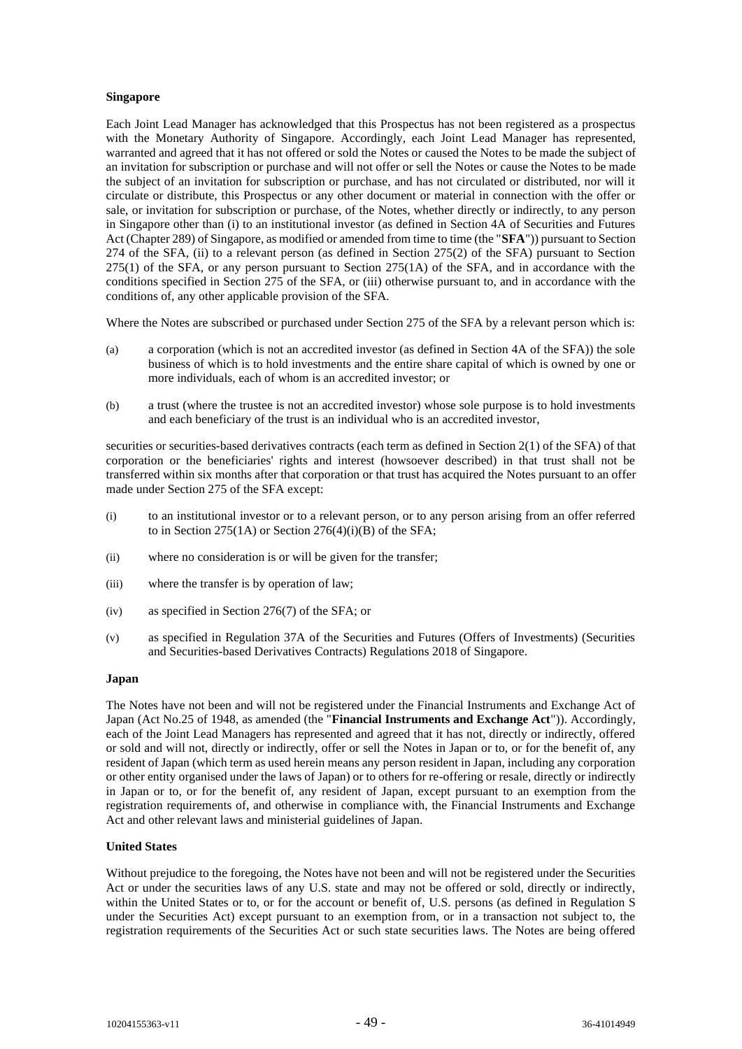# **Singapore**

Each Joint Lead Manager has acknowledged that this Prospectus has not been registered as a prospectus with the Monetary Authority of Singapore. Accordingly, each Joint Lead Manager has represented, warranted and agreed that it has not offered or sold the Notes or caused the Notes to be made the subject of an invitation for subscription or purchase and will not offer or sell the Notes or cause the Notes to be made the subject of an invitation for subscription or purchase, and has not circulated or distributed, nor will it circulate or distribute, this Prospectus or any other document or material in connection with the offer or sale, or invitation for subscription or purchase, of the Notes, whether directly or indirectly, to any person in Singapore other than (i) to an institutional investor (as defined in Section 4A of Securities and Futures Act (Chapter 289) of Singapore, as modified or amended from time to time (the "**SFA**")) pursuant to Section 274 of the SFA, (ii) to a relevant person (as defined in Section 275(2) of the SFA) pursuant to Section 275(1) of the SFA, or any person pursuant to Section 275(1A) of the SFA, and in accordance with the conditions specified in Section 275 of the SFA, or (iii) otherwise pursuant to, and in accordance with the conditions of, any other applicable provision of the SFA.

Where the Notes are subscribed or purchased under Section 275 of the SFA by a relevant person which is:

- (a) a corporation (which is not an accredited investor (as defined in Section 4A of the SFA)) the sole business of which is to hold investments and the entire share capital of which is owned by one or more individuals, each of whom is an accredited investor; or
- (b) a trust (where the trustee is not an accredited investor) whose sole purpose is to hold investments and each beneficiary of the trust is an individual who is an accredited investor,

securities or securities-based derivatives contracts (each term as defined in Section 2(1) of the SFA) of that corporation or the beneficiaries' rights and interest (howsoever described) in that trust shall not be transferred within six months after that corporation or that trust has acquired the Notes pursuant to an offer made under Section 275 of the SFA except:

- (i) to an institutional investor or to a relevant person, or to any person arising from an offer referred to in Section 275(1A) or Section  $276(4)(i)(B)$  of the SFA;
- (ii) where no consideration is or will be given for the transfer;
- (iii) where the transfer is by operation of law;
- (iv) as specified in Section 276(7) of the SFA; or
- (v) as specified in Regulation 37A of the Securities and Futures (Offers of Investments) (Securities and Securities-based Derivatives Contracts) Regulations 2018 of Singapore.

# **Japan**

The Notes have not been and will not be registered under the Financial Instruments and Exchange Act of Japan (Act No.25 of 1948, as amended (the "**Financial Instruments and Exchange Act**")). Accordingly, each of the Joint Lead Managers has represented and agreed that it has not, directly or indirectly, offered or sold and will not, directly or indirectly, offer or sell the Notes in Japan or to, or for the benefit of, any resident of Japan (which term as used herein means any person resident in Japan, including any corporation or other entity organised under the laws of Japan) or to others for re-offering or resale, directly or indirectly in Japan or to, or for the benefit of, any resident of Japan, except pursuant to an exemption from the registration requirements of, and otherwise in compliance with, the Financial Instruments and Exchange Act and other relevant laws and ministerial guidelines of Japan.

#### **United States**

Without prejudice to the foregoing, the Notes have not been and will not be registered under the Securities Act or under the securities laws of any U.S. state and may not be offered or sold, directly or indirectly, within the United States or to, or for the account or benefit of, U.S. persons (as defined in Regulation S under the Securities Act) except pursuant to an exemption from, or in a transaction not subject to, the registration requirements of the Securities Act or such state securities laws. The Notes are being offered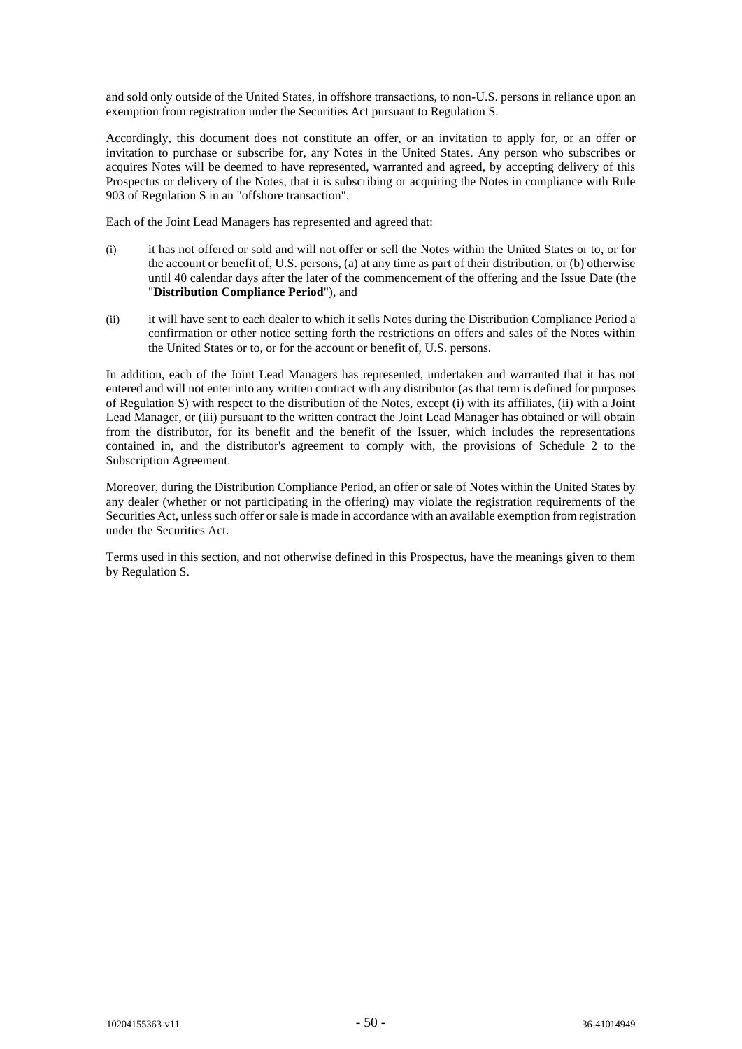and sold only outside of the United States, in offshore transactions, to non-U.S. persons in reliance upon an exemption from registration under the Securities Act pursuant to Regulation S.

Accordingly, this document does not constitute an offer, or an invitation to apply for, or an offer or invitation to purchase or subscribe for, any Notes in the United States. Any person who subscribes or acquires Notes will be deemed to have represented, warranted and agreed, by accepting delivery of this Prospectus or delivery of the Notes, that it is subscribing or acquiring the Notes in compliance with Rule 903 of Regulation S in an "offshore transaction".

Each of the Joint Lead Managers has represented and agreed that:

- (i) it has not offered or sold and will not offer or sell the Notes within the United States or to, or for the account or benefit of, U.S. persons, (a) at any time as part of their distribution, or (b) otherwise until 40 calendar days after the later of the commencement of the offering and the Issue Date (the "**Distribution Compliance Period**"), and
- (ii) it will have sent to each dealer to which it sells Notes during the Distribution Compliance Period a confirmation or other notice setting forth the restrictions on offers and sales of the Notes within the United States or to, or for the account or benefit of, U.S. persons.

In addition, each of the Joint Lead Managers has represented, undertaken and warranted that it has not entered and will not enter into any written contract with any distributor (as that term is defined for purposes of Regulation S) with respect to the distribution of the Notes, except (i) with its affiliates, (ii) with a Joint Lead Manager, or (iii) pursuant to the written contract the Joint Lead Manager has obtained or will obtain from the distributor, for its benefit and the benefit of the Issuer, which includes the representations contained in, and the distributor's agreement to comply with, the provisions of Schedule 2 to the Subscription Agreement.

Moreover, during the Distribution Compliance Period, an offer or sale of Notes within the United States by any dealer (whether or not participating in the offering) may violate the registration requirements of the Securities Act, unless such offer or sale is made in accordance with an available exemption from registration under the Securities Act.

Terms used in this section, and not otherwise defined in this Prospectus, have the meanings given to them by Regulation S.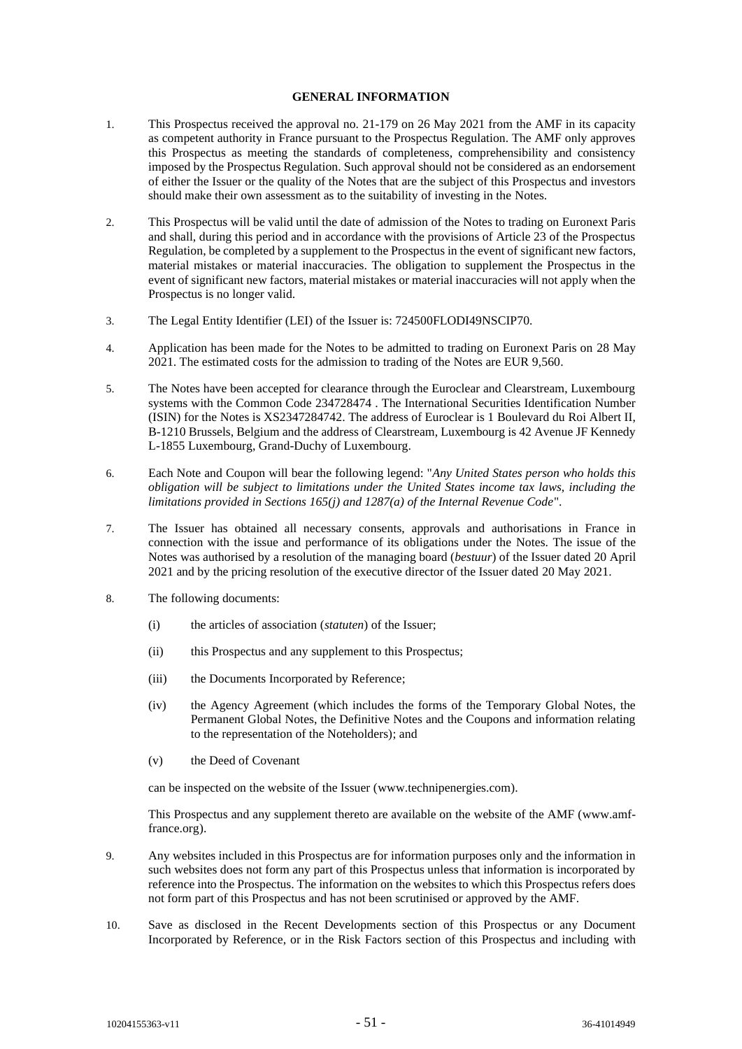# **GENERAL INFORMATION**

- <span id="page-57-0"></span>1. This Prospectus received the approval no. 21-179 on 26 May 2021 from the AMF in its capacity as competent authority in France pursuant to the Prospectus Regulation. The AMF only approves this Prospectus as meeting the standards of completeness, comprehensibility and consistency imposed by the Prospectus Regulation. Such approval should not be considered as an endorsement of either the Issuer or the quality of the Notes that are the subject of this Prospectus and investors should make their own assessment as to the suitability of investing in the Notes.
- 2. This Prospectus will be valid until the date of admission of the Notes to trading on Euronext Paris and shall, during this period and in accordance with the provisions of Article 23 of the Prospectus Regulation, be completed by a supplement to the Prospectus in the event of significant new factors, material mistakes or material inaccuracies. The obligation to supplement the Prospectus in the event of significant new factors, material mistakes or material inaccuracies will not apply when the Prospectus is no longer valid.
- 3. The Legal Entity Identifier (LEI) of the Issuer is: 724500FLODI49NSCIP70.
- 4. Application has been made for the Notes to be admitted to trading on Euronext Paris on 28 May 2021. The estimated costs for the admission to trading of the Notes are EUR 9,560.
- 5. The Notes have been accepted for clearance through the Euroclear and Clearstream, Luxembourg systems with the Common Code 234728474 . The International Securities Identification Number (ISIN) for the Notes is XS2347284742. The address of Euroclear is 1 Boulevard du Roi Albert II, B-1210 Brussels, Belgium and the address of Clearstream, Luxembourg is 42 Avenue JF Kennedy L-1855 Luxembourg, Grand-Duchy of Luxembourg.
- 6. Each Note and Coupon will bear the following legend: "*Any United States person who holds this obligation will be subject to limitations under the United States income tax laws, including the limitations provided in Sections 165(j) and 1287(a) of the Internal Revenue Code*".
- 7. The Issuer has obtained all necessary consents, approvals and authorisations in France in connection with the issue and performance of its obligations under the Notes. The issue of the Notes was authorised by a resolution of the managing board (*bestuur*) of the Issuer dated 20 April 2021 and by the pricing resolution of the executive director of the Issuer dated 20 May 2021.
- 8. The following documents:
	- (i) the articles of association (*statuten*) of the Issuer;
	- (ii) this Prospectus and any supplement to this Prospectus;
	- (iii) the Documents Incorporated by Reference;
	- (iv) the Agency Agreement (which includes the forms of the Temporary Global Notes, the Permanent Global Notes, the Definitive Notes and the Coupons and information relating to the representation of the Noteholders); and
	- (v) the Deed of Covenant

can be inspected on the website of the Issuer (www.technipenergies.com).

This Prospectus and any supplement thereto are available on the website of the AMF (www.amffrance.org).

- 9. Any websites included in this Prospectus are for information purposes only and the information in such websites does not form any part of this Prospectus unless that information is incorporated by reference into the Prospectus. The information on the websites to which this Prospectus refers does not form part of this Prospectus and has not been scrutinised or approved by the AMF.
- 10. Save as disclosed in the Recent Developments section of this Prospectus or any Document Incorporated by Reference, or in the Risk Factors section of this Prospectus and including with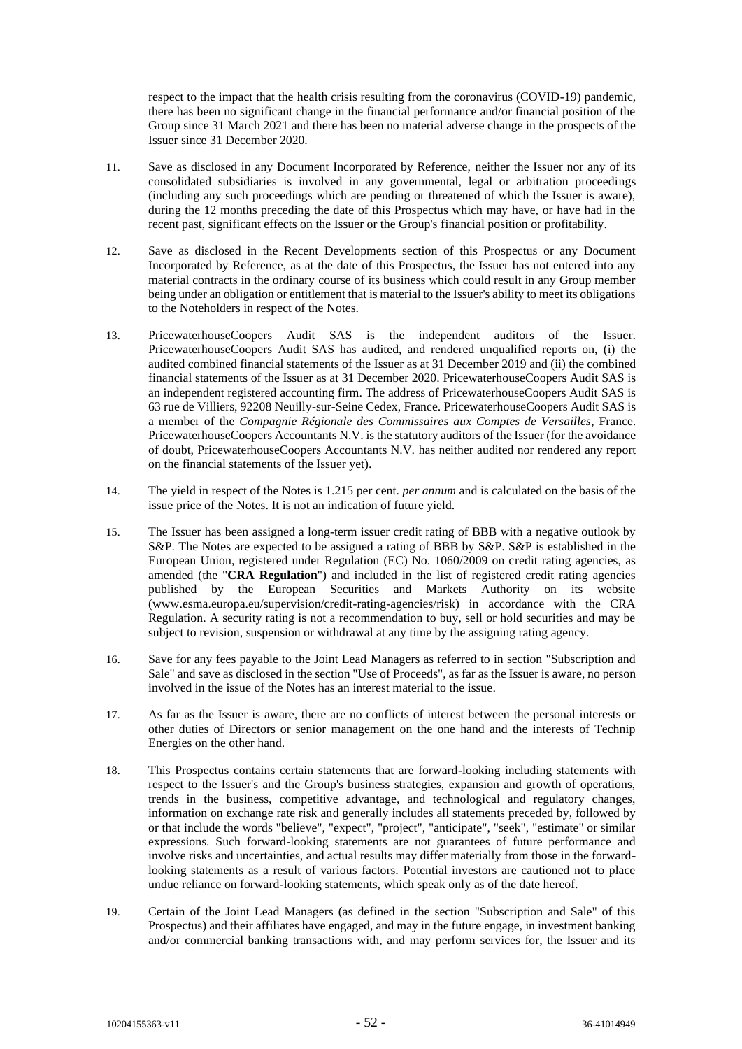respect to the impact that the health crisis resulting from the coronavirus (COVID-19) pandemic, there has been no significant change in the financial performance and/or financial position of the Group since 31 March 2021 and there has been no material adverse change in the prospects of the Issuer since 31 December 2020.

- 11. Save as disclosed in any Document Incorporated by Reference, neither the Issuer nor any of its consolidated subsidiaries is involved in any governmental, legal or arbitration proceedings (including any such proceedings which are pending or threatened of which the Issuer is aware), during the 12 months preceding the date of this Prospectus which may have, or have had in the recent past, significant effects on the Issuer or the Group's financial position or profitability.
- 12. Save as disclosed in the Recent Developments section of this Prospectus or any Document Incorporated by Reference, as at the date of this Prospectus, the Issuer has not entered into any material contracts in the ordinary course of its business which could result in any Group member being under an obligation or entitlement that is material to the Issuer's ability to meet its obligations to the Noteholders in respect of the Notes.
- 13. PricewaterhouseCoopers Audit SAS is the independent auditors of the Issuer. PricewaterhouseCoopers Audit SAS has audited, and rendered unqualified reports on, (i) the audited combined financial statements of the Issuer as at 31 December 2019 and (ii) the combined financial statements of the Issuer as at 31 December 2020. PricewaterhouseCoopers Audit SAS is an independent registered accounting firm. The address of PricewaterhouseCoopers Audit SAS is 63 rue de Villiers, 92208 Neuilly-sur-Seine Cedex, France. PricewaterhouseCoopers Audit SAS is a member of the *Compagnie Régionale des Commissaires aux Comptes de Versailles*, France. PricewaterhouseCoopers Accountants N.V. is the statutory auditors of the Issuer (for the avoidance of doubt, PricewaterhouseCoopers Accountants N.V. has neither audited nor rendered any report on the financial statements of the Issuer yet).
- 14. The yield in respect of the Notes is 1.215 per cent. *per annum* and is calculated on the basis of the issue price of the Notes. It is not an indication of future yield.
- 15. The Issuer has been assigned a long-term issuer credit rating of BBB with a negative outlook by S&P. The Notes are expected to be assigned a rating of BBB by S&P. S&P is established in the European Union, registered under Regulation (EC) No. 1060/2009 on credit rating agencies, as amended (the "**CRA Regulation**") and included in the list of registered credit rating agencies published by the European Securities and Markets Authority on its website (www.esma.europa.eu/supervision/credit-rating-agencies/risk) in accordance with the CRA Regulation. A security rating is not a recommendation to buy, sell or hold securities and may be subject to revision, suspension or withdrawal at any time by the assigning rating agency.
- 16. Save for any fees payable to the Joint Lead Managers as referred to in section "Subscription and Sale" and save as disclosed in the section "Use of Proceeds", as far as the Issuer is aware, no person involved in the issue of the Notes has an interest material to the issue.
- 17. As far as the Issuer is aware, there are no conflicts of interest between the personal interests or other duties of Directors or senior management on the one hand and the interests of Technip Energies on the other hand.
- 18. This Prospectus contains certain statements that are forward-looking including statements with respect to the Issuer's and the Group's business strategies, expansion and growth of operations, trends in the business, competitive advantage, and technological and regulatory changes, information on exchange rate risk and generally includes all statements preceded by, followed by or that include the words "believe", "expect", "project", "anticipate", "seek", "estimate" or similar expressions. Such forward-looking statements are not guarantees of future performance and involve risks and uncertainties, and actual results may differ materially from those in the forwardlooking statements as a result of various factors. Potential investors are cautioned not to place undue reliance on forward-looking statements, which speak only as of the date hereof.
- 19. Certain of the Joint Lead Managers (as defined in the section "Subscription and Sale" of this Prospectus) and their affiliates have engaged, and may in the future engage, in investment banking and/or commercial banking transactions with, and may perform services for, the Issuer and its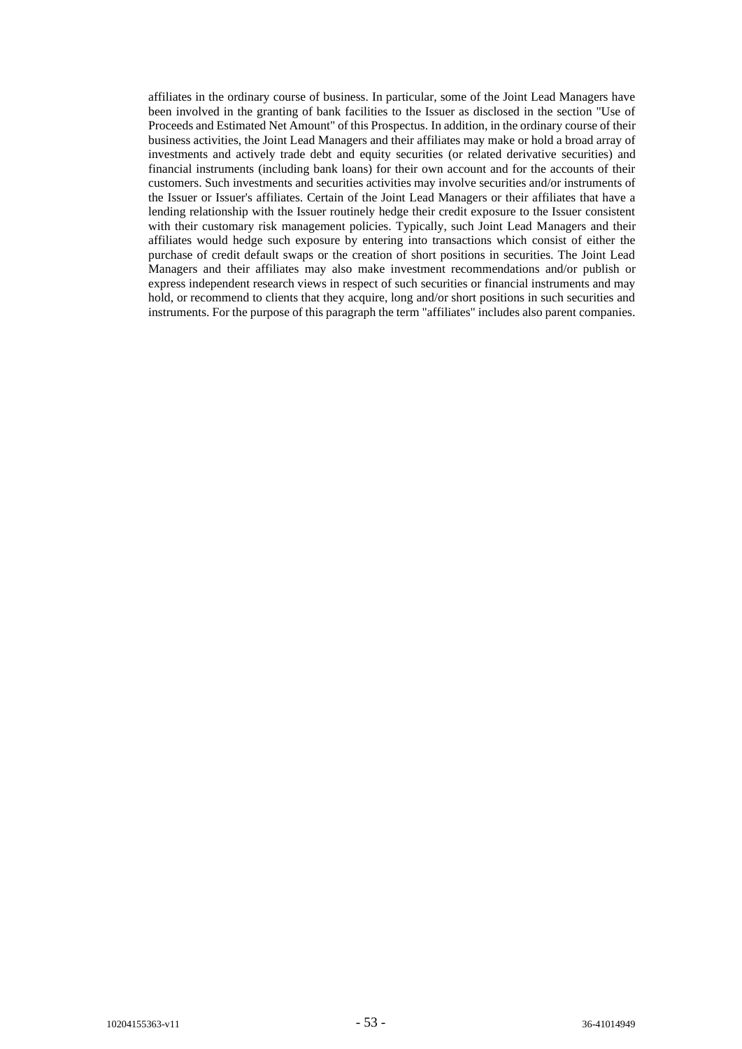affiliates in the ordinary course of business. In particular, some of the Joint Lead Managers have been involved in the granting of bank facilities to the Issuer as disclosed in the section "Use of Proceeds and Estimated Net Amount" of this Prospectus. In addition, in the ordinary course of their business activities, the Joint Lead Managers and their affiliates may make or hold a broad array of investments and actively trade debt and equity securities (or related derivative securities) and financial instruments (including bank loans) for their own account and for the accounts of their customers. Such investments and securities activities may involve securities and/or instruments of the Issuer or Issuer's affiliates. Certain of the Joint Lead Managers or their affiliates that have a lending relationship with the Issuer routinely hedge their credit exposure to the Issuer consistent with their customary risk management policies. Typically, such Joint Lead Managers and their affiliates would hedge such exposure by entering into transactions which consist of either the purchase of credit default swaps or the creation of short positions in securities. The Joint Lead Managers and their affiliates may also make investment recommendations and/or publish or express independent research views in respect of such securities or financial instruments and may hold, or recommend to clients that they acquire, long and/or short positions in such securities and instruments. For the purpose of this paragraph the term "affiliates" includes also parent companies.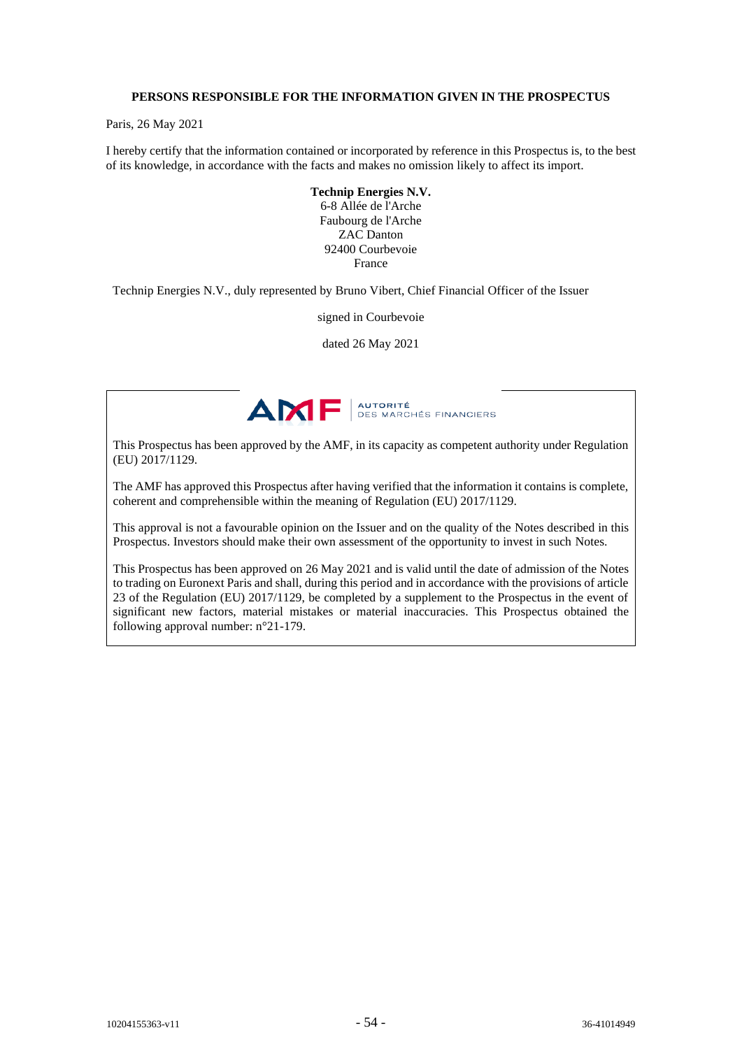# **PERSONS RESPONSIBLE FOR THE INFORMATION GIVEN IN THE PROSPECTUS**

<span id="page-60-0"></span>Paris, 26 May 2021

I hereby certify that the information contained or incorporated by reference in this Prospectus is, to the best of its knowledge, in accordance with the facts and makes no omission likely to affect its import.

# **Technip Energies N.V.** 6-8 Allée de l'Arche Faubourg de l'Arche ZAC Danton 92400 Courbevoie France

Technip Energies N.V., duly represented by Bruno Vibert, Chief Financial Officer of the Issuer

signed in Courbevoie

dated 26 May 2021



This Prospectus has been approved by the AMF, in its capacity as competent authority under Regulation (EU) 2017/1129.

The AMF has approved this Prospectus after having verified that the information it contains is complete, coherent and comprehensible within the meaning of Regulation (EU) 2017/1129.

This approval is not a favourable opinion on the Issuer and on the quality of the Notes described in this Prospectus. Investors should make their own assessment of the opportunity to invest in such Notes.

This Prospectus has been approved on 26 May 2021 and is valid until the date of admission of the Notes to trading on Euronext Paris and shall, during this period and in accordance with the provisions of article 23 of the Regulation (EU) 2017/1129, be completed by a supplement to the Prospectus in the event of significant new factors, material mistakes or material inaccuracies. This Prospectus obtained the following approval number: n°21-179.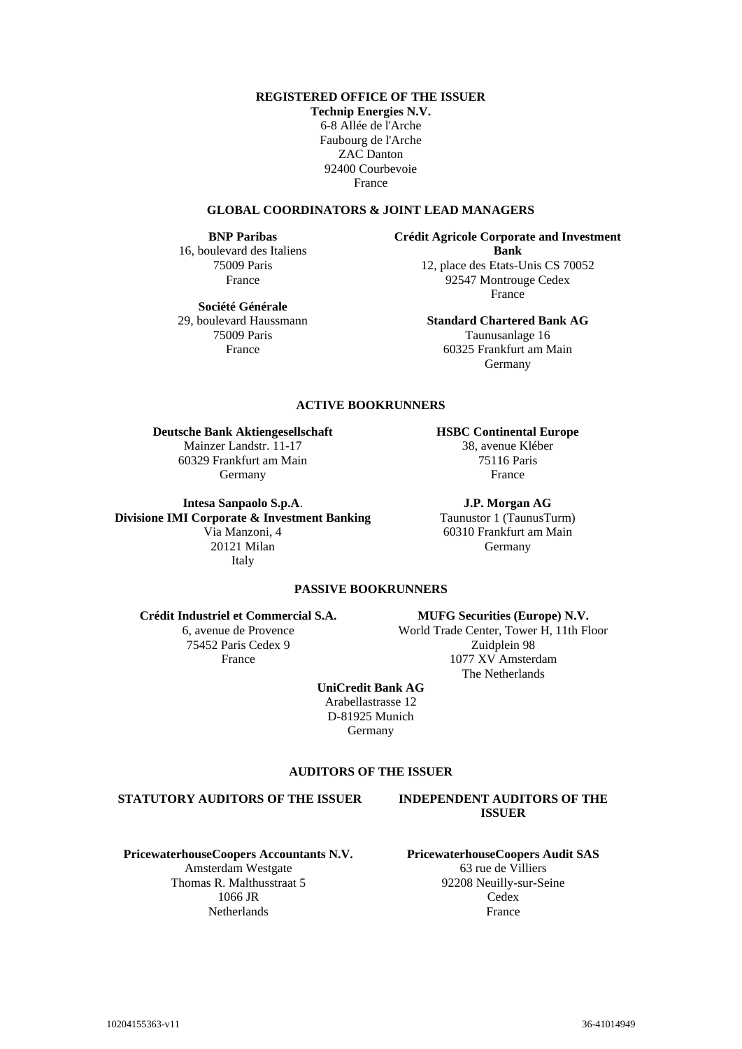#### **REGISTERED OFFICE OF THE ISSUER**

**Technip Energies N.V.** 6-8 Allée de l'Arche Faubourg de l'Arche ZAC Danton 92400 Courbevoie France

#### **GLOBAL COORDINATORS & JOINT LEAD MANAGERS**

#### **BNP Paribas**

16, boulevard des Italiens 75009 Paris France

**Société Générale** 29, boulevard Haussmann 75009 Paris France

**Crédit Agricole Corporate and Investment Bank** 12, place des Etats-Unis CS 70052 92547 Montrouge Cedex France

> **Standard Chartered Bank AG** Taunusanlage 16 60325 Frankfurt am Main Germany

# **ACTIVE BOOKRUNNERS**

**Deutsche Bank Aktiengesellschaft**  Mainzer Landstr. 11-17 60329 Frankfurt am Main Germany

**Intesa Sanpaolo S.p.A**. **Divisione IMI Corporate & Investment Banking**  Via Manzoni, 4 20121 Milan Italy

#### **HSBC Continental Europe**  38, avenue Kléber

75116 Paris France

**J.P. Morgan AG**  Taunustor 1 (TaunusTurm) 60310 Frankfurt am Main Germany

# **PASSIVE BOOKRUNNERS**

**Crédit Industriel et Commercial S.A.**  6, avenue de Provence

75452 Paris Cedex 9 France

**MUFG Securities (Europe) N.V.** 

World Trade Center, Tower H, 11th Floor Zuidplein 98 1077 XV Amsterdam The Netherlands

**UniCredit Bank AG**  Arabellastrasse 12 D-81925 Munich Germany

# **AUDITORS OF THE ISSUER**

**STATUTORY AUDITORS OF THE ISSUER INDEPENDENT AUDITORS OF THE** 

# **ISSUER**

**PricewaterhouseCoopers Accountants N.V.** Amsterdam Westgate Thomas R. Malthusstraat 5 1066 JR **Netherlands** 

**PricewaterhouseCoopers Audit SAS** 63 rue de Villiers 92208 Neuilly-sur-Seine Cedex France